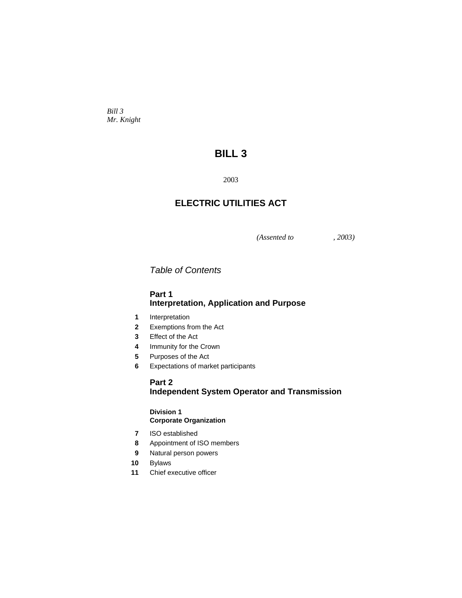*Bill 3 Mr. Knight* 

# **BILL 3**

2003

# **ELECTRIC UTILITIES ACT**

*(Assented to , 2003)* 

*Table of Contents* 

# **Part 1 Interpretation, Application and Purpose**

- **1** Interpretation
- **2** Exemptions from the Act
- **3** Effect of the Act
- **4** Immunity for the Crown
- **5** Purposes of the Act
- **6** Expectations of market participants

# **Part 2 Independent System Operator and Transmission**

### **Division 1 Corporate Organization**

- **7** ISO established
- **8** Appointment of ISO members
- **9** Natural person powers
- **10** Bylaws
- **11** Chief executive officer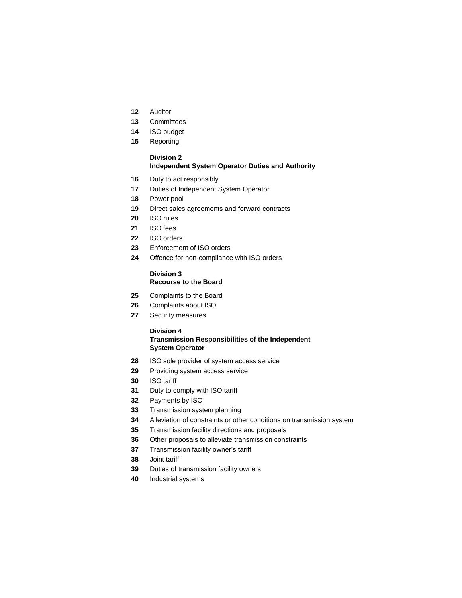- Auditor
- Committees
- ISO budget
- Reporting

### **Division 2 Independent System Operator Duties and Authority**

- Duty to act responsibly
- Duties of Independent System Operator
- Power pool
- Direct sales agreements and forward contracts
- ISO rules
- ISO fees
- ISO orders
- Enforcement of ISO orders
- Offence for non-compliance with ISO orders

### **Division 3 Recourse to the Board**

- Complaints to the Board
- Complaints about ISO
- Security measures

#### **Division 4**

### **Transmission Responsibilities of the Independent System Operator**

- ISO sole provider of system access service
- Providing system access service
- ISO tariff
- Duty to comply with ISO tariff
- Payments by ISO
- Transmission system planning
- Alleviation of constraints or other conditions on transmission system
- Transmission facility directions and proposals
- Other proposals to alleviate transmission constraints
- Transmission facility owner's tariff
- Joint tariff
- Duties of transmission facility owners
- Industrial systems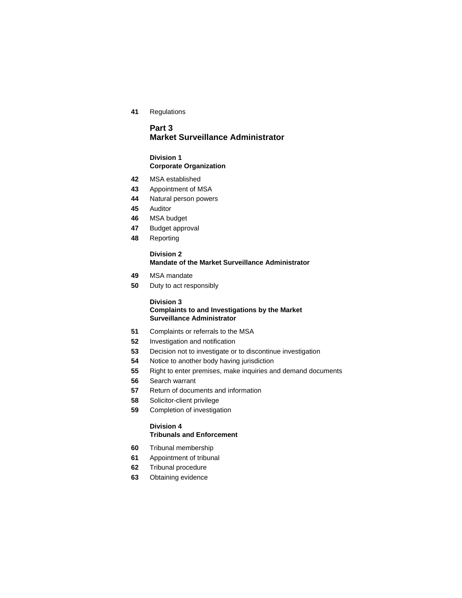Regulations

# **Part 3 Market Surveillance Administrator**

### **Division 1 Corporate Organization**

- MSA established
- Appointment of MSA
- Natural person powers
- Auditor
- MSA budget
- Budget approval
- Reporting

### **Division 2 Mandate of the Market Surveillance Administrator**

- MSA mandate
- Duty to act responsibly

#### **Division 3**

## **Complaints to and Investigations by the Market Surveillance Administrator**

- Complaints or referrals to the MSA
- Investigation and notification
- Decision not to investigate or to discontinue investigation
- Notice to another body having jurisdiction
- Right to enter premises, make inquiries and demand documents
- Search warrant
- Return of documents and information
- Solicitor-client privilege
- Completion of investigation

# **Division 4**

- **Tribunals and Enforcement**
- Tribunal membership
- Appointment of tribunal
- Tribunal procedure
- Obtaining evidence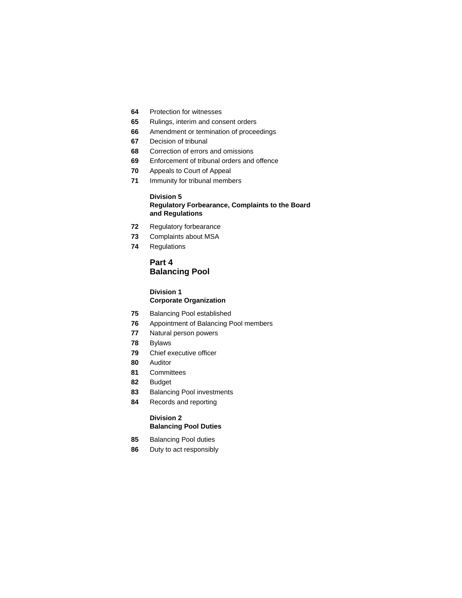- Protection for witnesses
- Rulings, interim and consent orders
- Amendment or termination of proceedings
- Decision of tribunal
- Correction of errors and omissions
- Enforcement of tribunal orders and offence
- Appeals to Court of Appeal
- Immunity for tribunal members

### **Division 5 Regulatory Forbearance, Complaints to the Board and Regulations**

- Regulatory forbearance
- Complaints about MSA
- Regulations

# **Part 4 Balancing Pool**

#### **Division 1 Corporate Organization**

- Balancing Pool established
- Appointment of Balancing Pool members
- Natural person powers
- Bylaws
- Chief executive officer
- Auditor
- Committees
- Budget
- Balancing Pool investments
- Records and reporting

## **Division 2 Balancing Pool Duties**

- Balancing Pool duties
- Duty to act responsibly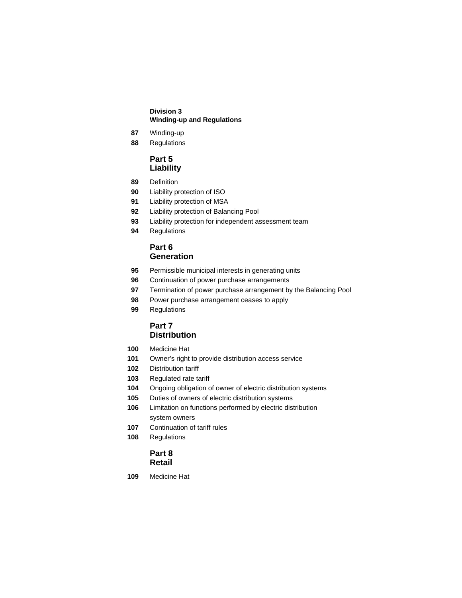### **Division 3 Winding-up and Regulations**

- Winding-up
- Regulations

# **Part 5 Liability**

- Definition
- Liability protection of ISO
- Liability protection of MSA
- Liability protection of Balancing Pool
- Liability protection for independent assessment team
- Regulations

# **Part 6 Generation**

- Permissible municipal interests in generating units
- Continuation of power purchase arrangements
- Termination of power purchase arrangement by the Balancing Pool
- Power purchase arrangement ceases to apply
- Regulations

# **Part 7 Distribution**

- Medicine Hat
- Owner's right to provide distribution access service
- Distribution tariff
- Regulated rate tariff
- Ongoing obligation of owner of electric distribution systems
- Duties of owners of electric distribution systems
- Limitation on functions performed by electric distribution system owners
- Continuation of tariff rules
- Regulations

# **Part 8 Retail**

Medicine Hat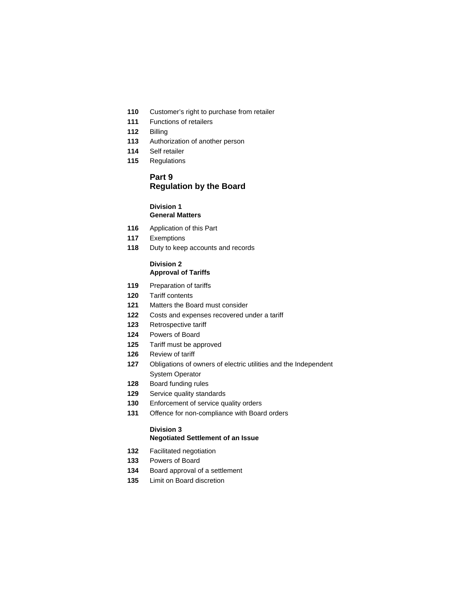- Customer's right to purchase from retailer
- Functions of retailers
- Billing
- Authorization of another person
- Self retailer
- Regulations

# **Part 9 Regulation by the Board**

### **Division 1 General Matters**

- Application of this Part
- Exemptions
- Duty to keep accounts and records

#### **Division 2 Approval of Tariffs**

- Preparation of tariffs
- Tariff contents
- Matters the Board must consider
- Costs and expenses recovered under a tariff
- Retrospective tariff
- Powers of Board
- Tariff must be approved
- Review of tariff
- Obligations of owners of electric utilities and the Independent System Operator
- Board funding rules
- Service quality standards
- Enforcement of service quality orders
- Offence for non-compliance with Board orders

## **Division 3 Negotiated Settlement of an Issue**

- Facilitated negotiation
- Powers of Board
- Board approval of a settlement
- Limit on Board discretion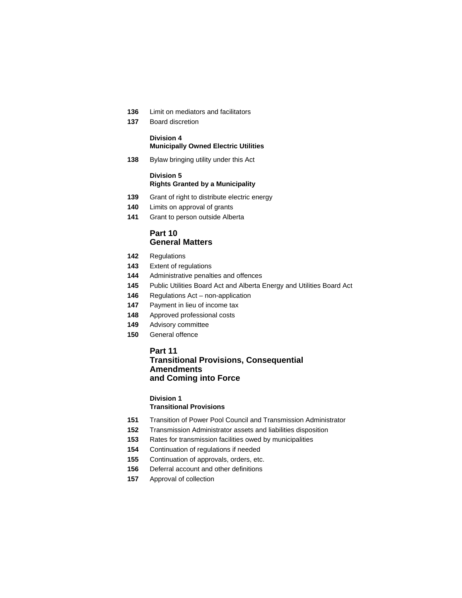- Limit on mediators and facilitators
- Board discretion

# **Division 4 Municipally Owned Electric Utilities**

Bylaw bringing utility under this Act

#### **Division 5 Rights Granted by a Municipality**

- Grant of right to distribute electric energy
- Limits on approval of grants
- Grant to person outside Alberta

# **Part 10 General Matters**

- Regulations
- Extent of regulations
- Administrative penalties and offences
- Public Utilities Board Act and Alberta Energy and Utilities Board Act
- Regulations Act non-application
- Payment in lieu of income tax
- Approved professional costs
- Advisory committee
- General offence

## **Part 11**

# **Transitional Provisions, Consequential Amendments and Coming into Force**

# **Division 1**

# **Transitional Provisions**

- Transition of Power Pool Council and Transmission Administrator
- Transmission Administrator assets and liabilities disposition
- Rates for transmission facilities owed by municipalities
- Continuation of regulations if needed
- Continuation of approvals, orders, etc.
- Deferral account and other definitions
- Approval of collection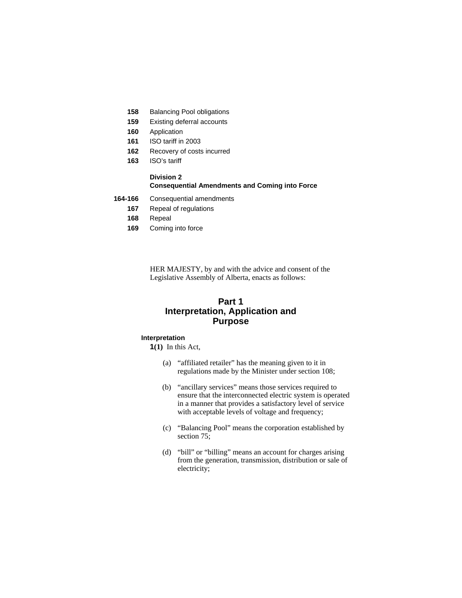- **158** Balancing Pool obligations
- **159** Existing deferral accounts
- **160** Application
- **161** ISO tariff in 2003
- **162** Recovery of costs incurred
- **163** ISO's tariff

#### **Division 2 Consequential Amendments and Coming into Force**

- **164-166** Consequential amendments
	- **167** Repeal of regulations
	- **168** Repeal
	- **169** Coming into force

HER MAJESTY, by and with the advice and consent of the Legislative Assembly of Alberta, enacts as follows:

# **Part 1 Interpretation, Application and Purpose**

#### **Interpretation**

**1(1)** In this Act,

- (a) "affiliated retailer" has the meaning given to it in regulations made by the Minister under section 108;
- (b) "ancillary services" means those services required to ensure that the interconnected electric system is operated in a manner that provides a satisfactory level of service with acceptable levels of voltage and frequency;
- (c) "Balancing Pool" means the corporation established by section 75;
- (d) "bill" or "billing" means an account for charges arising from the generation, transmission, distribution or sale of electricity;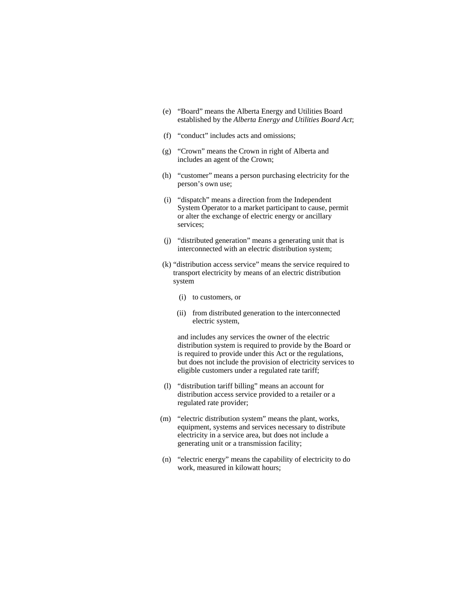- (e) "Board" means the Alberta Energy and Utilities Board established by the *Alberta Energy and Utilities Board Act*;
- (f) "conduct" includes acts and omissions;
- (g) "Crown" means the Crown in right of Alberta and includes an agent of the Crown;
- (h) "customer" means a person purchasing electricity for the person's own use;
- (i) "dispatch" means a direction from the Independent System Operator to a market participant to cause, permit or alter the exchange of electric energy or ancillary services;
- (j) "distributed generation" means a generating unit that is interconnected with an electric distribution system;
- (k) "distribution access service" means the service required to transport electricity by means of an electric distribution system
	- (i) to customers, or
	- (ii) from distributed generation to the interconnected electric system,

 and includes any services the owner of the electric distribution system is required to provide by the Board or is required to provide under this Act or the regulations, but does not include the provision of electricity services to eligible customers under a regulated rate tariff;

- (l) "distribution tariff billing" means an account for distribution access service provided to a retailer or a regulated rate provider;
- (m) "electric distribution system" means the plant, works, equipment, systems and services necessary to distribute electricity in a service area, but does not include a generating unit or a transmission facility;
- (n) "electric energy" means the capability of electricity to do work, measured in kilowatt hours;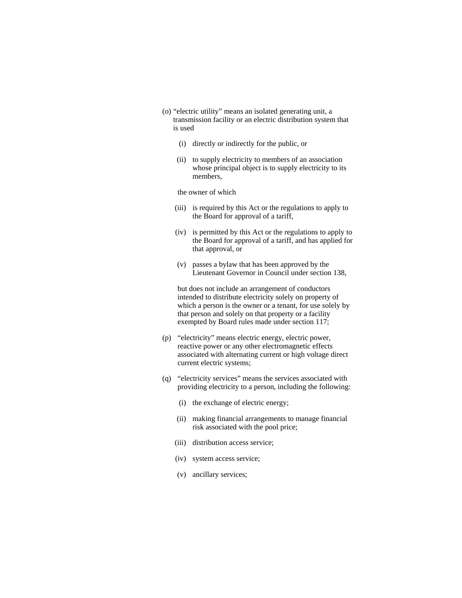- (o) "electric utility" means an isolated generating unit, a transmission facility or an electric distribution system that is used
	- (i) directly or indirectly for the public, or
	- (ii) to supply electricity to members of an association whose principal object is to supply electricity to its members,

the owner of which

- (iii) is required by this Act or the regulations to apply to the Board for approval of a tariff,
- (iv) is permitted by this Act or the regulations to apply to the Board for approval of a tariff, and has applied for that approval, or
- (v) passes a bylaw that has been approved by the Lieutenant Governor in Council under section 138,

 but does not include an arrangement of conductors intended to distribute electricity solely on property of which a person is the owner or a tenant, for use solely by that person and solely on that property or a facility exempted by Board rules made under section 117;

- (p) "electricity" means electric energy, electric power, reactive power or any other electromagnetic effects associated with alternating current or high voltage direct current electric systems;
- (q) "electricity services" means the services associated with providing electricity to a person, including the following:
	- (i) the exchange of electric energy;
	- (ii) making financial arrangements to manage financial risk associated with the pool price;
	- (iii) distribution access service;
	- (iv) system access service;
	- (v) ancillary services;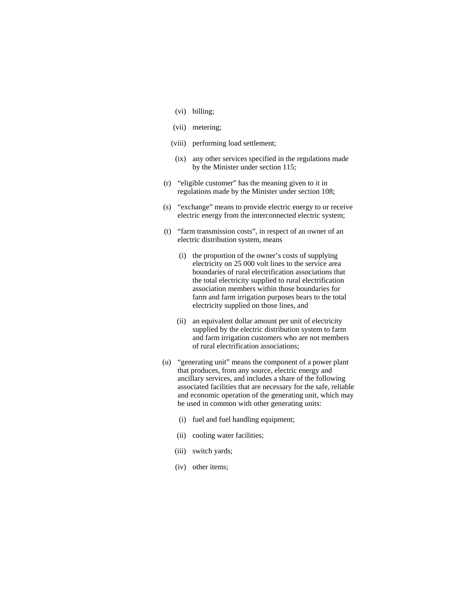- (vi) billing;
- (vii) metering;
- (viii) performing load settlement;
- (ix) any other services specified in the regulations made by the Minister under section 115;
- (r) "eligible customer" has the meaning given to it in regulations made by the Minister under section 108;
- (s) "exchange" means to provide electric energy to or receive electric energy from the interconnected electric system;
- (t) "farm transmission costs", in respect of an owner of an electric distribution system, means
	- (i) the proportion of the owner's costs of supplying electricity on 25 000 volt lines to the service area boundaries of rural electrification associations that the total electricity supplied to rural electrification association members within those boundaries for farm and farm irrigation purposes bears to the total electricity supplied on those lines, and
	- (ii) an equivalent dollar amount per unit of electricity supplied by the electric distribution system to farm and farm irrigation customers who are not members of rural electrification associations;
- (u) "generating unit" means the component of a power plant that produces, from any source, electric energy and ancillary services, and includes a share of the following associated facilities that are necessary for the safe, reliable and economic operation of the generating unit, which may be used in common with other generating units:
	- (i) fuel and fuel handling equipment;
	- (ii) cooling water facilities;
	- (iii) switch yards;
	- (iv) other items;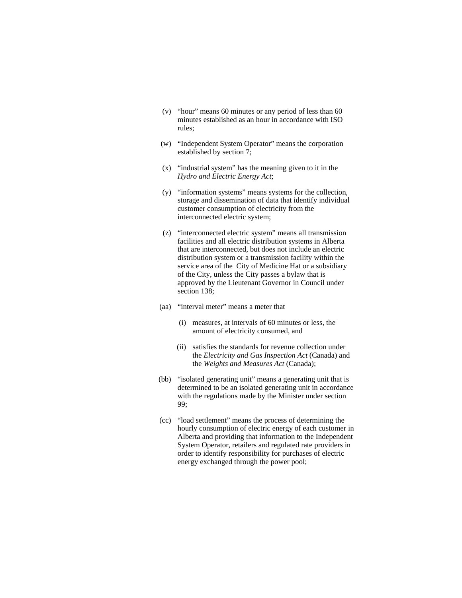- (v) "hour" means 60 minutes or any period of less than 60 minutes established as an hour in accordance with ISO rules;
- (w) "Independent System Operator" means the corporation established by section 7;
- (x) "industrial system" has the meaning given to it in the *Hydro and Electric Energy Act*;
- (y) "information systems" means systems for the collection, storage and dissemination of data that identify individual customer consumption of electricity from the interconnected electric system;
- (z) "interconnected electric system" means all transmission facilities and all electric distribution systems in Alberta that are interconnected, but does not include an electric distribution system or a transmission facility within the service area of the City of Medicine Hat or a subsidiary of the City, unless the City passes a bylaw that is approved by the Lieutenant Governor in Council under section 138;
- (aa) "interval meter" means a meter that
	- (i) measures, at intervals of 60 minutes or less, the amount of electricity consumed, and
	- (ii) satisfies the standards for revenue collection under the *Electricity and Gas Inspection Act* (Canada) and the *Weights and Measures Act* (Canada);
- (bb) "isolated generating unit" means a generating unit that is determined to be an isolated generating unit in accordance with the regulations made by the Minister under section 99;
- (cc) "load settlement" means the process of determining the hourly consumption of electric energy of each customer in Alberta and providing that information to the Independent System Operator, retailers and regulated rate providers in order to identify responsibility for purchases of electric energy exchanged through the power pool;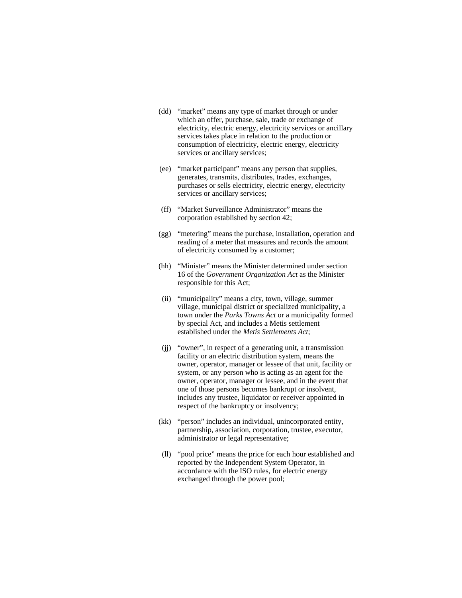- (dd) "market" means any type of market through or under which an offer, purchase, sale, trade or exchange of electricity, electric energy, electricity services or ancillary services takes place in relation to the production or consumption of electricity, electric energy, electricity services or ancillary services;
- (ee) "market participant" means any person that supplies, generates, transmits, distributes, trades, exchanges, purchases or sells electricity, electric energy, electricity services or ancillary services;
- (ff) "Market Surveillance Administrator" means the corporation established by section 42;
- (gg) "metering" means the purchase, installation, operation and reading of a meter that measures and records the amount of electricity consumed by a customer;
- (hh) "Minister" means the Minister determined under section 16 of the *Government Organization Act* as the Minister responsible for this Act;
- (ii) "municipality" means a city, town, village, summer village, municipal district or specialized municipality, a town under the *Parks Towns Act* or a municipality formed by special Act, and includes a Metis settlement established under the *Metis Settlements Act*;
- (jj) "owner", in respect of a generating unit, a transmission facility or an electric distribution system, means the owner, operator, manager or lessee of that unit, facility or system, or any person who is acting as an agent for the owner, operator, manager or lessee, and in the event that one of those persons becomes bankrupt or insolvent, includes any trustee, liquidator or receiver appointed in respect of the bankruptcy or insolvency;
- (kk) "person" includes an individual, unincorporated entity, partnership, association, corporation, trustee, executor, administrator or legal representative;
- (ll) "pool price" means the price for each hour established and reported by the Independent System Operator, in accordance with the ISO rules, for electric energy exchanged through the power pool;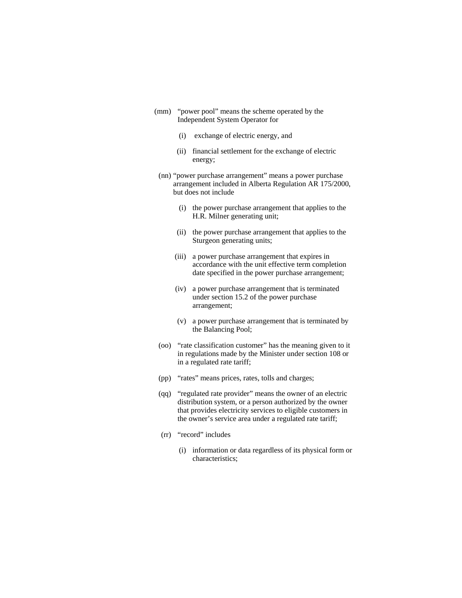- (mm) "power pool" means the scheme operated by the Independent System Operator for
	- (i) exchange of electric energy, and
	- (ii) financial settlement for the exchange of electric energy;
	- (nn) "power purchase arrangement" means a power purchase arrangement included in Alberta Regulation AR 175/2000, but does not include
		- (i) the power purchase arrangement that applies to the H.R. Milner generating unit;
		- (ii) the power purchase arrangement that applies to the Sturgeon generating units;
		- (iii) a power purchase arrangement that expires in accordance with the unit effective term completion date specified in the power purchase arrangement;
		- (iv) a power purchase arrangement that is terminated under section 15.2 of the power purchase arrangement;
		- (v) a power purchase arrangement that is terminated by the Balancing Pool;
	- (oo) "rate classification customer" has the meaning given to it in regulations made by the Minister under section 108 or in a regulated rate tariff;
	- (pp) "rates" means prices, rates, tolls and charges;
	- (qq) "regulated rate provider" means the owner of an electric distribution system, or a person authorized by the owner that provides electricity services to eligible customers in the owner's service area under a regulated rate tariff;
	- (rr) "record" includes
		- (i) information or data regardless of its physical form or characteristics;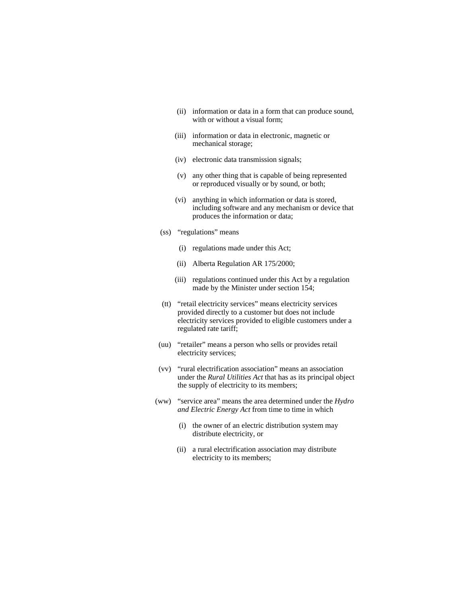- (ii) information or data in a form that can produce sound, with or without a visual form;
- (iii) information or data in electronic, magnetic or mechanical storage;
- (iv) electronic data transmission signals;
- (v) any other thing that is capable of being represented or reproduced visually or by sound, or both;
- (vi) anything in which information or data is stored, including software and any mechanism or device that produces the information or data;
- (ss) "regulations" means
	- (i) regulations made under this Act;
	- (ii) Alberta Regulation AR 175/2000;
	- (iii) regulations continued under this Act by a regulation made by the Minister under section 154;
- (tt) "retail electricity services" means electricity services provided directly to a customer but does not include electricity services provided to eligible customers under a regulated rate tariff;
- (uu) "retailer" means a person who sells or provides retail electricity services;
- (vv) "rural electrification association" means an association under the *Rural Utilities Act* that has as its principal object the supply of electricity to its members;
- (ww) "service area" means the area determined under the *Hydro and Electric Energy Act* from time to time in which
	- (i) the owner of an electric distribution system may distribute electricity, or
	- (ii) a rural electrification association may distribute electricity to its members;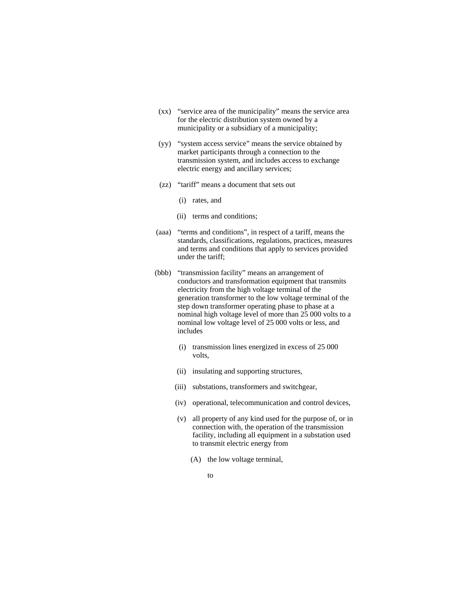- (xx) "service area of the municipality" means the service area for the electric distribution system owned by a municipality or a subsidiary of a municipality;
- (yy) "system access service" means the service obtained by market participants through a connection to the transmission system, and includes access to exchange electric energy and ancillary services;
- (zz) "tariff" means a document that sets out
	- (i) rates, and
	- (ii) terms and conditions;
- (aaa) "terms and conditions", in respect of a tariff, means the standards, classifications, regulations, practices, measures and terms and conditions that apply to services provided under the tariff;
- (bbb) "transmission facility" means an arrangement of conductors and transformation equipment that transmits electricity from the high voltage terminal of the generation transformer to the low voltage terminal of the step down transformer operating phase to phase at a nominal high voltage level of more than 25 000 volts to a nominal low voltage level of 25 000 volts or less, and includes
	- (i) transmission lines energized in excess of 25 000 volts,
	- (ii) insulating and supporting structures,
	- (iii) substations, transformers and switchgear,
	- (iv) operational, telecommunication and control devices,
	- (v) all property of any kind used for the purpose of, or in connection with, the operation of the transmission facility, including all equipment in a substation used to transmit electric energy from
		- (A) the low voltage terminal,
- to the contract of the contract of the contract of the contract of the contract of the contract of the contract of the contract of the contract of the contract of the contract of the contract of the contract of the contrac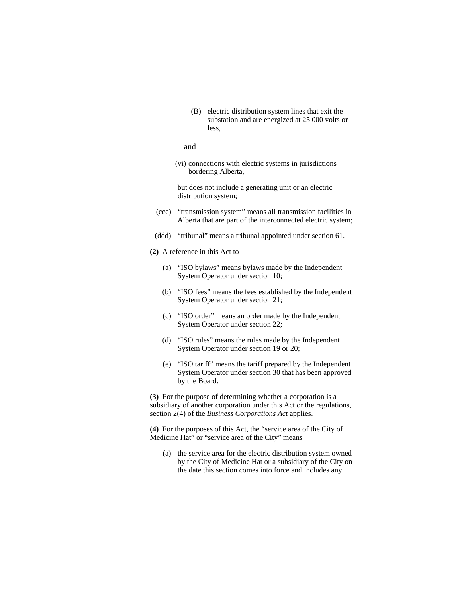(B) electric distribution system lines that exit the substation and are energized at 25 000 volts or less,

#### and

(vi) connections with electric systems in jurisdictions bordering Alberta,

 but does not include a generating unit or an electric distribution system;

- (ccc) "transmission system" means all transmission facilities in Alberta that are part of the interconnected electric system;
- (ddd) "tribunal" means a tribunal appointed under section 61.
- **(2)** A reference in this Act to
	- (a) "ISO bylaws" means bylaws made by the Independent System Operator under section 10;
	- (b) "ISO fees" means the fees established by the Independent System Operator under section 21;
	- (c) "ISO order" means an order made by the Independent System Operator under section 22;
	- (d) "ISO rules" means the rules made by the Independent System Operator under section 19 or 20;
	- (e) "ISO tariff" means the tariff prepared by the Independent System Operator under section 30 that has been approved by the Board.

**(3)** For the purpose of determining whether a corporation is a subsidiary of another corporation under this Act or the regulations, section 2(4) of the *Business Corporations Act* applies.

**(4)** For the purposes of this Act, the "service area of the City of Medicine Hat" or "service area of the City" means

(a) the service area for the electric distribution system owned by the City of Medicine Hat or a subsidiary of the City on the date this section comes into force and includes any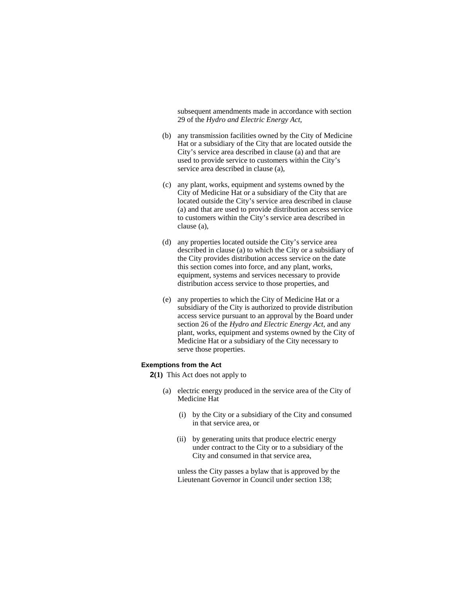subsequent amendments made in accordance with section 29 of the *Hydro and Electric Energy Act*,

- (b) any transmission facilities owned by the City of Medicine Hat or a subsidiary of the City that are located outside the City's service area described in clause (a) and that are used to provide service to customers within the City's service area described in clause (a),
- (c) any plant, works, equipment and systems owned by the City of Medicine Hat or a subsidiary of the City that are located outside the City's service area described in clause (a) and that are used to provide distribution access service to customers within the City's service area described in clause (a),
- (d) any properties located outside the City's service area described in clause (a) to which the City or a subsidiary of the City provides distribution access service on the date this section comes into force, and any plant, works, equipment, systems and services necessary to provide distribution access service to those properties, and
- (e) any properties to which the City of Medicine Hat or a subsidiary of the City is authorized to provide distribution access service pursuant to an approval by the Board under section 26 of the *Hydro and Electric Energy Act*, and any plant, works, equipment and systems owned by the City of Medicine Hat or a subsidiary of the City necessary to serve those properties.

#### **Exemptions from the Act**

**2(1)** This Act does not apply to

- (a) electric energy produced in the service area of the City of Medicine Hat
	- (i) by the City or a subsidiary of the City and consumed in that service area, or
	- (ii) by generating units that produce electric energy under contract to the City or to a subsidiary of the City and consumed in that service area,

 unless the City passes a bylaw that is approved by the Lieutenant Governor in Council under section 138;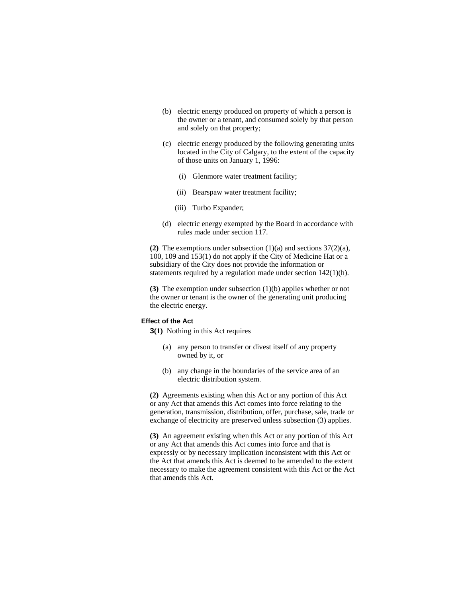- (b) electric energy produced on property of which a person is the owner or a tenant, and consumed solely by that person and solely on that property;
- (c) electric energy produced by the following generating units located in the City of Calgary, to the extent of the capacity of those units on January 1, 1996:
	- (i) Glenmore water treatment facility;
	- (ii) Bearspaw water treatment facility;
	- (iii) Turbo Expander;
- (d) electric energy exempted by the Board in accordance with rules made under section 117.

**(2)** The exemptions under subsection (1)(a) and sections 37(2)(a), 100, 109 and 153(1) do not apply if the City of Medicine Hat or a subsidiary of the City does not provide the information or statements required by a regulation made under section 142(1)(h).

**(3)** The exemption under subsection (1)(b) applies whether or not the owner or tenant is the owner of the generating unit producing the electric energy.

#### **Effect of the Act**

**3(1)** Nothing in this Act requires

- (a) any person to transfer or divest itself of any property owned by it, or
- (b) any change in the boundaries of the service area of an electric distribution system.

**(2)** Agreements existing when this Act or any portion of this Act or any Act that amends this Act comes into force relating to the generation, transmission, distribution, offer, purchase, sale, trade or exchange of electricity are preserved unless subsection (3) applies.

**(3)** An agreement existing when this Act or any portion of this Act or any Act that amends this Act comes into force and that is expressly or by necessary implication inconsistent with this Act or the Act that amends this Act is deemed to be amended to the extent necessary to make the agreement consistent with this Act or the Act that amends this Act.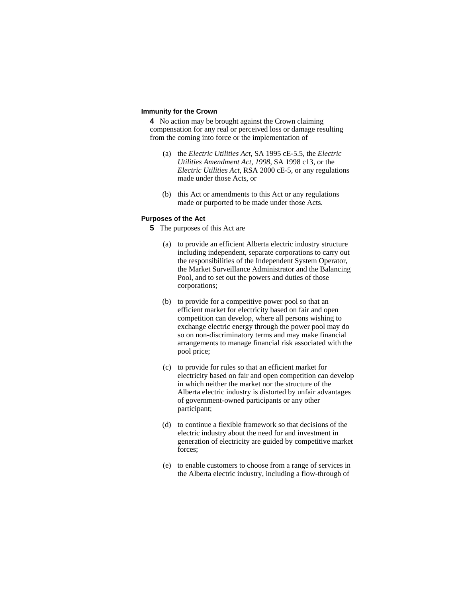#### **Immunity for the Crown**

**4** No action may be brought against the Crown claiming compensation for any real or perceived loss or damage resulting from the coming into force or the implementation of

- (a) the *Electric Utilities Act*, SA 1995 cE-5.5, the *Electric Utilities Amendment Act*, *1998*, SA 1998 c13, or the *Electric Utilities Act*, RSA 2000 cE-5, or any regulations made under those Acts, or
- (b) this Act or amendments to this Act or any regulations made or purported to be made under those Acts.

#### **Purposes of the Act**

**5** The purposes of this Act are

- (a) to provide an efficient Alberta electric industry structure including independent, separate corporations to carry out the responsibilities of the Independent System Operator, the Market Surveillance Administrator and the Balancing Pool, and to set out the powers and duties of those corporations;
- (b) to provide for a competitive power pool so that an efficient market for electricity based on fair and open competition can develop, where all persons wishing to exchange electric energy through the power pool may do so on non-discriminatory terms and may make financial arrangements to manage financial risk associated with the pool price;
- (c) to provide for rules so that an efficient market for electricity based on fair and open competition can develop in which neither the market nor the structure of the Alberta electric industry is distorted by unfair advantages of government-owned participants or any other participant;
- (d) to continue a flexible framework so that decisions of the electric industry about the need for and investment in generation of electricity are guided by competitive market forces;
- (e) to enable customers to choose from a range of services in the Alberta electric industry, including a flow-through of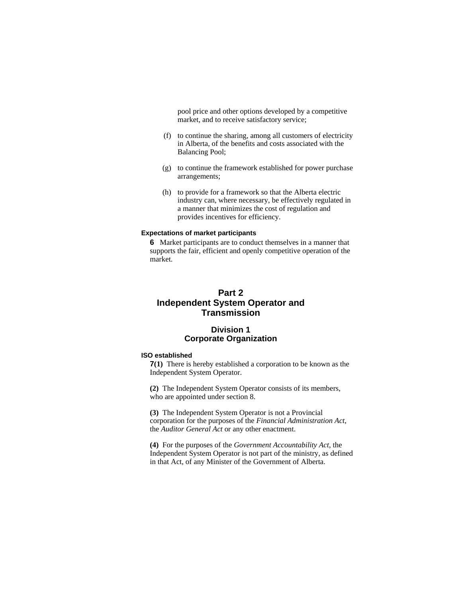pool price and other options developed by a competitive market, and to receive satisfactory service;

- (f) to continue the sharing, among all customers of electricity in Alberta, of the benefits and costs associated with the Balancing Pool;
- (g) to continue the framework established for power purchase arrangements;
- (h) to provide for a framework so that the Alberta electric industry can, where necessary, be effectively regulated in a manner that minimizes the cost of regulation and provides incentives for efficiency.

# **Expectations of market participants**

**6** Market participants are to conduct themselves in a manner that supports the fair, efficient and openly competitive operation of the market.

# **Part 2 Independent System Operator and Transmission**

# **Division 1 Corporate Organization**

### **ISO established**

**7(1)** There is hereby established a corporation to be known as the Independent System Operator.

**(2)** The Independent System Operator consists of its members, who are appointed under section 8.

**(3)** The Independent System Operator is not a Provincial corporation for the purposes of the *Financial Administration Act*, the *Auditor General Act* or any other enactment.

**(4)** For the purposes of the *Government Accountability Act*, the Independent System Operator is not part of the ministry, as defined in that Act, of any Minister of the Government of Alberta.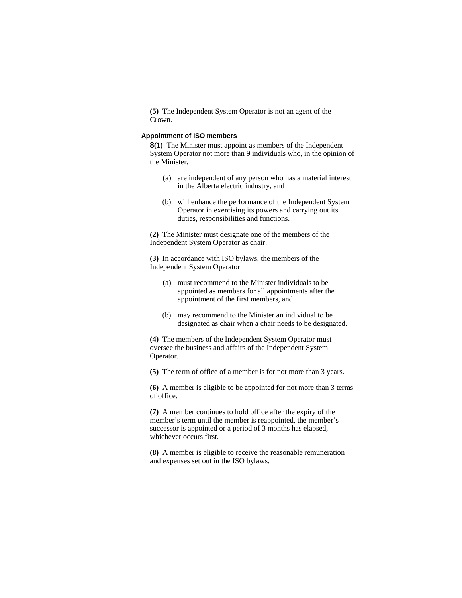**(5)** The Independent System Operator is not an agent of the Crown.

#### **Appointment of ISO members**

**8(1)** The Minister must appoint as members of the Independent System Operator not more than 9 individuals who, in the opinion of the Minister,

- (a) are independent of any person who has a material interest in the Alberta electric industry, and
- (b) will enhance the performance of the Independent System Operator in exercising its powers and carrying out its duties, responsibilities and functions.

**(2)** The Minister must designate one of the members of the Independent System Operator as chair.

**(3)** In accordance with ISO bylaws, the members of the Independent System Operator

- (a) must recommend to the Minister individuals to be appointed as members for all appointments after the appointment of the first members, and
- (b) may recommend to the Minister an individual to be designated as chair when a chair needs to be designated.

**(4)** The members of the Independent System Operator must oversee the business and affairs of the Independent System Operator.

**(5)** The term of office of a member is for not more than 3 years.

**(6)** A member is eligible to be appointed for not more than 3 terms of office.

**(7)** A member continues to hold office after the expiry of the member's term until the member is reappointed, the member's successor is appointed or a period of 3 months has elapsed, whichever occurs first.

**(8)** A member is eligible to receive the reasonable remuneration and expenses set out in the ISO bylaws.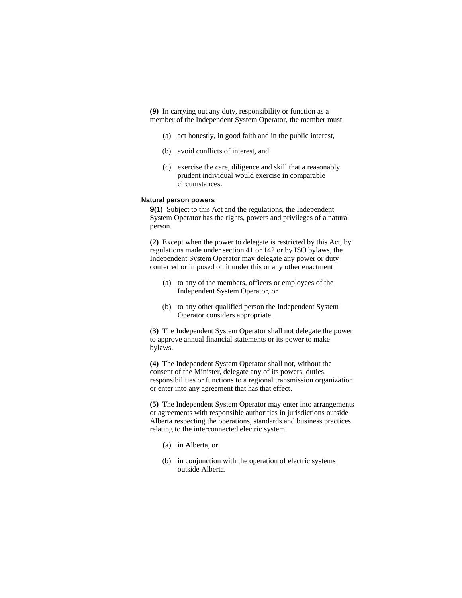**(9)** In carrying out any duty, responsibility or function as a member of the Independent System Operator, the member must

- (a) act honestly, in good faith and in the public interest,
- (b) avoid conflicts of interest, and
- (c) exercise the care, diligence and skill that a reasonably prudent individual would exercise in comparable circumstances.

## **Natural person powers**

**9(1)** Subject to this Act and the regulations, the Independent System Operator has the rights, powers and privileges of a natural person.

**(2)** Except when the power to delegate is restricted by this Act, by regulations made under section 41 or 142 or by ISO bylaws, the Independent System Operator may delegate any power or duty conferred or imposed on it under this or any other enactment

- (a) to any of the members, officers or employees of the Independent System Operator, or
- (b) to any other qualified person the Independent System Operator considers appropriate.

**(3)** The Independent System Operator shall not delegate the power to approve annual financial statements or its power to make bylaws.

**(4)** The Independent System Operator shall not, without the consent of the Minister, delegate any of its powers, duties, responsibilities or functions to a regional transmission organization or enter into any agreement that has that effect.

**(5)** The Independent System Operator may enter into arrangements or agreements with responsible authorities in jurisdictions outside Alberta respecting the operations, standards and business practices relating to the interconnected electric system

- (a) in Alberta, or
- (b) in conjunction with the operation of electric systems outside Alberta.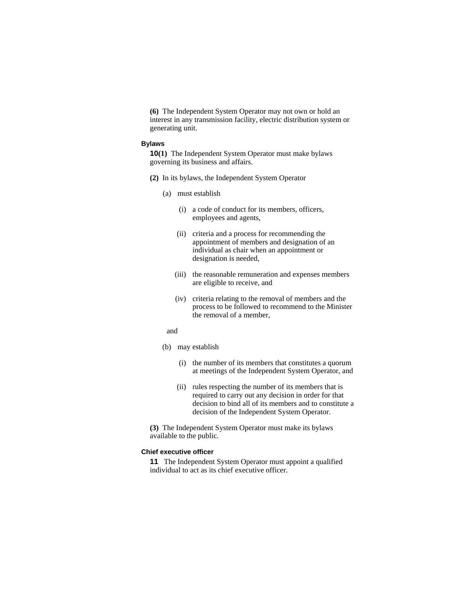**(6)** The Independent System Operator may not own or hold an interest in any transmission facility, electric distribution system or generating unit.

#### **Bylaws**

**10(1)** The Independent System Operator must make bylaws governing its business and affairs.

- **(2)** In its bylaws, the Independent System Operator
	- (a) must establish
		- (i) a code of conduct for its members, officers, employees and agents,
		- (ii) criteria and a process for recommending the appointment of members and designation of an individual as chair when an appointment or designation is needed,
		- (iii) the reasonable remuneration and expenses members are eligible to receive, and
		- (iv) criteria relating to the removal of members and the process to be followed to recommend to the Minister the removal of a member,

and

- (b) may establish
	- (i) the number of its members that constitutes a quorum at meetings of the Independent System Operator, and
	- (ii) rules respecting the number of its members that is required to carry out any decision in order for that decision to bind all of its members and to constitute a decision of the Independent System Operator.

**(3)** The Independent System Operator must make its bylaws available to the public.

#### **Chief executive officer**

**11** The Independent System Operator must appoint a qualified individual to act as its chief executive officer.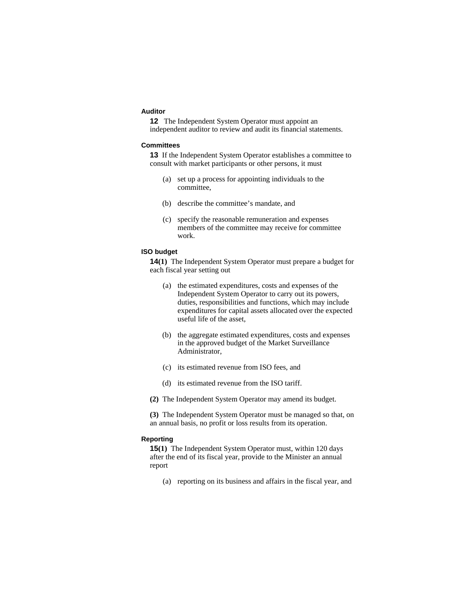#### **Auditor**

**12** The Independent System Operator must appoint an independent auditor to review and audit its financial statements.

#### **Committees**

**13** If the Independent System Operator establishes a committee to consult with market participants or other persons, it must

- (a) set up a process for appointing individuals to the committee,
- (b) describe the committee's mandate, and
- (c) specify the reasonable remuneration and expenses members of the committee may receive for committee work.

#### **ISO budget**

**14(1)** The Independent System Operator must prepare a budget for each fiscal year setting out

- (a) the estimated expenditures, costs and expenses of the Independent System Operator to carry out its powers, duties, responsibilities and functions, which may include expenditures for capital assets allocated over the expected useful life of the asset,
- (b) the aggregate estimated expenditures, costs and expenses in the approved budget of the Market Surveillance Administrator,
- (c) its estimated revenue from ISO fees, and
- (d) its estimated revenue from the ISO tariff.
- **(2)** The Independent System Operator may amend its budget.

**(3)** The Independent System Operator must be managed so that, on an annual basis, no profit or loss results from its operation.

#### **Reporting**

**15(1)** The Independent System Operator must, within 120 days after the end of its fiscal year, provide to the Minister an annual report

(a) reporting on its business and affairs in the fiscal year, and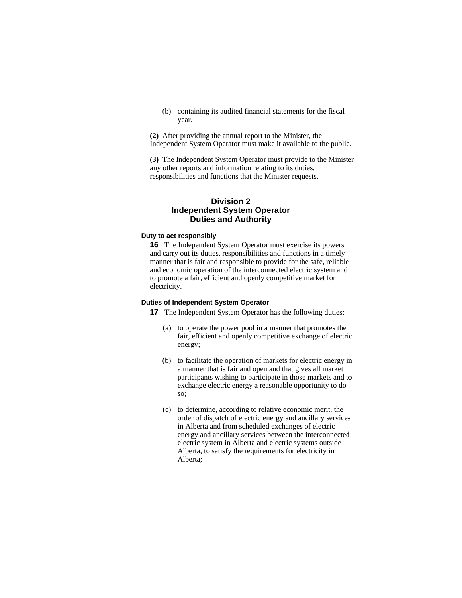(b) containing its audited financial statements for the fiscal year.

**(2)** After providing the annual report to the Minister, the Independent System Operator must make it available to the public.

**(3)** The Independent System Operator must provide to the Minister any other reports and information relating to its duties, responsibilities and functions that the Minister requests.

## **Division 2 Independent System Operator Duties and Authority**

## **Duty to act responsibly**

**16** The Independent System Operator must exercise its powers and carry out its duties, responsibilities and functions in a timely manner that is fair and responsible to provide for the safe, reliable and economic operation of the interconnected electric system and to promote a fair, efficient and openly competitive market for electricity.

#### **Duties of Independent System Operator**

**17** The Independent System Operator has the following duties:

- (a) to operate the power pool in a manner that promotes the fair, efficient and openly competitive exchange of electric energy;
- (b) to facilitate the operation of markets for electric energy in a manner that is fair and open and that gives all market participants wishing to participate in those markets and to exchange electric energy a reasonable opportunity to do so;
- (c) to determine, according to relative economic merit, the order of dispatch of electric energy and ancillary services in Alberta and from scheduled exchanges of electric energy and ancillary services between the interconnected electric system in Alberta and electric systems outside Alberta, to satisfy the requirements for electricity in Alberta;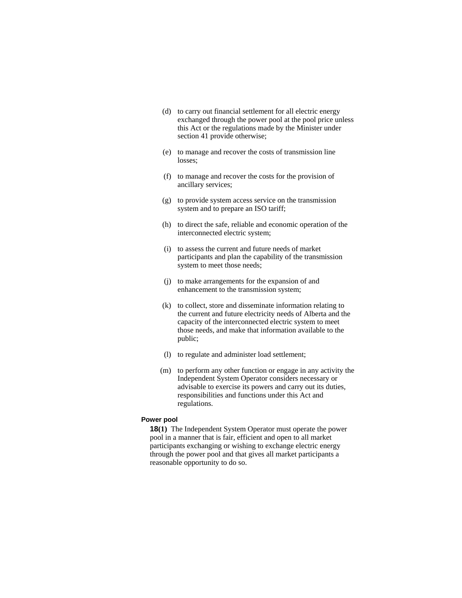- (d) to carry out financial settlement for all electric energy exchanged through the power pool at the pool price unless this Act or the regulations made by the Minister under section 41 provide otherwise;
- (e) to manage and recover the costs of transmission line losses;
- (f) to manage and recover the costs for the provision of ancillary services;
- (g) to provide system access service on the transmission system and to prepare an ISO tariff;
- (h) to direct the safe, reliable and economic operation of the interconnected electric system;
- (i) to assess the current and future needs of market participants and plan the capability of the transmission system to meet those needs;
- (j) to make arrangements for the expansion of and enhancement to the transmission system;
- (k) to collect, store and disseminate information relating to the current and future electricity needs of Alberta and the capacity of the interconnected electric system to meet those needs, and make that information available to the public;
- (l) to regulate and administer load settlement;
- (m) to perform any other function or engage in any activity the Independent System Operator considers necessary or advisable to exercise its powers and carry out its duties, responsibilities and functions under this Act and regulations.

### **Power pool**

**18(1)** The Independent System Operator must operate the power pool in a manner that is fair, efficient and open to all market participants exchanging or wishing to exchange electric energy through the power pool and that gives all market participants a reasonable opportunity to do so.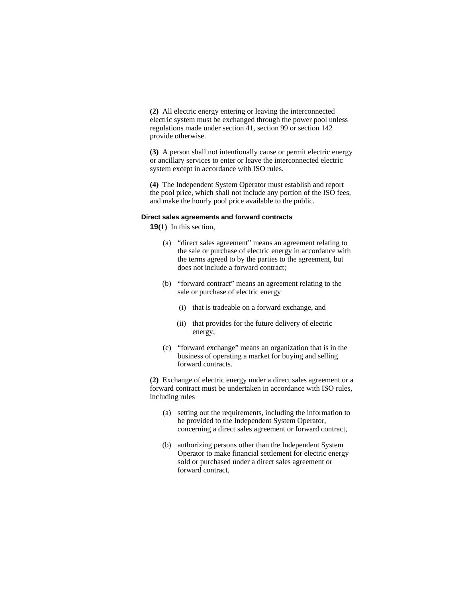**(2)** All electric energy entering or leaving the interconnected electric system must be exchanged through the power pool unless regulations made under section 41, section 99 or section 142 provide otherwise.

**(3)** A person shall not intentionally cause or permit electric energy or ancillary services to enter or leave the interconnected electric system except in accordance with ISO rules.

**(4)** The Independent System Operator must establish and report the pool price, which shall not include any portion of the ISO fees, and make the hourly pool price available to the public.

#### **Direct sales agreements and forward contracts**

**19(1)** In this section,

- (a) "direct sales agreement" means an agreement relating to the sale or purchase of electric energy in accordance with the terms agreed to by the parties to the agreement, but does not include a forward contract;
- (b) "forward contract" means an agreement relating to the sale or purchase of electric energy
	- (i) that is tradeable on a forward exchange, and
	- (ii) that provides for the future delivery of electric energy;
- (c) "forward exchange" means an organization that is in the business of operating a market for buying and selling forward contracts.

**(2)** Exchange of electric energy under a direct sales agreement or a forward contract must be undertaken in accordance with ISO rules, including rules

- (a) setting out the requirements, including the information to be provided to the Independent System Operator, concerning a direct sales agreement or forward contract,
- (b) authorizing persons other than the Independent System Operator to make financial settlement for electric energy sold or purchased under a direct sales agreement or forward contract,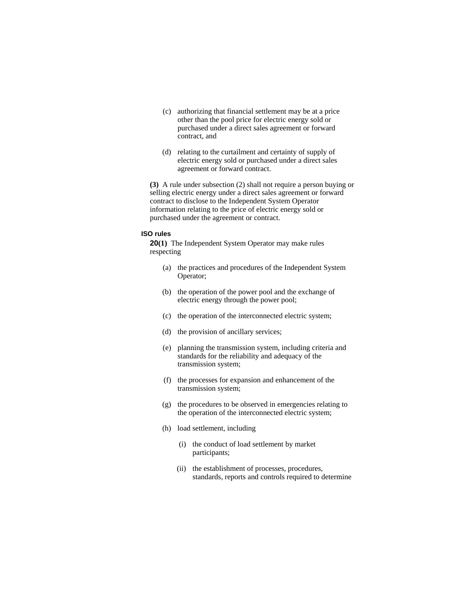- (c) authorizing that financial settlement may be at a price other than the pool price for electric energy sold or purchased under a direct sales agreement or forward contract, and
- (d) relating to the curtailment and certainty of supply of electric energy sold or purchased under a direct sales agreement or forward contract.

**(3)** A rule under subsection (2) shall not require a person buying or selling electric energy under a direct sales agreement or forward contract to disclose to the Independent System Operator information relating to the price of electric energy sold or purchased under the agreement or contract.

### **ISO rules**

**20(1)** The Independent System Operator may make rules respecting

- (a) the practices and procedures of the Independent System Operator;
- (b) the operation of the power pool and the exchange of electric energy through the power pool;
- (c) the operation of the interconnected electric system;
- (d) the provision of ancillary services;
- (e) planning the transmission system, including criteria and standards for the reliability and adequacy of the transmission system;
- (f) the processes for expansion and enhancement of the transmission system;
- (g) the procedures to be observed in emergencies relating to the operation of the interconnected electric system;
- (h) load settlement, including
	- (i) the conduct of load settlement by market participants;
	- (ii) the establishment of processes, procedures, standards, reports and controls required to determine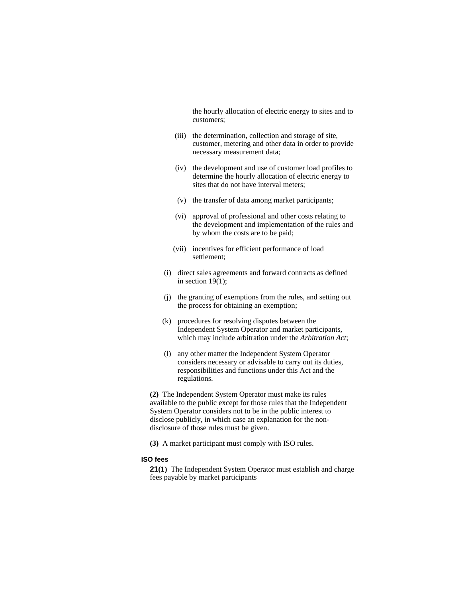the hourly allocation of electric energy to sites and to customers;

- (iii) the determination, collection and storage of site, customer, metering and other data in order to provide necessary measurement data;
- (iv) the development and use of customer load profiles to determine the hourly allocation of electric energy to sites that do not have interval meters;
- (v) the transfer of data among market participants;
- (vi) approval of professional and other costs relating to the development and implementation of the rules and by whom the costs are to be paid;
- (vii) incentives for efficient performance of load settlement;
- (i) direct sales agreements and forward contracts as defined in section  $19(1)$ ;
- (j) the granting of exemptions from the rules, and setting out the process for obtaining an exemption;
- (k) procedures for resolving disputes between the Independent System Operator and market participants, which may include arbitration under the *Arbitration Act*;
- (l) any other matter the Independent System Operator considers necessary or advisable to carry out its duties, responsibilities and functions under this Act and the regulations.

**(2)** The Independent System Operator must make its rules available to the public except for those rules that the Independent System Operator considers not to be in the public interest to disclose publicly, in which case an explanation for the nondisclosure of those rules must be given.

**(3)** A market participant must comply with ISO rules.

#### **ISO fees**

**21(1)** The Independent System Operator must establish and charge fees payable by market participants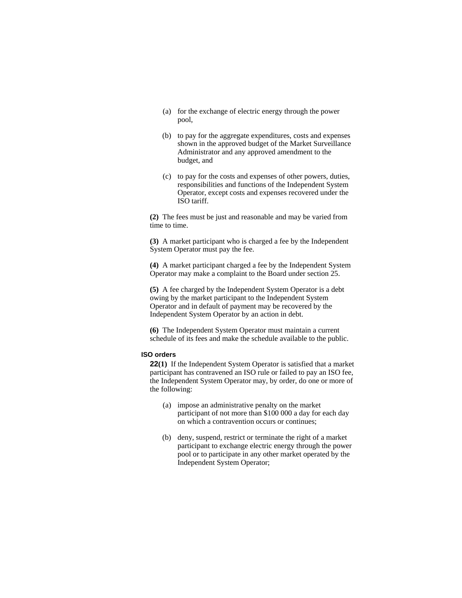- (a) for the exchange of electric energy through the power pool,
- (b) to pay for the aggregate expenditures, costs and expenses shown in the approved budget of the Market Surveillance Administrator and any approved amendment to the budget, and
- (c) to pay for the costs and expenses of other powers, duties, responsibilities and functions of the Independent System Operator, except costs and expenses recovered under the ISO tariff.

**(2)** The fees must be just and reasonable and may be varied from time to time.

**(3)** A market participant who is charged a fee by the Independent System Operator must pay the fee.

**(4)** A market participant charged a fee by the Independent System Operator may make a complaint to the Board under section 25.

**(5)** A fee charged by the Independent System Operator is a debt owing by the market participant to the Independent System Operator and in default of payment may be recovered by the Independent System Operator by an action in debt.

**(6)** The Independent System Operator must maintain a current schedule of its fees and make the schedule available to the public.

#### **ISO orders**

**22(1)** If the Independent System Operator is satisfied that a market participant has contravened an ISO rule or failed to pay an ISO fee, the Independent System Operator may, by order, do one or more of the following:

- (a) impose an administrative penalty on the market participant of not more than \$100 000 a day for each day on which a contravention occurs or continues;
- (b) deny, suspend, restrict or terminate the right of a market participant to exchange electric energy through the power pool or to participate in any other market operated by the Independent System Operator;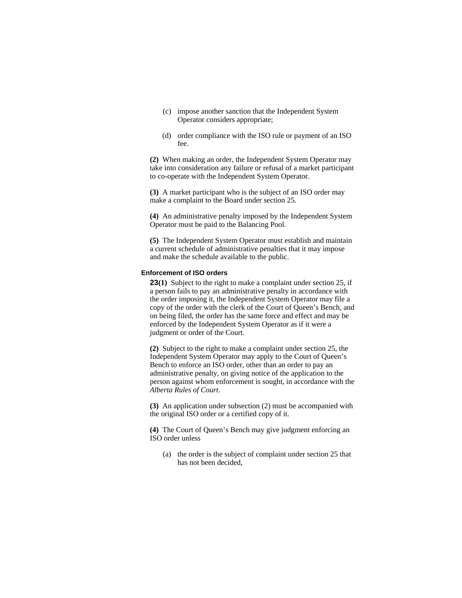- (c) impose another sanction that the Independent System Operator considers appropriate;
- (d) order compliance with the ISO rule or payment of an ISO fee.

**(2)** When making an order, the Independent System Operator may take into consideration any failure or refusal of a market participant to co-operate with the Independent System Operator.

**(3)** A market participant who is the subject of an ISO order may make a complaint to the Board under section 25.

**(4)** An administrative penalty imposed by the Independent System Operator must be paid to the Balancing Pool.

**(5)** The Independent System Operator must establish and maintain a current schedule of administrative penalties that it may impose and make the schedule available to the public.

#### **Enforcement of ISO orders**

**23(1)** Subject to the right to make a complaint under section 25, if a person fails to pay an administrative penalty in accordance with the order imposing it, the Independent System Operator may file a copy of the order with the clerk of the Court of Queen's Bench, and on being filed, the order has the same force and effect and may be enforced by the Independent System Operator as if it were a judgment or order of the Court.

**(2)** Subject to the right to make a complaint under section 25, the Independent System Operator may apply to the Court of Queen's Bench to enforce an ISO order, other than an order to pay an administrative penalty, on giving notice of the application to the person against whom enforcement is sought, in accordance with the *Alberta Rules of Court*.

**(3)** An application under subsection (2) must be accompanied with the original ISO order or a certified copy of it.

**(4)** The Court of Queen's Bench may give judgment enforcing an ISO order unless

 (a) the order is the subject of complaint under section 25 that has not been decided,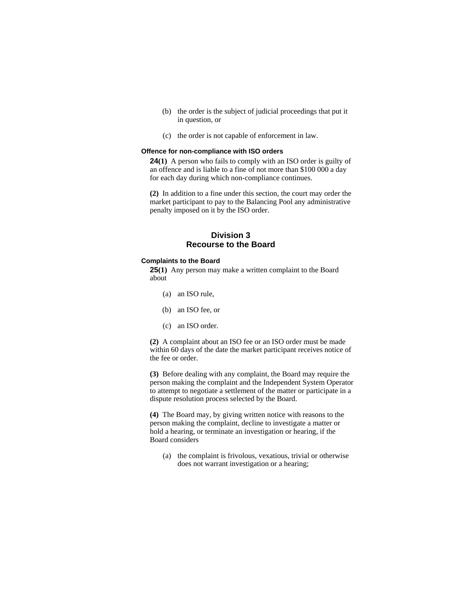- (b) the order is the subject of judicial proceedings that put it in question, or
- (c) the order is not capable of enforcement in law.

#### **Offence for non-compliance with ISO orders**

**24(1)** A person who fails to comply with an ISO order is guilty of an offence and is liable to a fine of not more than \$100 000 a day for each day during which non-compliance continues.

**(2)** In addition to a fine under this section, the court may order the market participant to pay to the Balancing Pool any administrative penalty imposed on it by the ISO order.

### **Division 3 Recourse to the Board**

#### **Complaints to the Board**

**25(1)** Any person may make a written complaint to the Board about

- (a) an ISO rule,
- (b) an ISO fee, or
- (c) an ISO order.

**(2)** A complaint about an ISO fee or an ISO order must be made within 60 days of the date the market participant receives notice of the fee or order.

**(3)** Before dealing with any complaint, the Board may require the person making the complaint and the Independent System Operator to attempt to negotiate a settlement of the matter or participate in a dispute resolution process selected by the Board.

**(4)** The Board may, by giving written notice with reasons to the person making the complaint, decline to investigate a matter or hold a hearing, or terminate an investigation or hearing, if the Board considers

 (a) the complaint is frivolous, vexatious, trivial or otherwise does not warrant investigation or a hearing;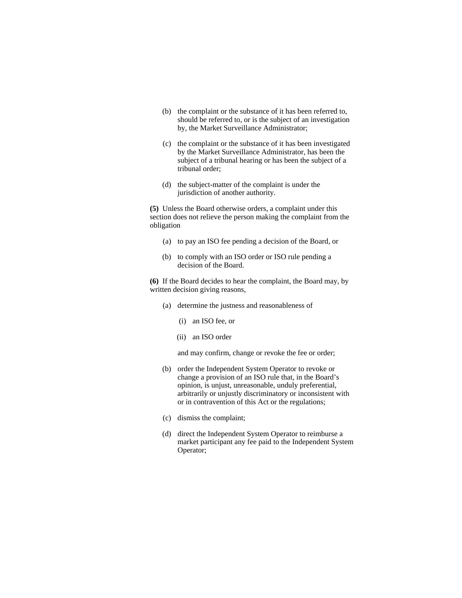- (b) the complaint or the substance of it has been referred to, should be referred to, or is the subject of an investigation by, the Market Surveillance Administrator;
- (c) the complaint or the substance of it has been investigated by the Market Surveillance Administrator, has been the subject of a tribunal hearing or has been the subject of a tribunal order;
- (d) the subject-matter of the complaint is under the jurisdiction of another authority.

**(5)** Unless the Board otherwise orders, a complaint under this section does not relieve the person making the complaint from the obligation

- (a) to pay an ISO fee pending a decision of the Board, or
- (b) to comply with an ISO order or ISO rule pending a decision of the Board.

**(6)** If the Board decides to hear the complaint, the Board may, by written decision giving reasons,

- (a) determine the justness and reasonableness of
	- (i) an ISO fee, or
	- (ii) an ISO order

and may confirm, change or revoke the fee or order;

- (b) order the Independent System Operator to revoke or change a provision of an ISO rule that, in the Board's opinion, is unjust, unreasonable, unduly preferential, arbitrarily or unjustly discriminatory or inconsistent with or in contravention of this Act or the regulations;
- (c) dismiss the complaint;
- (d) direct the Independent System Operator to reimburse a market participant any fee paid to the Independent System Operator;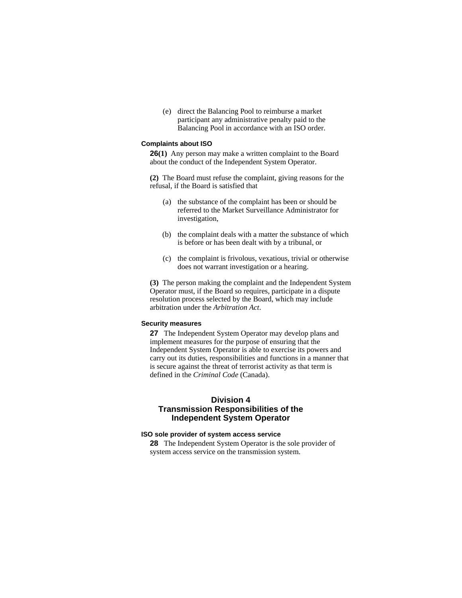(e) direct the Balancing Pool to reimburse a market participant any administrative penalty paid to the Balancing Pool in accordance with an ISO order.

#### **Complaints about ISO**

**26(1)** Any person may make a written complaint to the Board about the conduct of the Independent System Operator.

**(2)** The Board must refuse the complaint, giving reasons for the refusal, if the Board is satisfied that

- (a) the substance of the complaint has been or should be referred to the Market Surveillance Administrator for investigation,
- (b) the complaint deals with a matter the substance of which is before or has been dealt with by a tribunal, or
- (c) the complaint is frivolous, vexatious, trivial or otherwise does not warrant investigation or a hearing.

**(3)** The person making the complaint and the Independent System Operator must, if the Board so requires, participate in a dispute resolution process selected by the Board, which may include arbitration under the *Arbitration Act*.

### **Security measures**

**27** The Independent System Operator may develop plans and implement measures for the purpose of ensuring that the Independent System Operator is able to exercise its powers and carry out its duties, responsibilities and functions in a manner that is secure against the threat of terrorist activity as that term is defined in the *Criminal Code* (Canada).

# **Division 4 Transmission Responsibilities of the Independent System Operator**

#### **ISO sole provider of system access service**

**28** The Independent System Operator is the sole provider of system access service on the transmission system.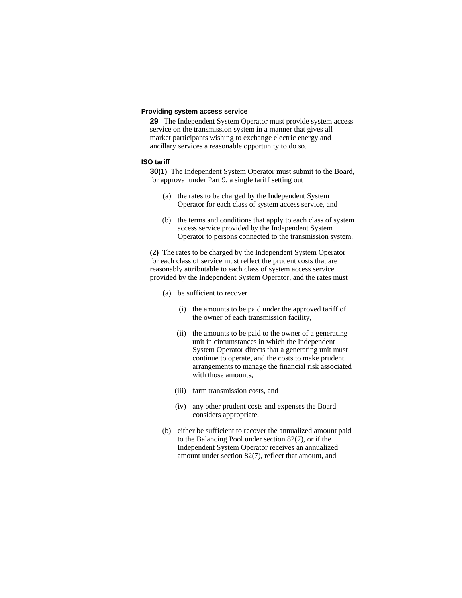### **Providing system access service**

**29** The Independent System Operator must provide system access service on the transmission system in a manner that gives all market participants wishing to exchange electric energy and ancillary services a reasonable opportunity to do so.

#### **ISO tariff**

**30(1)** The Independent System Operator must submit to the Board, for approval under Part 9, a single tariff setting out

- (a) the rates to be charged by the Independent System Operator for each class of system access service, and
- (b) the terms and conditions that apply to each class of system access service provided by the Independent System Operator to persons connected to the transmission system.

**(2)** The rates to be charged by the Independent System Operator for each class of service must reflect the prudent costs that are reasonably attributable to each class of system access service provided by the Independent System Operator, and the rates must

- (a) be sufficient to recover
	- (i) the amounts to be paid under the approved tariff of the owner of each transmission facility,
	- (ii) the amounts to be paid to the owner of a generating unit in circumstances in which the Independent System Operator directs that a generating unit must continue to operate, and the costs to make prudent arrangements to manage the financial risk associated with those amounts,
	- (iii) farm transmission costs, and
	- (iv) any other prudent costs and expenses the Board considers appropriate,
- (b) either be sufficient to recover the annualized amount paid to the Balancing Pool under section 82(7), or if the Independent System Operator receives an annualized amount under section 82(7), reflect that amount, and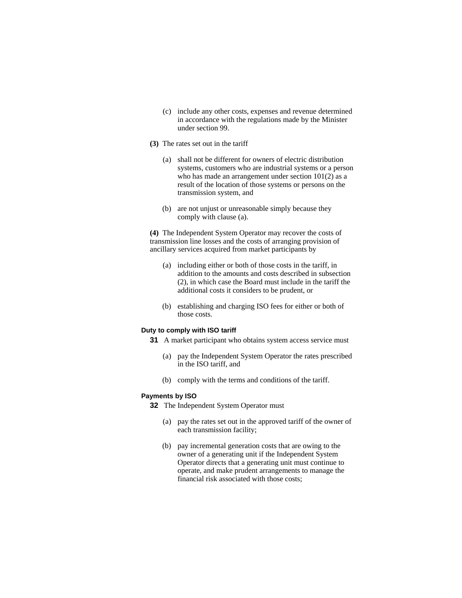- (c) include any other costs, expenses and revenue determined in accordance with the regulations made by the Minister under section 99.
- **(3)** The rates set out in the tariff
	- (a) shall not be different for owners of electric distribution systems, customers who are industrial systems or a person who has made an arrangement under section 101(2) as a result of the location of those systems or persons on the transmission system, and
	- (b) are not unjust or unreasonable simply because they comply with clause (a).

**(4)** The Independent System Operator may recover the costs of transmission line losses and the costs of arranging provision of ancillary services acquired from market participants by

- (a) including either or both of those costs in the tariff, in addition to the amounts and costs described in subsection (2), in which case the Board must include in the tariff the additional costs it considers to be prudent, or
- (b) establishing and charging ISO fees for either or both of those costs.

## **Duty to comply with ISO tariff**

**31** A market participant who obtains system access service must

- (a) pay the Independent System Operator the rates prescribed in the ISO tariff, and
- (b) comply with the terms and conditions of the tariff.

#### **Payments by ISO**

**32** The Independent System Operator must

- (a) pay the rates set out in the approved tariff of the owner of each transmission facility;
- (b) pay incremental generation costs that are owing to the owner of a generating unit if the Independent System Operator directs that a generating unit must continue to operate, and make prudent arrangements to manage the financial risk associated with those costs;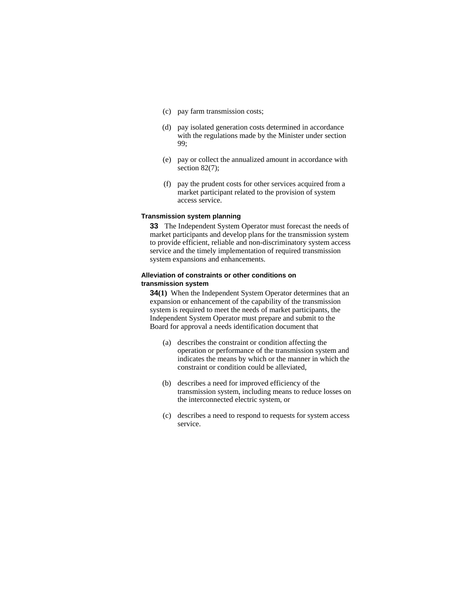- (c) pay farm transmission costs;
- (d) pay isolated generation costs determined in accordance with the regulations made by the Minister under section 99;
- (e) pay or collect the annualized amount in accordance with section 82(7):
- (f) pay the prudent costs for other services acquired from a market participant related to the provision of system access service.

# **Transmission system planning**

**33** The Independent System Operator must forecast the needs of market participants and develop plans for the transmission system to provide efficient, reliable and non-discriminatory system access service and the timely implementation of required transmission system expansions and enhancements.

## **Alleviation of constraints or other conditions on transmission system**

**34(1)** When the Independent System Operator determines that an expansion or enhancement of the capability of the transmission system is required to meet the needs of market participants, the Independent System Operator must prepare and submit to the Board for approval a needs identification document that

- (a) describes the constraint or condition affecting the operation or performance of the transmission system and indicates the means by which or the manner in which the constraint or condition could be alleviated,
- (b) describes a need for improved efficiency of the transmission system, including means to reduce losses on the interconnected electric system, or
- (c) describes a need to respond to requests for system access service.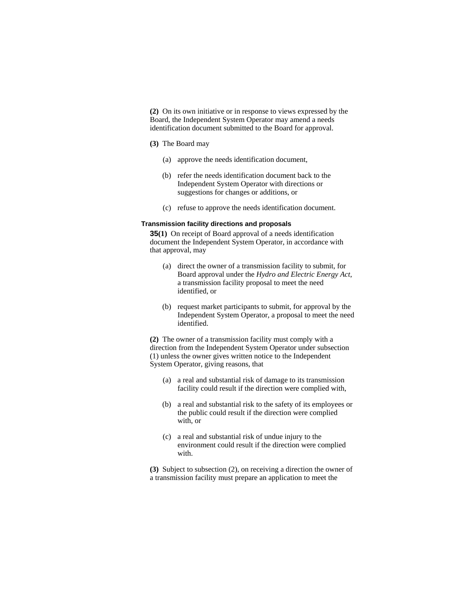**(2)** On its own initiative or in response to views expressed by the Board, the Independent System Operator may amend a needs identification document submitted to the Board for approval.

#### **(3)** The Board may

- (a) approve the needs identification document,
- (b) refer the needs identification document back to the Independent System Operator with directions or suggestions for changes or additions, or
- (c) refuse to approve the needs identification document.

## **Transmission facility directions and proposals**

**35(1)** On receipt of Board approval of a needs identification document the Independent System Operator, in accordance with that approval, may

- (a) direct the owner of a transmission facility to submit, for Board approval under the *Hydro and Electric Energy Act*, a transmission facility proposal to meet the need identified, or
- (b) request market participants to submit, for approval by the Independent System Operator, a proposal to meet the need identified.

**(2)** The owner of a transmission facility must comply with a direction from the Independent System Operator under subsection (1) unless the owner gives written notice to the Independent System Operator, giving reasons, that

- (a) a real and substantial risk of damage to its transmission facility could result if the direction were complied with,
- (b) a real and substantial risk to the safety of its employees or the public could result if the direction were complied with, or
- (c) a real and substantial risk of undue injury to the environment could result if the direction were complied with.

**(3)** Subject to subsection (2), on receiving a direction the owner of a transmission facility must prepare an application to meet the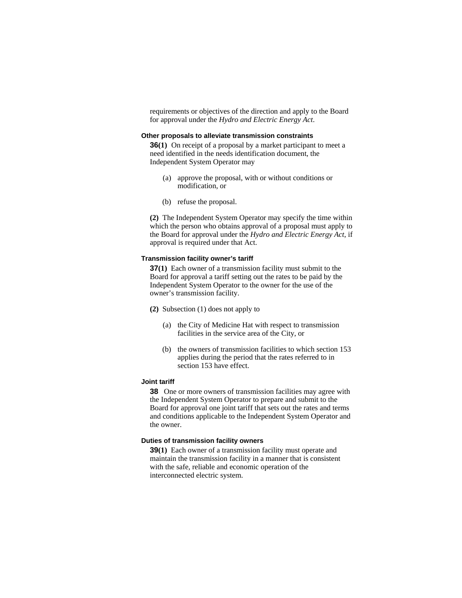requirements or objectives of the direction and apply to the Board for approval under the *Hydro and Electric Energy Act*.

#### **Other proposals to alleviate transmission constraints**

**36(1)** On receipt of a proposal by a market participant to meet a need identified in the needs identification document, the Independent System Operator may

- (a) approve the proposal, with or without conditions or modification, or
- (b) refuse the proposal.

**(2)** The Independent System Operator may specify the time within which the person who obtains approval of a proposal must apply to the Board for approval under the *Hydro and Electric Energy Act*, if approval is required under that Act.

#### **Transmission facility owner's tariff**

**37(1)** Each owner of a transmission facility must submit to the Board for approval a tariff setting out the rates to be paid by the Independent System Operator to the owner for the use of the owner's transmission facility.

- **(2)** Subsection (1) does not apply to
	- (a) the City of Medicine Hat with respect to transmission facilities in the service area of the City, or
	- (b) the owners of transmission facilities to which section 153 applies during the period that the rates referred to in section 153 have effect.

## **Joint tariff**

**38** One or more owners of transmission facilities may agree with the Independent System Operator to prepare and submit to the Board for approval one joint tariff that sets out the rates and terms and conditions applicable to the Independent System Operator and the owner.

## **Duties of transmission facility owners**

**39(1)** Each owner of a transmission facility must operate and maintain the transmission facility in a manner that is consistent with the safe, reliable and economic operation of the interconnected electric system.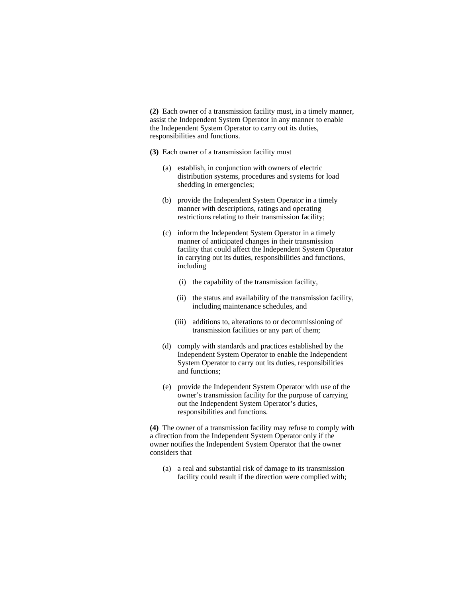**(2)** Each owner of a transmission facility must, in a timely manner, assist the Independent System Operator in any manner to enable the Independent System Operator to carry out its duties, responsibilities and functions.

- **(3)** Each owner of a transmission facility must
	- (a) establish, in conjunction with owners of electric distribution systems, procedures and systems for load shedding in emergencies;
	- (b) provide the Independent System Operator in a timely manner with descriptions, ratings and operating restrictions relating to their transmission facility;
	- (c) inform the Independent System Operator in a timely manner of anticipated changes in their transmission facility that could affect the Independent System Operator in carrying out its duties, responsibilities and functions, including
		- (i) the capability of the transmission facility,
		- (ii) the status and availability of the transmission facility, including maintenance schedules, and
		- (iii) additions to, alterations to or decommissioning of transmission facilities or any part of them;
	- (d) comply with standards and practices established by the Independent System Operator to enable the Independent System Operator to carry out its duties, responsibilities and functions;
	- (e) provide the Independent System Operator with use of the owner's transmission facility for the purpose of carrying out the Independent System Operator's duties, responsibilities and functions.

**(4)** The owner of a transmission facility may refuse to comply with a direction from the Independent System Operator only if the owner notifies the Independent System Operator that the owner considers that

(a) a real and substantial risk of damage to its transmission facility could result if the direction were complied with;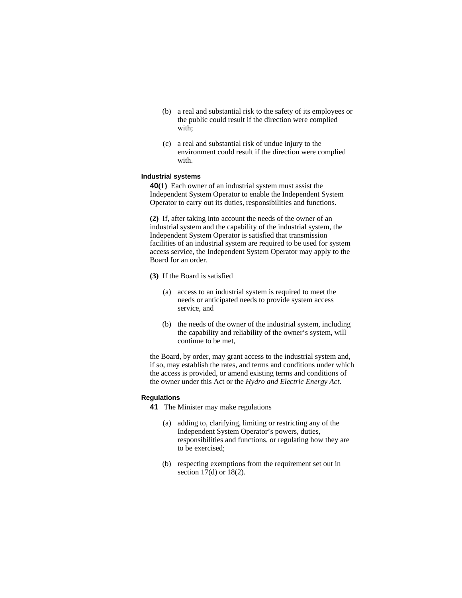- (b) a real and substantial risk to the safety of its employees or the public could result if the direction were complied with;
- (c) a real and substantial risk of undue injury to the environment could result if the direction were complied with.

## **Industrial systems**

**40(1)** Each owner of an industrial system must assist the Independent System Operator to enable the Independent System Operator to carry out its duties, responsibilities and functions.

**(2)** If, after taking into account the needs of the owner of an industrial system and the capability of the industrial system, the Independent System Operator is satisfied that transmission facilities of an industrial system are required to be used for system access service, the Independent System Operator may apply to the Board for an order.

- **(3)** If the Board is satisfied
	- (a) access to an industrial system is required to meet the needs or anticipated needs to provide system access service, and
	- (b) the needs of the owner of the industrial system, including the capability and reliability of the owner's system, will continue to be met,

the Board, by order, may grant access to the industrial system and, if so, may establish the rates, and terms and conditions under which the access is provided, or amend existing terms and conditions of the owner under this Act or the *Hydro and Electric Energy Act*.

## **Regulations**

**41** The Minister may make regulations

- (a) adding to, clarifying, limiting or restricting any of the Independent System Operator's powers, duties, responsibilities and functions, or regulating how they are to be exercised;
- (b) respecting exemptions from the requirement set out in section 17(d) or 18(2).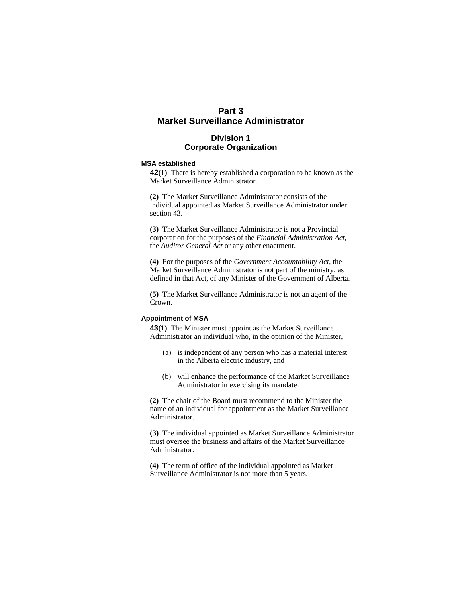# **Part 3 Market Surveillance Administrator**

# **Division 1 Corporate Organization**

#### **MSA established**

**42(1)** There is hereby established a corporation to be known as the Market Surveillance Administrator.

**(2)** The Market Surveillance Administrator consists of the individual appointed as Market Surveillance Administrator under section 43.

**(3)** The Market Surveillance Administrator is not a Provincial corporation for the purposes of the *Financial Administration Act*, the *Auditor General Act* or any other enactment.

**(4)** For the purposes of the *Government Accountability Act*, the Market Surveillance Administrator is not part of the ministry, as defined in that Act, of any Minister of the Government of Alberta.

**(5)** The Market Surveillance Administrator is not an agent of the Crown.

## **Appointment of MSA**

**43(1)** The Minister must appoint as the Market Surveillance Administrator an individual who, in the opinion of the Minister,

- (a) is independent of any person who has a material interest in the Alberta electric industry, and
- (b) will enhance the performance of the Market Surveillance Administrator in exercising its mandate.

**(2)** The chair of the Board must recommend to the Minister the name of an individual for appointment as the Market Surveillance Administrator.

**(3)** The individual appointed as Market Surveillance Administrator must oversee the business and affairs of the Market Surveillance Administrator.

**(4)** The term of office of the individual appointed as Market Surveillance Administrator is not more than 5 years.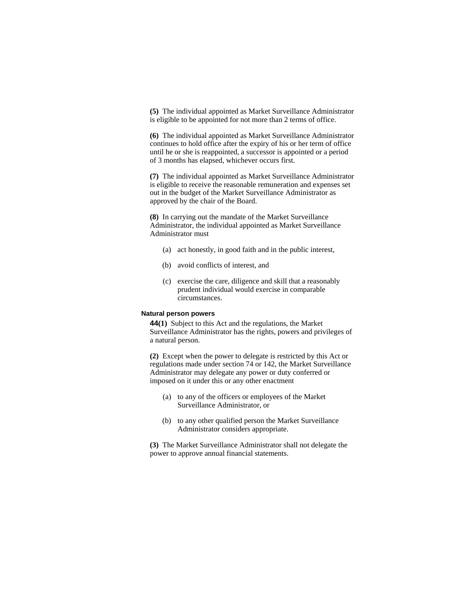**(5)** The individual appointed as Market Surveillance Administrator is eligible to be appointed for not more than 2 terms of office.

**(6)** The individual appointed as Market Surveillance Administrator continues to hold office after the expiry of his or her term of office until he or she is reappointed, a successor is appointed or a period of 3 months has elapsed, whichever occurs first.

**(7)** The individual appointed as Market Surveillance Administrator is eligible to receive the reasonable remuneration and expenses set out in the budget of the Market Surveillance Administrator as approved by the chair of the Board.

**(8)** In carrying out the mandate of the Market Surveillance Administrator, the individual appointed as Market Surveillance Administrator must

- (a) act honestly, in good faith and in the public interest,
- (b) avoid conflicts of interest, and
- (c) exercise the care, diligence and skill that a reasonably prudent individual would exercise in comparable circumstances.

## **Natural person powers**

**44(1)** Subject to this Act and the regulations, the Market Surveillance Administrator has the rights, powers and privileges of a natural person.

**(2)** Except when the power to delegate is restricted by this Act or regulations made under section 74 or 142, the Market Surveillance Administrator may delegate any power or duty conferred or imposed on it under this or any other enactment

- (a) to any of the officers or employees of the Market Surveillance Administrator, or
- (b) to any other qualified person the Market Surveillance Administrator considers appropriate.

**(3)** The Market Surveillance Administrator shall not delegate the power to approve annual financial statements.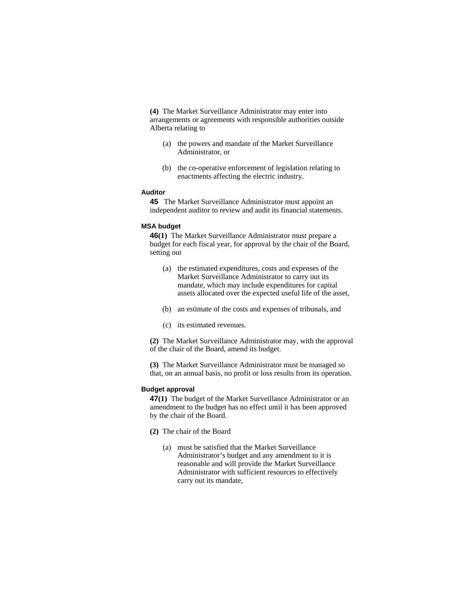**(4)** The Market Surveillance Administrator may enter into arrangements or agreements with responsible authorities outside Alberta relating to

- (a) the powers and mandate of the Market Surveillance Administrator, or
- (b) the co-operative enforcement of legislation relating to enactments affecting the electric industry.

#### **Auditor**

**45** The Market Surveillance Administrator must appoint an independent auditor to review and audit its financial statements.

#### **MSA budget**

**46(1)** The Market Surveillance Administrator must prepare a budget for each fiscal year, for approval by the chair of the Board, setting out

- (a) the estimated expenditures, costs and expenses of the Market Surveillance Administrator to carry out its mandate, which may include expenditures for capital assets allocated over the expected useful life of the asset,
- (b) an estimate of the costs and expenses of tribunals, and
- (c) its estimated revenues.

**(2)** The Market Surveillance Administrator may, with the approval of the chair of the Board, amend its budget.

**(3)** The Market Surveillance Administrator must be managed so that, on an annual basis, no profit or loss results from its operation.

## **Budget approval**

**47(1)** The budget of the Market Surveillance Administrator or an amendment to the budget has no effect until it has been approved by the chair of the Board.

- **(2)** The chair of the Board
	- (a) must be satisfied that the Market Surveillance Administrator's budget and any amendment to it is reasonable and will provide the Market Surveillance Administrator with sufficient resources to effectively carry out its mandate,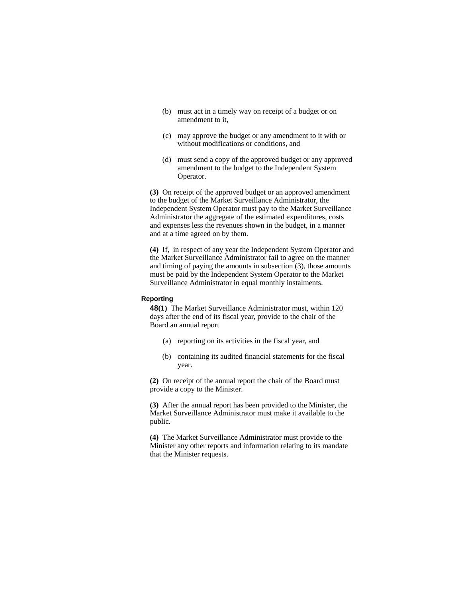- (b) must act in a timely way on receipt of a budget or on amendment to it,
- (c) may approve the budget or any amendment to it with or without modifications or conditions, and
- (d) must send a copy of the approved budget or any approved amendment to the budget to the Independent System Operator.

**(3)** On receipt of the approved budget or an approved amendment to the budget of the Market Surveillance Administrator, the Independent System Operator must pay to the Market Surveillance Administrator the aggregate of the estimated expenditures, costs and expenses less the revenues shown in the budget, in a manner and at a time agreed on by them.

**(4)** If, in respect of any year the Independent System Operator and the Market Surveillance Administrator fail to agree on the manner and timing of paying the amounts in subsection (3), those amounts must be paid by the Independent System Operator to the Market Surveillance Administrator in equal monthly instalments.

# **Reporting**

**48(1)** The Market Surveillance Administrator must, within 120 days after the end of its fiscal year, provide to the chair of the Board an annual report

- (a) reporting on its activities in the fiscal year, and
- (b) containing its audited financial statements for the fiscal year.

**(2)** On receipt of the annual report the chair of the Board must provide a copy to the Minister.

**(3)** After the annual report has been provided to the Minister, the Market Surveillance Administrator must make it available to the public.

**(4)** The Market Surveillance Administrator must provide to the Minister any other reports and information relating to its mandate that the Minister requests.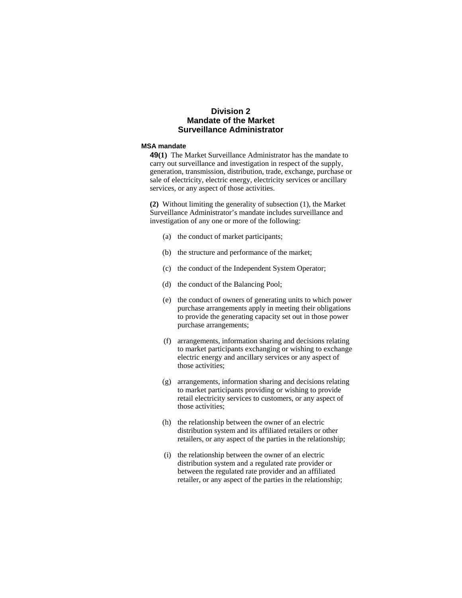# **Division 2 Mandate of the Market Surveillance Administrator**

# **MSA mandate**

**49(1)** The Market Surveillance Administrator has the mandate to carry out surveillance and investigation in respect of the supply, generation, transmission, distribution, trade, exchange, purchase or sale of electricity, electric energy, electricity services or ancillary services, or any aspect of those activities.

**(2)** Without limiting the generality of subsection (1), the Market Surveillance Administrator's mandate includes surveillance and investigation of any one or more of the following:

- (a) the conduct of market participants;
- (b) the structure and performance of the market;
- (c) the conduct of the Independent System Operator;
- (d) the conduct of the Balancing Pool;
- (e) the conduct of owners of generating units to which power purchase arrangements apply in meeting their obligations to provide the generating capacity set out in those power purchase arrangements;
- (f) arrangements, information sharing and decisions relating to market participants exchanging or wishing to exchange electric energy and ancillary services or any aspect of those activities;
- (g) arrangements, information sharing and decisions relating to market participants providing or wishing to provide retail electricity services to customers, or any aspect of those activities;
- (h) the relationship between the owner of an electric distribution system and its affiliated retailers or other retailers, or any aspect of the parties in the relationship;
- (i) the relationship between the owner of an electric distribution system and a regulated rate provider or between the regulated rate provider and an affiliated retailer, or any aspect of the parties in the relationship;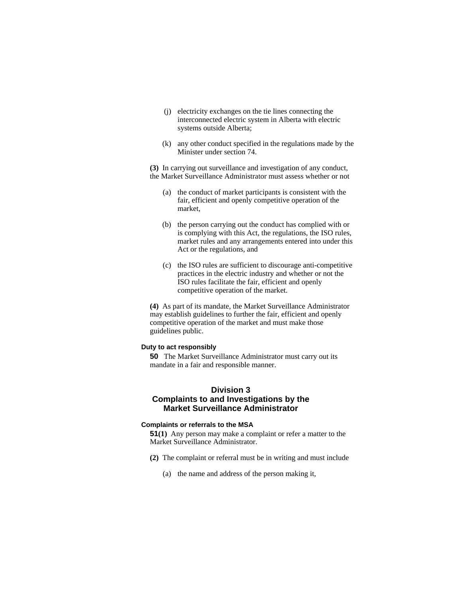- (j) electricity exchanges on the tie lines connecting the interconnected electric system in Alberta with electric systems outside Alberta;
- (k) any other conduct specified in the regulations made by the Minister under section 74.

**(3)** In carrying out surveillance and investigation of any conduct, the Market Surveillance Administrator must assess whether or not

- (a) the conduct of market participants is consistent with the fair, efficient and openly competitive operation of the market,
- (b) the person carrying out the conduct has complied with or is complying with this Act, the regulations, the ISO rules, market rules and any arrangements entered into under this Act or the regulations, and
- (c) the ISO rules are sufficient to discourage anti-competitive practices in the electric industry and whether or not the ISO rules facilitate the fair, efficient and openly competitive operation of the market.

**(4)** As part of its mandate, the Market Surveillance Administrator may establish guidelines to further the fair, efficient and openly competitive operation of the market and must make those guidelines public.

## **Duty to act responsibly**

**50** The Market Surveillance Administrator must carry out its mandate in a fair and responsible manner.

# **Division 3 Complaints to and Investigations by the Market Surveillance Administrator**

#### **Complaints or referrals to the MSA**

**51(1)** Any person may make a complaint or refer a matter to the Market Surveillance Administrator.

- **(2)** The complaint or referral must be in writing and must include
	- (a) the name and address of the person making it,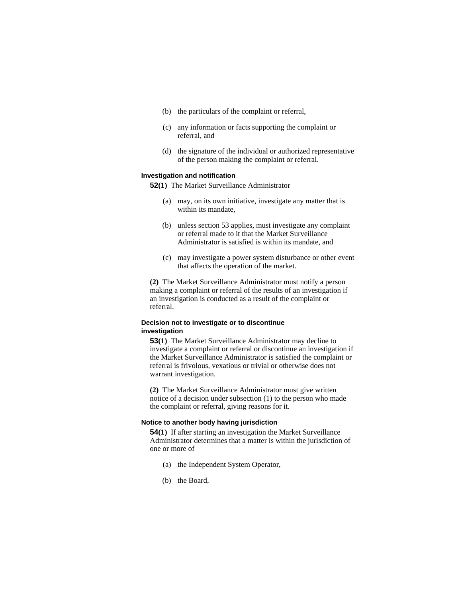- (b) the particulars of the complaint or referral,
- (c) any information or facts supporting the complaint or referral, and
- (d) the signature of the individual or authorized representative of the person making the complaint or referral.

#### **Investigation and notification**

**52(1)** The Market Surveillance Administrator

- (a) may, on its own initiative, investigate any matter that is within its mandate,
- (b) unless section 53 applies, must investigate any complaint or referral made to it that the Market Surveillance Administrator is satisfied is within its mandate, and
- (c) may investigate a power system disturbance or other event that affects the operation of the market.

**(2)** The Market Surveillance Administrator must notify a person making a complaint or referral of the results of an investigation if an investigation is conducted as a result of the complaint or referral.

# **Decision not to investigate or to discontinue investigation**

**53(1)** The Market Surveillance Administrator may decline to investigate a complaint or referral or discontinue an investigation if the Market Surveillance Administrator is satisfied the complaint or referral is frivolous, vexatious or trivial or otherwise does not warrant investigation.

**(2)** The Market Surveillance Administrator must give written notice of a decision under subsection (1) to the person who made the complaint or referral, giving reasons for it.

## **Notice to another body having jurisdiction**

**54(1)** If after starting an investigation the Market Surveillance Administrator determines that a matter is within the jurisdiction of one or more of

- (a) the Independent System Operator,
- (b) the Board,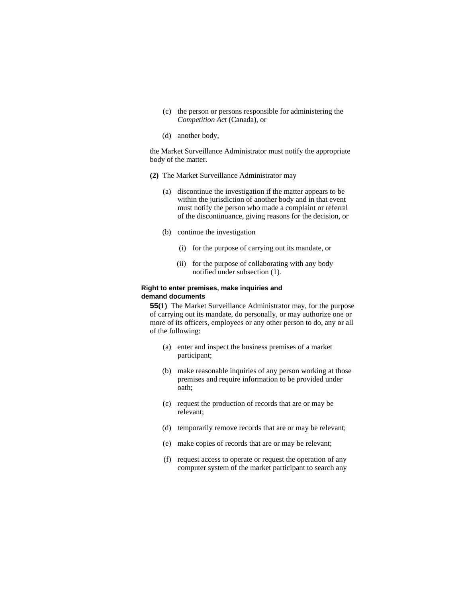- (c) the person or persons responsible for administering the *Competition Act* (Canada), or
- (d) another body,

the Market Surveillance Administrator must notify the appropriate body of the matter.

- **(2)** The Market Surveillance Administrator may
	- (a) discontinue the investigation if the matter appears to be within the jurisdiction of another body and in that event must notify the person who made a complaint or referral of the discontinuance, giving reasons for the decision, or
	- (b) continue the investigation
		- (i) for the purpose of carrying out its mandate, or
		- (ii) for the purpose of collaborating with any body notified under subsection (1).

## **Right to enter premises, make inquiries and demand documents**

**55(1)** The Market Surveillance Administrator may, for the purpose of carrying out its mandate, do personally, or may authorize one or more of its officers, employees or any other person to do, any or all of the following:

- (a) enter and inspect the business premises of a market participant;
- (b) make reasonable inquiries of any person working at those premises and require information to be provided under oath;
- (c) request the production of records that are or may be relevant;
- (d) temporarily remove records that are or may be relevant;
- (e) make copies of records that are or may be relevant;
- (f) request access to operate or request the operation of any computer system of the market participant to search any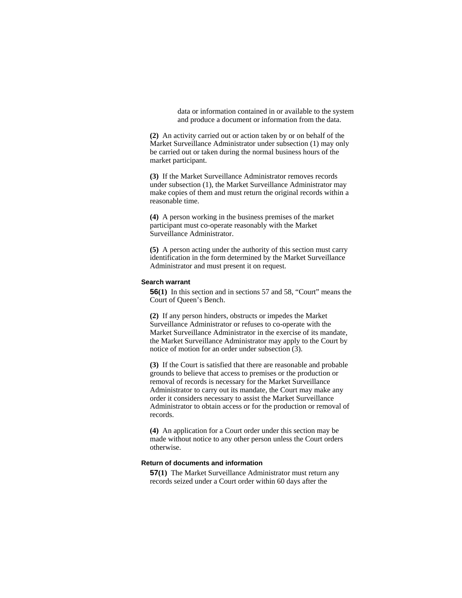data or information contained in or available to the system and produce a document or information from the data.

**(2)** An activity carried out or action taken by or on behalf of the Market Surveillance Administrator under subsection (1) may only be carried out or taken during the normal business hours of the market participant.

**(3)** If the Market Surveillance Administrator removes records under subsection (1), the Market Surveillance Administrator may make copies of them and must return the original records within a reasonable time.

**(4)** A person working in the business premises of the market participant must co-operate reasonably with the Market Surveillance Administrator.

**(5)** A person acting under the authority of this section must carry identification in the form determined by the Market Surveillance Administrator and must present it on request.

#### **Search warrant**

**56(1)** In this section and in sections 57 and 58, "Court" means the Court of Queen's Bench.

**(2)** If any person hinders, obstructs or impedes the Market Surveillance Administrator or refuses to co-operate with the Market Surveillance Administrator in the exercise of its mandate, the Market Surveillance Administrator may apply to the Court by notice of motion for an order under subsection (3).

**(3)** If the Court is satisfied that there are reasonable and probable grounds to believe that access to premises or the production or removal of records is necessary for the Market Surveillance Administrator to carry out its mandate, the Court may make any order it considers necessary to assist the Market Surveillance Administrator to obtain access or for the production or removal of records.

**(4)** An application for a Court order under this section may be made without notice to any other person unless the Court orders otherwise.

## **Return of documents and information**

**57(1)** The Market Surveillance Administrator must return any records seized under a Court order within 60 days after the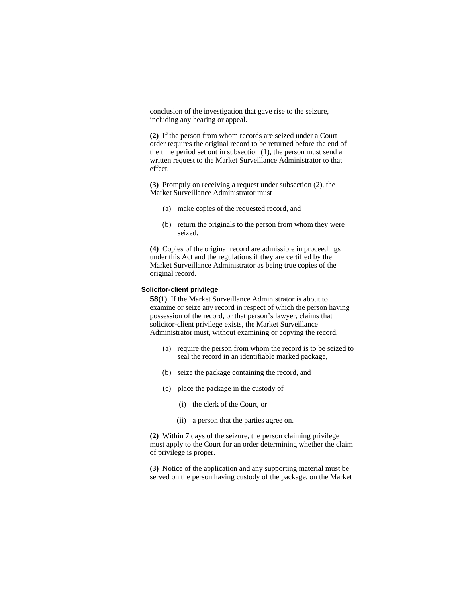conclusion of the investigation that gave rise to the seizure, including any hearing or appeal.

**(2)** If the person from whom records are seized under a Court order requires the original record to be returned before the end of the time period set out in subsection (1), the person must send a written request to the Market Surveillance Administrator to that effect.

**(3)** Promptly on receiving a request under subsection (2), the Market Surveillance Administrator must

- (a) make copies of the requested record, and
- (b) return the originals to the person from whom they were seized.

**(4)** Copies of the original record are admissible in proceedings under this Act and the regulations if they are certified by the Market Surveillance Administrator as being true copies of the original record.

# **Solicitor-client privilege**

**58(1)** If the Market Surveillance Administrator is about to examine or seize any record in respect of which the person having possession of the record, or that person's lawyer, claims that solicitor-client privilege exists, the Market Surveillance Administrator must, without examining or copying the record,

- (a) require the person from whom the record is to be seized to seal the record in an identifiable marked package,
- (b) seize the package containing the record, and
- (c) place the package in the custody of
	- (i) the clerk of the Court, or
	- (ii) a person that the parties agree on.

**(2)** Within 7 days of the seizure, the person claiming privilege must apply to the Court for an order determining whether the claim of privilege is proper.

**(3)** Notice of the application and any supporting material must be served on the person having custody of the package, on the Market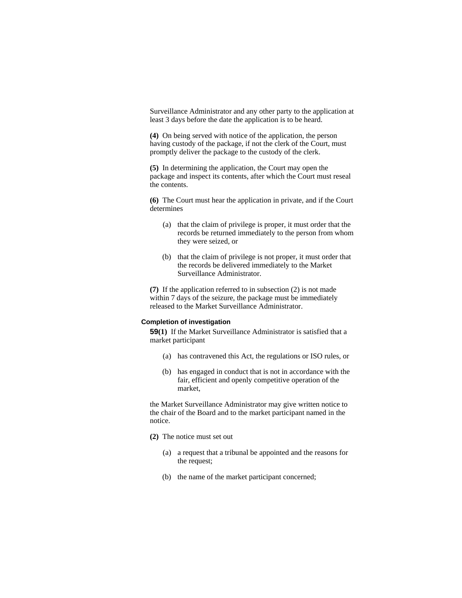Surveillance Administrator and any other party to the application at least 3 days before the date the application is to be heard.

**(4)** On being served with notice of the application, the person having custody of the package, if not the clerk of the Court, must promptly deliver the package to the custody of the clerk.

**(5)** In determining the application, the Court may open the package and inspect its contents, after which the Court must reseal the contents.

**(6)** The Court must hear the application in private, and if the Court determines

- (a) that the claim of privilege is proper, it must order that the records be returned immediately to the person from whom they were seized, or
- (b) that the claim of privilege is not proper, it must order that the records be delivered immediately to the Market Surveillance Administrator.

**(7)** If the application referred to in subsection (2) is not made within 7 days of the seizure, the package must be immediately released to the Market Surveillance Administrator.

## **Completion of investigation**

**59(1)** If the Market Surveillance Administrator is satisfied that a market participant

- (a) has contravened this Act, the regulations or ISO rules, or
- (b) has engaged in conduct that is not in accordance with the fair, efficient and openly competitive operation of the market,

the Market Surveillance Administrator may give written notice to the chair of the Board and to the market participant named in the notice.

- **(2)** The notice must set out
	- (a) a request that a tribunal be appointed and the reasons for the request;
	- (b) the name of the market participant concerned;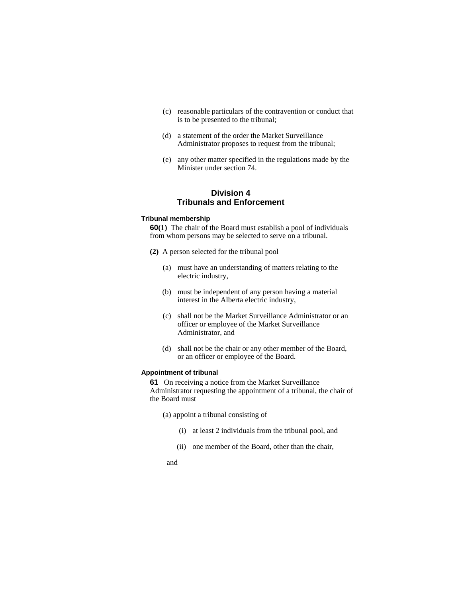- (c) reasonable particulars of the contravention or conduct that is to be presented to the tribunal;
- (d) a statement of the order the Market Surveillance Administrator proposes to request from the tribunal;
- (e) any other matter specified in the regulations made by the Minister under section 74.

# **Division 4 Tribunals and Enforcement**

#### **Tribunal membership**

**60(1)** The chair of the Board must establish a pool of individuals from whom persons may be selected to serve on a tribunal.

- **(2)** A person selected for the tribunal pool
	- (a) must have an understanding of matters relating to the electric industry,
	- (b) must be independent of any person having a material interest in the Alberta electric industry,
	- (c) shall not be the Market Surveillance Administrator or an officer or employee of the Market Surveillance Administrator, and
	- (d) shall not be the chair or any other member of the Board, or an officer or employee of the Board.

### **Appointment of tribunal**

**61** On receiving a notice from the Market Surveillance Administrator requesting the appointment of a tribunal, the chair of the Board must

(a) appoint a tribunal consisting of

- (i) at least 2 individuals from the tribunal pool, and
- (ii) one member of the Board, other than the chair,

and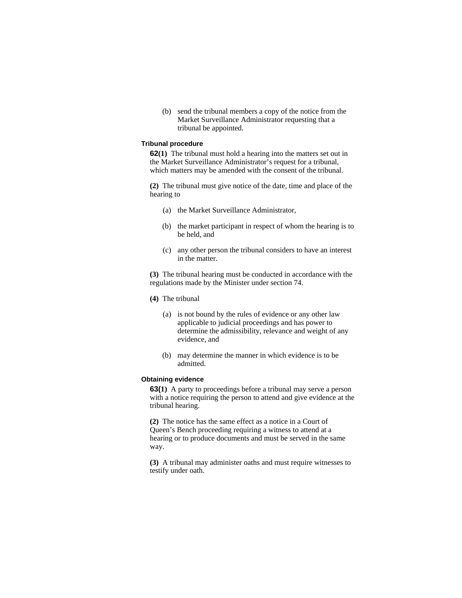(b) send the tribunal members a copy of the notice from the Market Surveillance Administrator requesting that a tribunal be appointed.

#### **Tribunal procedure**

**62(1)** The tribunal must hold a hearing into the matters set out in the Market Surveillance Administrator's request for a tribunal, which matters may be amended with the consent of the tribunal.

**(2)** The tribunal must give notice of the date, time and place of the hearing to

- (a) the Market Surveillance Administrator,
- (b) the market participant in respect of whom the hearing is to be held, and
- (c) any other person the tribunal considers to have an interest in the matter.

**(3)** The tribunal hearing must be conducted in accordance with the regulations made by the Minister under section 74.

- **(4)** The tribunal
	- (a) is not bound by the rules of evidence or any other law applicable to judicial proceedings and has power to determine the admissibility, relevance and weight of any evidence, and
	- (b) may determine the manner in which evidence is to be admitted.

# **Obtaining evidence**

**63(1)** A party to proceedings before a tribunal may serve a person with a notice requiring the person to attend and give evidence at the tribunal hearing.

**(2)** The notice has the same effect as a notice in a Court of Queen's Bench proceeding requiring a witness to attend at a hearing or to produce documents and must be served in the same way.

**(3)** A tribunal may administer oaths and must require witnesses to testify under oath.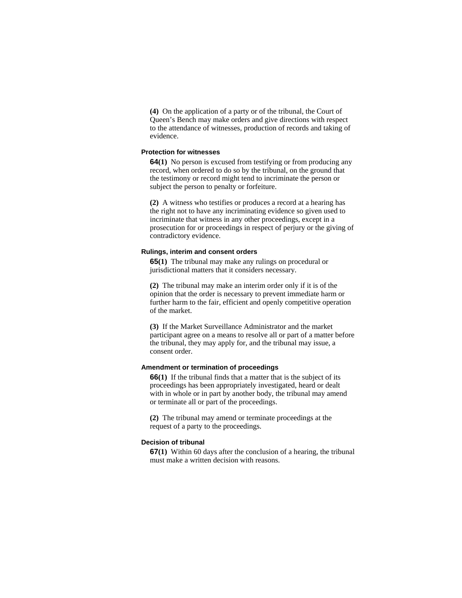**(4)** On the application of a party or of the tribunal, the Court of Queen's Bench may make orders and give directions with respect to the attendance of witnesses, production of records and taking of evidence.

## **Protection for witnesses**

**64(1)** No person is excused from testifying or from producing any record, when ordered to do so by the tribunal, on the ground that the testimony or record might tend to incriminate the person or subject the person to penalty or forfeiture.

**(2)** A witness who testifies or produces a record at a hearing has the right not to have any incriminating evidence so given used to incriminate that witness in any other proceedings, except in a prosecution for or proceedings in respect of perjury or the giving of contradictory evidence.

#### **Rulings, interim and consent orders**

**65(1)** The tribunal may make any rulings on procedural or jurisdictional matters that it considers necessary.

**(2)** The tribunal may make an interim order only if it is of the opinion that the order is necessary to prevent immediate harm or further harm to the fair, efficient and openly competitive operation of the market.

**(3)** If the Market Surveillance Administrator and the market participant agree on a means to resolve all or part of a matter before the tribunal, they may apply for, and the tribunal may issue, a consent order.

## **Amendment or termination of proceedings**

**66(1)** If the tribunal finds that a matter that is the subject of its proceedings has been appropriately investigated, heard or dealt with in whole or in part by another body, the tribunal may amend or terminate all or part of the proceedings.

**(2)** The tribunal may amend or terminate proceedings at the request of a party to the proceedings.

## **Decision of tribunal**

**67(1)** Within 60 days after the conclusion of a hearing, the tribunal must make a written decision with reasons.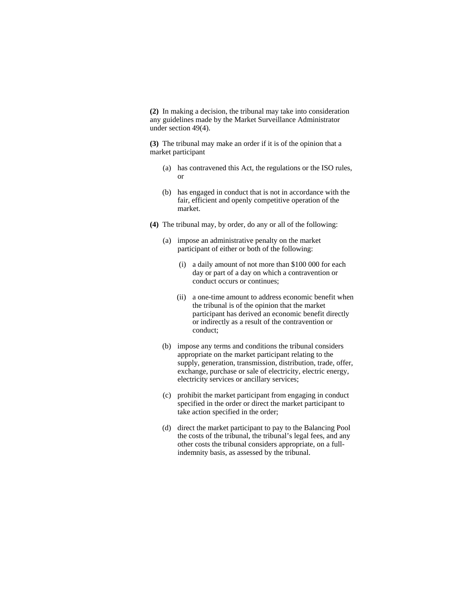**(2)** In making a decision, the tribunal may take into consideration any guidelines made by the Market Surveillance Administrator under section 49(4).

**(3)** The tribunal may make an order if it is of the opinion that a market participant

- (a) has contravened this Act, the regulations or the ISO rules, or
- (b) has engaged in conduct that is not in accordance with the fair, efficient and openly competitive operation of the market.
- **(4)** The tribunal may, by order, do any or all of the following:
	- (a) impose an administrative penalty on the market participant of either or both of the following:
		- (i) a daily amount of not more than \$100 000 for each day or part of a day on which a contravention or conduct occurs or continues;
		- (ii) a one-time amount to address economic benefit when the tribunal is of the opinion that the market participant has derived an economic benefit directly or indirectly as a result of the contravention or conduct;
	- (b) impose any terms and conditions the tribunal considers appropriate on the market participant relating to the supply, generation, transmission, distribution, trade, offer, exchange, purchase or sale of electricity, electric energy, electricity services or ancillary services;
	- (c) prohibit the market participant from engaging in conduct specified in the order or direct the market participant to take action specified in the order;
	- (d) direct the market participant to pay to the Balancing Pool the costs of the tribunal, the tribunal's legal fees, and any other costs the tribunal considers appropriate, on a fullindemnity basis, as assessed by the tribunal.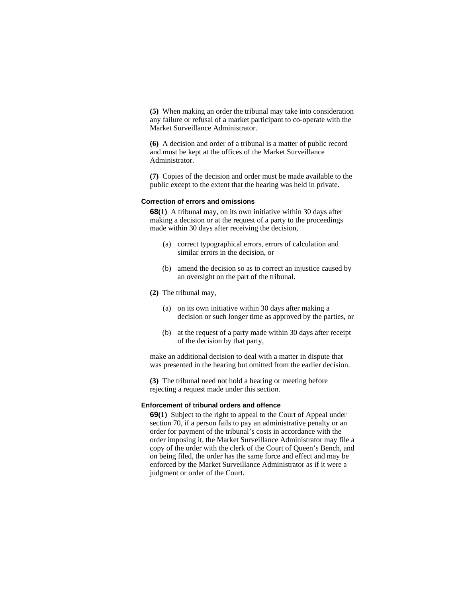**(5)** When making an order the tribunal may take into consideration any failure or refusal of a market participant to co-operate with the Market Surveillance Administrator.

**(6)** A decision and order of a tribunal is a matter of public record and must be kept at the offices of the Market Surveillance Administrator.

**(7)** Copies of the decision and order must be made available to the public except to the extent that the hearing was held in private.

#### **Correction of errors and omissions**

**68(1)** A tribunal may, on its own initiative within 30 days after making a decision or at the request of a party to the proceedings made within 30 days after receiving the decision,

- (a) correct typographical errors, errors of calculation and similar errors in the decision, or
- (b) amend the decision so as to correct an injustice caused by an oversight on the part of the tribunal.
- **(2)** The tribunal may,
	- (a) on its own initiative within 30 days after making a decision or such longer time as approved by the parties, or
	- (b) at the request of a party made within 30 days after receipt of the decision by that party,

make an additional decision to deal with a matter in dispute that was presented in the hearing but omitted from the earlier decision.

**(3)** The tribunal need not hold a hearing or meeting before rejecting a request made under this section.

#### **Enforcement of tribunal orders and offence**

**69(1)** Subject to the right to appeal to the Court of Appeal under section 70, if a person fails to pay an administrative penalty or an order for payment of the tribunal's costs in accordance with the order imposing it, the Market Surveillance Administrator may file a copy of the order with the clerk of the Court of Queen's Bench, and on being filed, the order has the same force and effect and may be enforced by the Market Surveillance Administrator as if it were a judgment or order of the Court.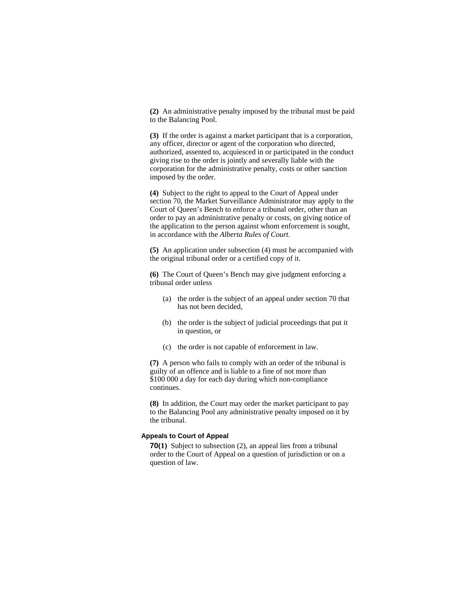**(2)** An administrative penalty imposed by the tribunal must be paid to the Balancing Pool.

**(3)** If the order is against a market participant that is a corporation, any officer, director or agent of the corporation who directed, authorized, assented to, acquiesced in or participated in the conduct giving rise to the order is jointly and severally liable with the corporation for the administrative penalty, costs or other sanction imposed by the order.

**(4)** Subject to the right to appeal to the Court of Appeal under section 70, the Market Surveillance Administrator may apply to the Court of Queen's Bench to enforce a tribunal order, other than an order to pay an administrative penalty or costs, on giving notice of the application to the person against whom enforcement is sought, in accordance with the *Alberta Rules of Court*.

**(5)** An application under subsection (4) must be accompanied with the original tribunal order or a certified copy of it.

**(6)** The Court of Queen's Bench may give judgment enforcing a tribunal order unless

- (a) the order is the subject of an appeal under section 70 that has not been decided,
- (b) the order is the subject of judicial proceedings that put it in question, or
- (c) the order is not capable of enforcement in law.

**(7)** A person who fails to comply with an order of the tribunal is guilty of an offence and is liable to a fine of not more than \$100 000 a day for each day during which non-compliance continues.

**(8)** In addition, the Court may order the market participant to pay to the Balancing Pool any administrative penalty imposed on it by the tribunal.

## **Appeals to Court of Appeal**

**70(1)** Subject to subsection (2), an appeal lies from a tribunal order to the Court of Appeal on a question of jurisdiction or on a question of law.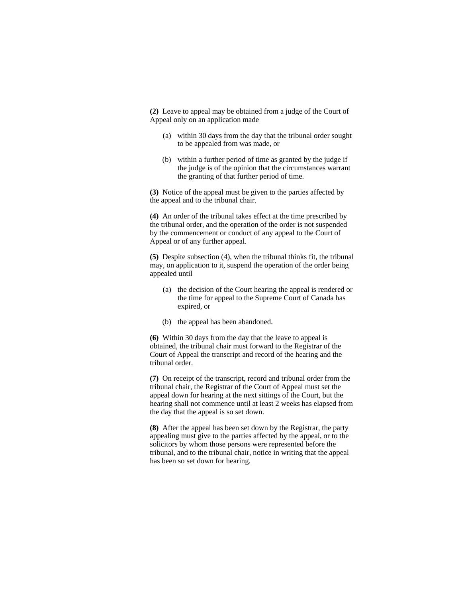**(2)** Leave to appeal may be obtained from a judge of the Court of Appeal only on an application made

- (a) within 30 days from the day that the tribunal order sought to be appealed from was made, or
- (b) within a further period of time as granted by the judge if the judge is of the opinion that the circumstances warrant the granting of that further period of time.

**(3)** Notice of the appeal must be given to the parties affected by the appeal and to the tribunal chair.

**(4)** An order of the tribunal takes effect at the time prescribed by the tribunal order, and the operation of the order is not suspended by the commencement or conduct of any appeal to the Court of Appeal or of any further appeal.

**(5)** Despite subsection (4), when the tribunal thinks fit, the tribunal may, on application to it, suspend the operation of the order being appealed until

- (a) the decision of the Court hearing the appeal is rendered or the time for appeal to the Supreme Court of Canada has expired, or
- (b) the appeal has been abandoned.

**(6)** Within 30 days from the day that the leave to appeal is obtained, the tribunal chair must forward to the Registrar of the Court of Appeal the transcript and record of the hearing and the tribunal order.

**(7)** On receipt of the transcript, record and tribunal order from the tribunal chair, the Registrar of the Court of Appeal must set the appeal down for hearing at the next sittings of the Court, but the hearing shall not commence until at least 2 weeks has elapsed from the day that the appeal is so set down.

**(8)** After the appeal has been set down by the Registrar, the party appealing must give to the parties affected by the appeal, or to the solicitors by whom those persons were represented before the tribunal, and to the tribunal chair, notice in writing that the appeal has been so set down for hearing.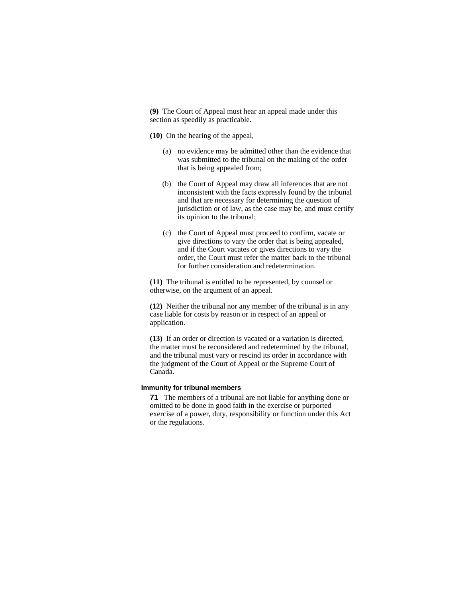**(9)** The Court of Appeal must hear an appeal made under this section as speedily as practicable.

**(10)** On the hearing of the appeal,

- (a) no evidence may be admitted other than the evidence that was submitted to the tribunal on the making of the order that is being appealed from;
- (b) the Court of Appeal may draw all inferences that are not inconsistent with the facts expressly found by the tribunal and that are necessary for determining the question of jurisdiction or of law, as the case may be, and must certify its opinion to the tribunal;
- (c) the Court of Appeal must proceed to confirm, vacate or give directions to vary the order that is being appealed, and if the Court vacates or gives directions to vary the order, the Court must refer the matter back to the tribunal for further consideration and redetermination.

**(11)** The tribunal is entitled to be represented, by counsel or otherwise, on the argument of an appeal.

**(12)** Neither the tribunal nor any member of the tribunal is in any case liable for costs by reason or in respect of an appeal or application.

**(13)** If an order or direction is vacated or a variation is directed, the matter must be reconsidered and redetermined by the tribunal, and the tribunal must vary or rescind its order in accordance with the judgment of the Court of Appeal or the Supreme Court of Canada.

## **Immunity for tribunal members**

**71** The members of a tribunal are not liable for anything done or omitted to be done in good faith in the exercise or purported exercise of a power, duty, responsibility or function under this Act or the regulations.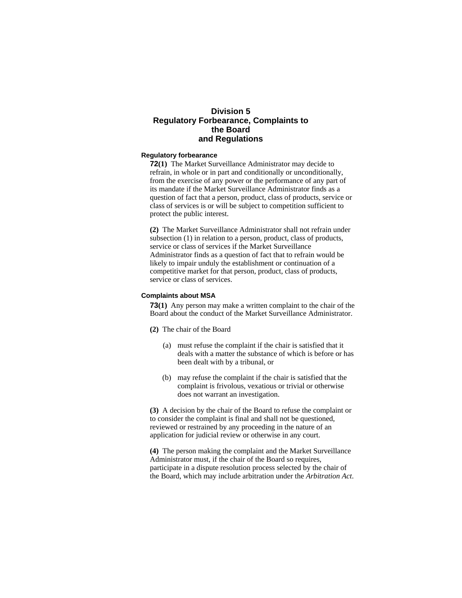# **Division 5 Regulatory Forbearance, Complaints to the Board and Regulations**

## **Regulatory forbearance**

**72(1)** The Market Surveillance Administrator may decide to refrain, in whole or in part and conditionally or unconditionally, from the exercise of any power or the performance of any part of its mandate if the Market Surveillance Administrator finds as a question of fact that a person, product, class of products, service or class of services is or will be subject to competition sufficient to protect the public interest.

**(2)** The Market Surveillance Administrator shall not refrain under subsection (1) in relation to a person, product, class of products, service or class of services if the Market Surveillance Administrator finds as a question of fact that to refrain would be likely to impair unduly the establishment or continuation of a competitive market for that person, product, class of products, service or class of services.

#### **Complaints about MSA**

**73(1)** Any person may make a written complaint to the chair of the Board about the conduct of the Market Surveillance Administrator.

- **(2)** The chair of the Board
	- (a) must refuse the complaint if the chair is satisfied that it deals with a matter the substance of which is before or has been dealt with by a tribunal, or
	- (b) may refuse the complaint if the chair is satisfied that the complaint is frivolous, vexatious or trivial or otherwise does not warrant an investigation.

**(3)** A decision by the chair of the Board to refuse the complaint or to consider the complaint is final and shall not be questioned, reviewed or restrained by any proceeding in the nature of an application for judicial review or otherwise in any court.

**(4)** The person making the complaint and the Market Surveillance Administrator must, if the chair of the Board so requires, participate in a dispute resolution process selected by the chair of the Board, which may include arbitration under the *Arbitration Act*.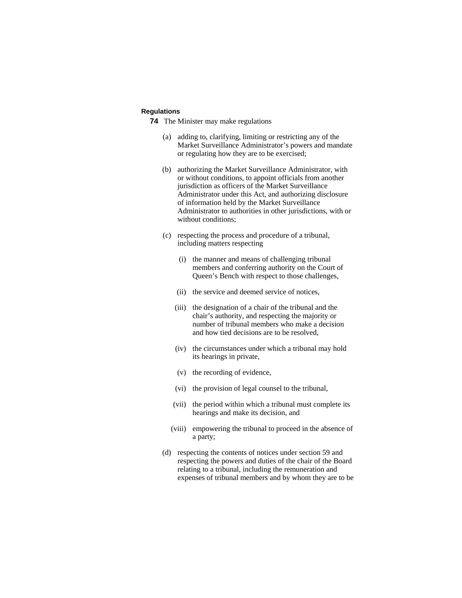# **Regulations**

- **74** The Minister may make regulations
	- (a) adding to, clarifying, limiting or restricting any of the Market Surveillance Administrator's powers and mandate or regulating how they are to be exercised;
	- (b) authorizing the Market Surveillance Administrator, with or without conditions, to appoint officials from another jurisdiction as officers of the Market Surveillance Administrator under this Act, and authorizing disclosure of information held by the Market Surveillance Administrator to authorities in other jurisdictions, with or without conditions;
	- (c) respecting the process and procedure of a tribunal, including matters respecting
		- (i) the manner and means of challenging tribunal members and conferring authority on the Court of Queen's Bench with respect to those challenges,
		- (ii) the service and deemed service of notices,
		- (iii) the designation of a chair of the tribunal and the chair's authority, and respecting the majority or number of tribunal members who make a decision and how tied decisions are to be resolved,
		- (iv) the circumstances under which a tribunal may hold its hearings in private,
		- (v) the recording of evidence,
		- (vi) the provision of legal counsel to the tribunal,
		- (vii) the period within which a tribunal must complete its hearings and make its decision, and
		- (viii) empowering the tribunal to proceed in the absence of a party;
	- (d) respecting the contents of notices under section 59 and respecting the powers and duties of the chair of the Board relating to a tribunal, including the remuneration and expenses of tribunal members and by whom they are to be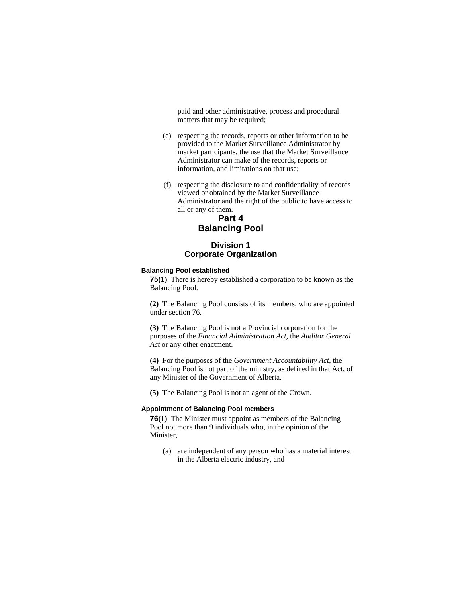paid and other administrative, process and procedural matters that may be required;

- (e) respecting the records, reports or other information to be provided to the Market Surveillance Administrator by market participants, the use that the Market Surveillance Administrator can make of the records, reports or information, and limitations on that use;
- (f) respecting the disclosure to and confidentiality of records viewed or obtained by the Market Surveillance Administrator and the right of the public to have access to all or any of them.

# **Part 4 Balancing Pool**

# **Division 1 Corporate Organization**

# **Balancing Pool established**

**75(1)** There is hereby established a corporation to be known as the Balancing Pool.

**(2)** The Balancing Pool consists of its members, who are appointed under section 76.

**(3)** The Balancing Pool is not a Provincial corporation for the purposes of the *Financial Administration Act*, the *Auditor General Act* or any other enactment.

**(4)** For the purposes of the *Government Accountability Act*, the Balancing Pool is not part of the ministry, as defined in that Act, of any Minister of the Government of Alberta.

**(5)** The Balancing Pool is not an agent of the Crown.

#### **Appointment of Balancing Pool members**

**76(1)** The Minister must appoint as members of the Balancing Pool not more than 9 individuals who, in the opinion of the Minister,

 (a) are independent of any person who has a material interest in the Alberta electric industry, and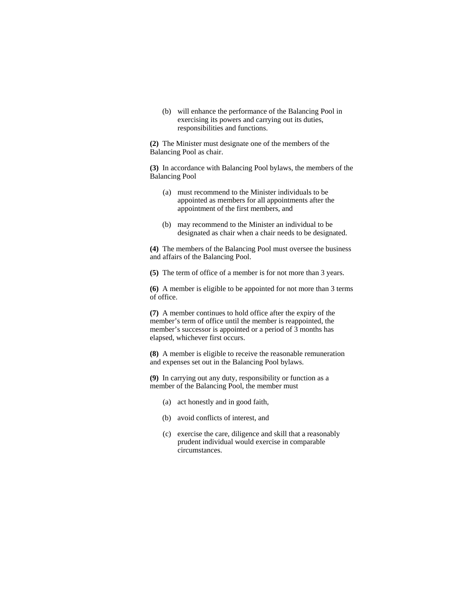(b) will enhance the performance of the Balancing Pool in exercising its powers and carrying out its duties, responsibilities and functions.

**(2)** The Minister must designate one of the members of the Balancing Pool as chair.

**(3)** In accordance with Balancing Pool bylaws, the members of the Balancing Pool

- (a) must recommend to the Minister individuals to be appointed as members for all appointments after the appointment of the first members, and
- (b) may recommend to the Minister an individual to be designated as chair when a chair needs to be designated.

**(4)** The members of the Balancing Pool must oversee the business and affairs of the Balancing Pool.

**(5)** The term of office of a member is for not more than 3 years.

**(6)** A member is eligible to be appointed for not more than 3 terms of office.

**(7)** A member continues to hold office after the expiry of the member's term of office until the member is reappointed, the member's successor is appointed or a period of 3 months has elapsed, whichever first occurs.

**(8)** A member is eligible to receive the reasonable remuneration and expenses set out in the Balancing Pool bylaws.

**(9)** In carrying out any duty, responsibility or function as a member of the Balancing Pool, the member must

- (a) act honestly and in good faith,
- (b) avoid conflicts of interest, and
- (c) exercise the care, diligence and skill that a reasonably prudent individual would exercise in comparable circumstances.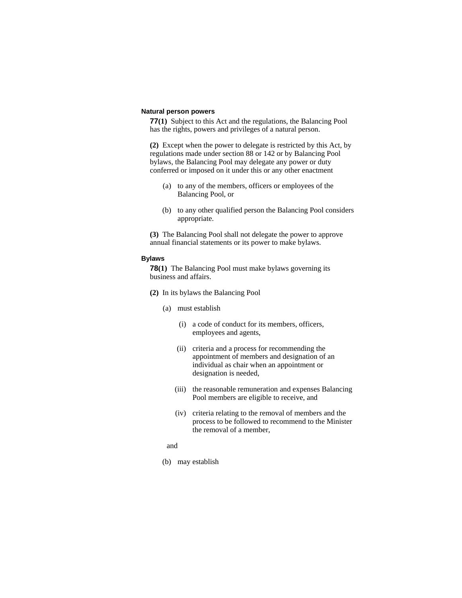### **Natural person powers**

**77(1)** Subject to this Act and the regulations, the Balancing Pool has the rights, powers and privileges of a natural person.

**(2)** Except when the power to delegate is restricted by this Act, by regulations made under section 88 or 142 or by Balancing Pool bylaws, the Balancing Pool may delegate any power or duty conferred or imposed on it under this or any other enactment

- (a) to any of the members, officers or employees of the Balancing Pool, or
- (b) to any other qualified person the Balancing Pool considers appropriate.

**(3)** The Balancing Pool shall not delegate the power to approve annual financial statements or its power to make bylaws.

#### **Bylaws**

**78(1)** The Balancing Pool must make bylaws governing its business and affairs.

- **(2)** In its bylaws the Balancing Pool
	- (a) must establish
		- (i) a code of conduct for its members, officers, employees and agents,
		- (ii) criteria and a process for recommending the appointment of members and designation of an individual as chair when an appointment or designation is needed,
		- (iii) the reasonable remuneration and expenses Balancing Pool members are eligible to receive, and
		- (iv) criteria relating to the removal of members and the process to be followed to recommend to the Minister the removal of a member,
	- and
	- (b) may establish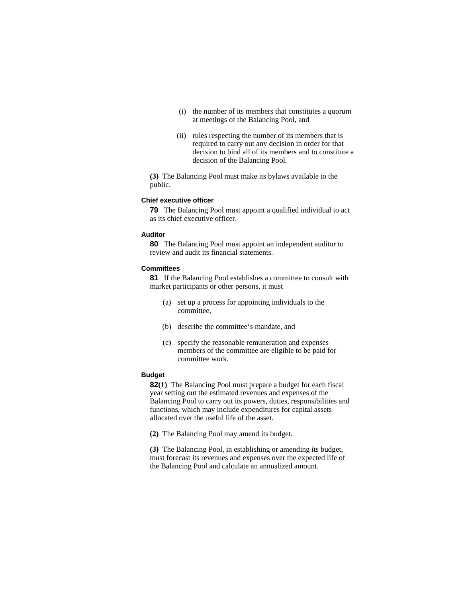- (i) the number of its members that constitutes a quorum at meetings of the Balancing Pool, and
- (ii) rules respecting the number of its members that is required to carry out any decision in order for that decision to bind all of its members and to constitute a decision of the Balancing Pool.

**(3)** The Balancing Pool must make its bylaws available to the public.

### **Chief executive officer**

**79** The Balancing Pool must appoint a qualified individual to act as its chief executive officer.

# **Auditor**

**80** The Balancing Pool must appoint an independent auditor to review and audit its financial statements.

#### **Committees**

**81** If the Balancing Pool establishes a committee to consult with market participants or other persons, it must

- (a) set up a process for appointing individuals to the committee,
- (b) describe the committee's mandate, and
- (c) specify the reasonable remuneration and expenses members of the committee are eligible to be paid for committee work.

# **Budget**

**82(1)** The Balancing Pool must prepare a budget for each fiscal year setting out the estimated revenues and expenses of the Balancing Pool to carry out its powers, duties, responsibilities and functions, which may include expenditures for capital assets allocated over the useful life of the asset.

**(2)** The Balancing Pool may amend its budget.

**(3)** The Balancing Pool, in establishing or amending its budget, must forecast its revenues and expenses over the expected life of the Balancing Pool and calculate an annualized amount.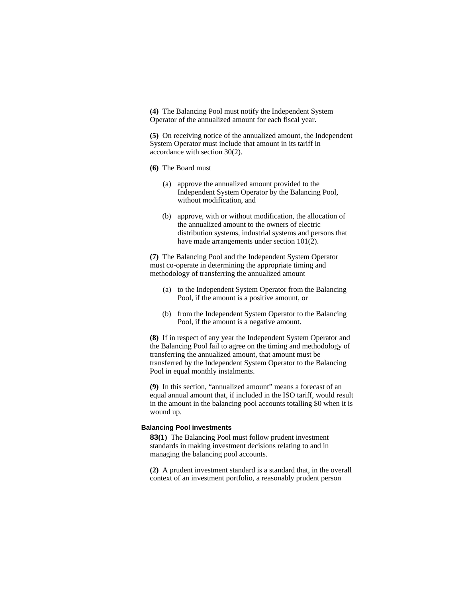**(4)** The Balancing Pool must notify the Independent System Operator of the annualized amount for each fiscal year.

**(5)** On receiving notice of the annualized amount, the Independent System Operator must include that amount in its tariff in accordance with section 30(2).

- **(6)** The Board must
	- (a) approve the annualized amount provided to the Independent System Operator by the Balancing Pool, without modification, and
	- (b) approve, with or without modification, the allocation of the annualized amount to the owners of electric distribution systems, industrial systems and persons that have made arrangements under section 101(2).

**(7)** The Balancing Pool and the Independent System Operator must co-operate in determining the appropriate timing and methodology of transferring the annualized amount

- (a) to the Independent System Operator from the Balancing Pool, if the amount is a positive amount, or
- (b) from the Independent System Operator to the Balancing Pool, if the amount is a negative amount.

**(8)** If in respect of any year the Independent System Operator and the Balancing Pool fail to agree on the timing and methodology of transferring the annualized amount, that amount must be transferred by the Independent System Operator to the Balancing Pool in equal monthly instalments.

**(9)** In this section, "annualized amount" means a forecast of an equal annual amount that, if included in the ISO tariff, would result in the amount in the balancing pool accounts totalling \$0 when it is wound up.

## **Balancing Pool investments**

**83(1)** The Balancing Pool must follow prudent investment standards in making investment decisions relating to and in managing the balancing pool accounts.

**(2)** A prudent investment standard is a standard that, in the overall context of an investment portfolio, a reasonably prudent person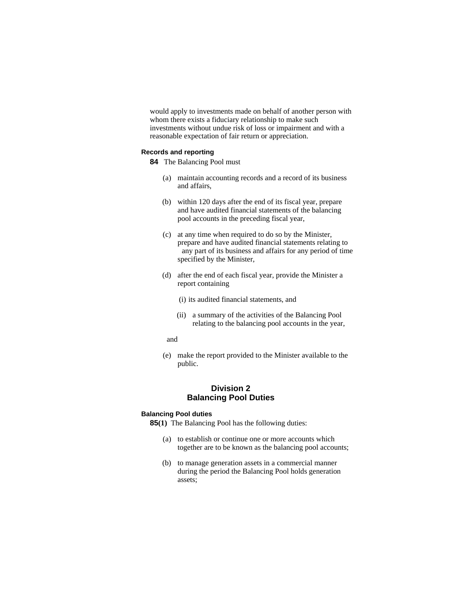would apply to investments made on behalf of another person with whom there exists a fiduciary relationship to make such investments without undue risk of loss or impairment and with a reasonable expectation of fair return or appreciation.

## **Records and reporting**

- **84** The Balancing Pool must
	- (a) maintain accounting records and a record of its business and affairs,
	- (b) within 120 days after the end of its fiscal year, prepare and have audited financial statements of the balancing pool accounts in the preceding fiscal year,
	- (c) at any time when required to do so by the Minister, prepare and have audited financial statements relating to any part of its business and affairs for any period of time specified by the Minister,
	- (d) after the end of each fiscal year, provide the Minister a report containing
		- (i) its audited financial statements, and
		- (ii) a summary of the activities of the Balancing Pool relating to the balancing pool accounts in the year,
		- and
	- (e) make the report provided to the Minister available to the public.

# **Division 2 Balancing Pool Duties**

#### **Balancing Pool duties**

**85(1)** The Balancing Pool has the following duties:

- (a) to establish or continue one or more accounts which together are to be known as the balancing pool accounts;
- (b) to manage generation assets in a commercial manner during the period the Balancing Pool holds generation assets;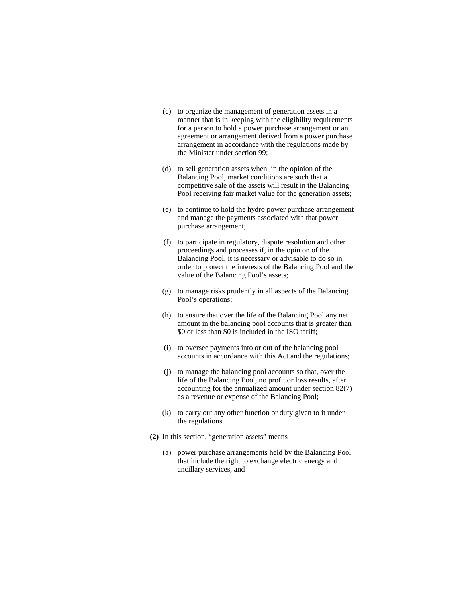- (c) to organize the management of generation assets in a manner that is in keeping with the eligibility requirements for a person to hold a power purchase arrangement or an agreement or arrangement derived from a power purchase arrangement in accordance with the regulations made by the Minister under section 99;
- (d) to sell generation assets when, in the opinion of the Balancing Pool, market conditions are such that a competitive sale of the assets will result in the Balancing Pool receiving fair market value for the generation assets;
- (e) to continue to hold the hydro power purchase arrangement and manage the payments associated with that power purchase arrangement;
- (f) to participate in regulatory, dispute resolution and other proceedings and processes if, in the opinion of the Balancing Pool, it is necessary or advisable to do so in order to protect the interests of the Balancing Pool and the value of the Balancing Pool's assets;
- (g) to manage risks prudently in all aspects of the Balancing Pool's operations;
- (h) to ensure that over the life of the Balancing Pool any net amount in the balancing pool accounts that is greater than \$0 or less than \$0 is included in the ISO tariff;
- (i) to oversee payments into or out of the balancing pool accounts in accordance with this Act and the regulations;
- (j) to manage the balancing pool accounts so that, over the life of the Balancing Pool, no profit or loss results, after accounting for the annualized amount under section 82(7) as a revenue or expense of the Balancing Pool;
- (k) to carry out any other function or duty given to it under the regulations.
- **(2)** In this section, "generation assets" means
	- (a) power purchase arrangements held by the Balancing Pool that include the right to exchange electric energy and ancillary services, and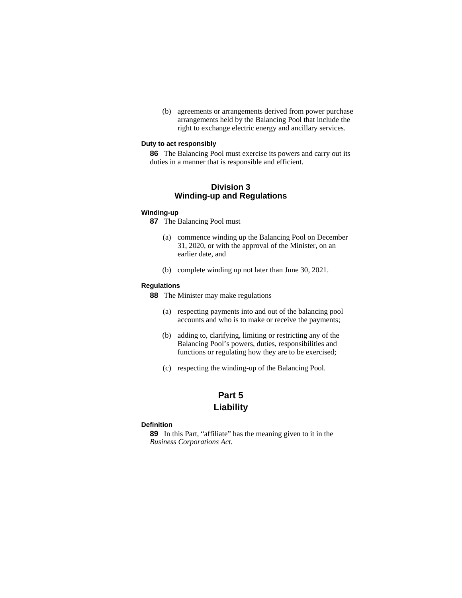(b) agreements or arrangements derived from power purchase arrangements held by the Balancing Pool that include the right to exchange electric energy and ancillary services.

## **Duty to act responsibly**

**86** The Balancing Pool must exercise its powers and carry out its duties in a manner that is responsible and efficient.

# **Division 3 Winding-up and Regulations**

#### **Winding-up**

**87** The Balancing Pool must

- (a) commence winding up the Balancing Pool on December 31, 2020, or with the approval of the Minister, on an earlier date, and
- (b) complete winding up not later than June 30, 2021.

## **Regulations**

**88** The Minister may make regulations

- (a) respecting payments into and out of the balancing pool accounts and who is to make or receive the payments;
- (b) adding to, clarifying, limiting or restricting any of the Balancing Pool's powers, duties, responsibilities and functions or regulating how they are to be exercised;
- (c) respecting the winding-up of the Balancing Pool.

# **Part 5 Liability**

## **Definition**

**89** In this Part, "affiliate" has the meaning given to it in the *Business Corporations Act*.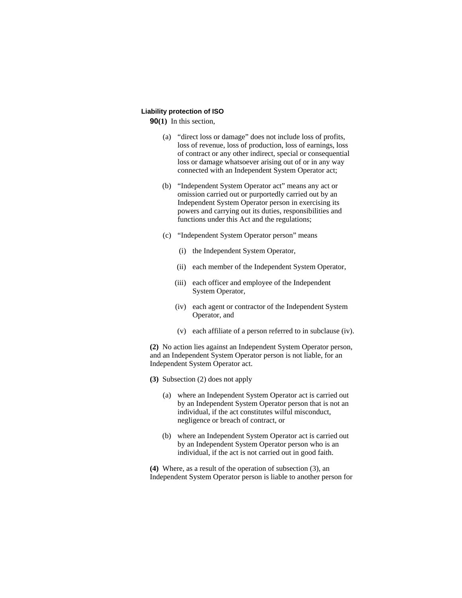# **Liability protection of ISO**

**90(1)** In this section,

- (a) "direct loss or damage" does not include loss of profits, loss of revenue, loss of production, loss of earnings, loss of contract or any other indirect, special or consequential loss or damage whatsoever arising out of or in any way connected with an Independent System Operator act;
- (b) "Independent System Operator act" means any act or omission carried out or purportedly carried out by an Independent System Operator person in exercising its powers and carrying out its duties, responsibilities and functions under this Act and the regulations;
- (c) "Independent System Operator person" means
	- (i) the Independent System Operator,
	- (ii) each member of the Independent System Operator,
	- (iii) each officer and employee of the Independent System Operator,
	- (iv) each agent or contractor of the Independent System Operator, and
	- (v) each affiliate of a person referred to in subclause (iv).

**(2)** No action lies against an Independent System Operator person, and an Independent System Operator person is not liable, for an Independent System Operator act.

- **(3)** Subsection (2) does not apply
	- (a) where an Independent System Operator act is carried out by an Independent System Operator person that is not an individual, if the act constitutes wilful misconduct, negligence or breach of contract, or
	- (b) where an Independent System Operator act is carried out by an Independent System Operator person who is an individual, if the act is not carried out in good faith.

**(4)** Where, as a result of the operation of subsection (3), an Independent System Operator person is liable to another person for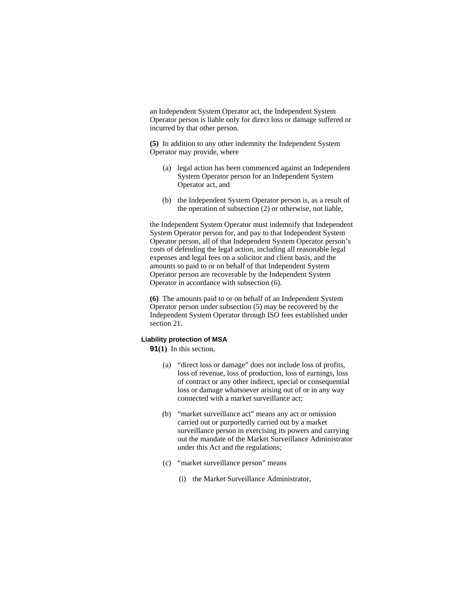an Independent System Operator act, the Independent System Operator person is liable only for direct loss or damage suffered or incurred by that other person.

**(5)** In addition to any other indemnity the Independent System Operator may provide, where

- (a) legal action has been commenced against an Independent System Operator person for an Independent System Operator act, and
- (b) the Independent System Operator person is, as a result of the operation of subsection (2) or otherwise, not liable,

the Independent System Operator must indemnify that Independent System Operator person for, and pay to that Independent System Operator person, all of that Independent System Operator person's costs of defending the legal action, including all reasonable legal expenses and legal fees on a solicitor and client basis, and the amounts so paid to or on behalf of that Independent System Operator person are recoverable by the Independent System Operator in accordance with subsection (6).

**(6)** The amounts paid to or on behalf of an Independent System Operator person under subsection (5) may be recovered by the Independent System Operator through ISO fees established under section 21.

### **Liability protection of MSA**

**91(1)** In this section,

- (a) "direct loss or damage" does not include loss of profits, loss of revenue, loss of production, loss of earnings, loss of contract or any other indirect, special or consequential loss or damage whatsoever arising out of or in any way connected with a market surveillance act;
- (b) "market surveillance act" means any act or omission carried out or purportedly carried out by a market surveillance person in exercising its powers and carrying out the mandate of the Market Surveillance Administrator under this Act and the regulations;
- (c) "market surveillance person" means
	- (i) the Market Surveillance Administrator,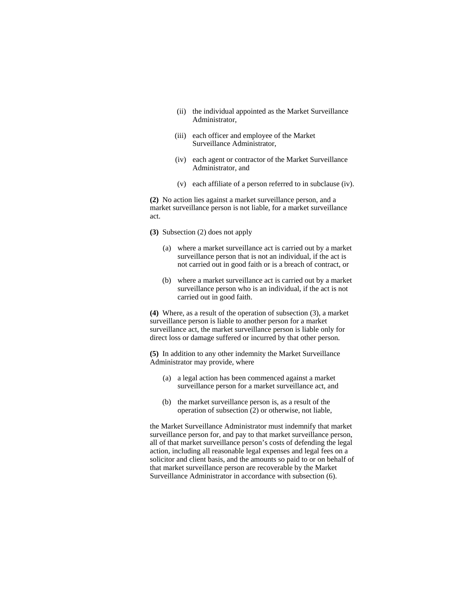- (ii) the individual appointed as the Market Surveillance Administrator,
- (iii) each officer and employee of the Market Surveillance Administrator,
- (iv) each agent or contractor of the Market Surveillance Administrator, and
- (v) each affiliate of a person referred to in subclause (iv).

**(2)** No action lies against a market surveillance person, and a market surveillance person is not liable, for a market surveillance act.

- **(3)** Subsection (2) does not apply
	- (a) where a market surveillance act is carried out by a market surveillance person that is not an individual, if the act is not carried out in good faith or is a breach of contract, or
	- (b) where a market surveillance act is carried out by a market surveillance person who is an individual, if the act is not carried out in good faith.

**(4)** Where, as a result of the operation of subsection (3), a market surveillance person is liable to another person for a market surveillance act, the market surveillance person is liable only for direct loss or damage suffered or incurred by that other person.

**(5)** In addition to any other indemnity the Market Surveillance Administrator may provide, where

- (a) a legal action has been commenced against a market surveillance person for a market surveillance act, and
- (b) the market surveillance person is, as a result of the operation of subsection  $(2)$  or otherwise, not liable,

the Market Surveillance Administrator must indemnify that market surveillance person for, and pay to that market surveillance person, all of that market surveillance person's costs of defending the legal action, including all reasonable legal expenses and legal fees on a solicitor and client basis, and the amounts so paid to or on behalf of that market surveillance person are recoverable by the Market Surveillance Administrator in accordance with subsection (6).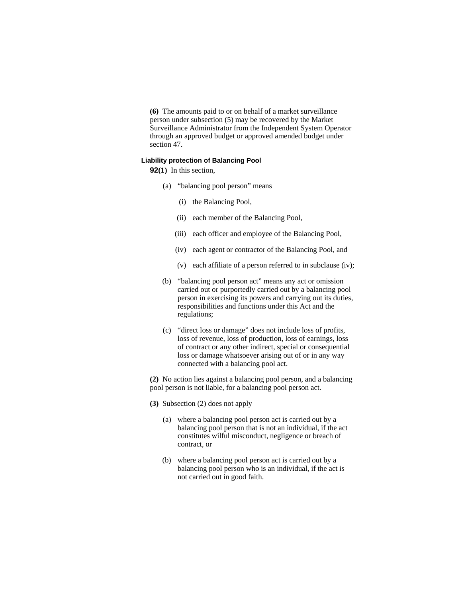**(6)** The amounts paid to or on behalf of a market surveillance person under subsection (5) may be recovered by the Market Surveillance Administrator from the Independent System Operator through an approved budget or approved amended budget under section 47.

### **Liability protection of Balancing Pool**

**92(1)** In this section,

- (a) "balancing pool person" means
	- (i) the Balancing Pool,
	- (ii) each member of the Balancing Pool,
	- (iii) each officer and employee of the Balancing Pool,
	- (iv) each agent or contractor of the Balancing Pool, and
	- (v) each affiliate of a person referred to in subclause (iv);
- (b) "balancing pool person act" means any act or omission carried out or purportedly carried out by a balancing pool person in exercising its powers and carrying out its duties, responsibilities and functions under this Act and the regulations;
- (c) "direct loss or damage" does not include loss of profits, loss of revenue, loss of production, loss of earnings, loss of contract or any other indirect, special or consequential loss or damage whatsoever arising out of or in any way connected with a balancing pool act.

**(2)** No action lies against a balancing pool person, and a balancing pool person is not liable, for a balancing pool person act.

**(3)** Subsection (2) does not apply

- (a) where a balancing pool person act is carried out by a balancing pool person that is not an individual, if the act constitutes wilful misconduct, negligence or breach of contract, or
- (b) where a balancing pool person act is carried out by a balancing pool person who is an individual, if the act is not carried out in good faith.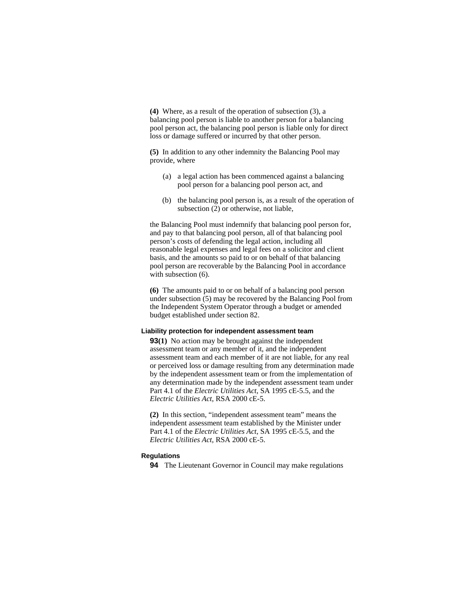**(4)** Where, as a result of the operation of subsection (3), a balancing pool person is liable to another person for a balancing pool person act, the balancing pool person is liable only for direct loss or damage suffered or incurred by that other person.

**(5)** In addition to any other indemnity the Balancing Pool may provide, where

- (a) a legal action has been commenced against a balancing pool person for a balancing pool person act, and
- (b) the balancing pool person is, as a result of the operation of subsection (2) or otherwise, not liable,

the Balancing Pool must indemnify that balancing pool person for, and pay to that balancing pool person, all of that balancing pool person's costs of defending the legal action, including all reasonable legal expenses and legal fees on a solicitor and client basis, and the amounts so paid to or on behalf of that balancing pool person are recoverable by the Balancing Pool in accordance with subsection (6).

**(6)** The amounts paid to or on behalf of a balancing pool person under subsection (5) may be recovered by the Balancing Pool from the Independent System Operator through a budget or amended budget established under section 82.

#### **Liability protection for independent assessment team**

**93(1)** No action may be brought against the independent assessment team or any member of it, and the independent assessment team and each member of it are not liable, for any real or perceived loss or damage resulting from any determination made by the independent assessment team or from the implementation of any determination made by the independent assessment team under Part 4.1 of the *Electric Utilities Act*, SA 1995 cE-5.5, and the *Electric Utilities Act*, RSA 2000 cE-5.

**(2)** In this section, "independent assessment team" means the independent assessment team established by the Minister under Part 4.1 of the *Electric Utilities Act*, SA 1995 cE-5.5, and the *Electric Utilities Act*, RSA 2000 cE-5.

#### **Regulations**

**94** The Lieutenant Governor in Council may make regulations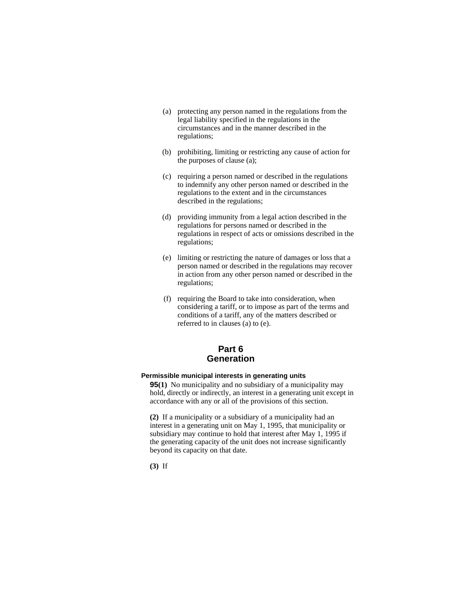- (a) protecting any person named in the regulations from the legal liability specified in the regulations in the circumstances and in the manner described in the regulations;
- (b) prohibiting, limiting or restricting any cause of action for the purposes of clause (a);
- (c) requiring a person named or described in the regulations to indemnify any other person named or described in the regulations to the extent and in the circumstances described in the regulations;
- (d) providing immunity from a legal action described in the regulations for persons named or described in the regulations in respect of acts or omissions described in the regulations;
- (e) limiting or restricting the nature of damages or loss that a person named or described in the regulations may recover in action from any other person named or described in the regulations;
- (f) requiring the Board to take into consideration, when considering a tariff, or to impose as part of the terms and conditions of a tariff, any of the matters described or referred to in clauses (a) to (e).

# **Part 6 Generation**

# **Permissible municipal interests in generating units**

**95(1)** No municipality and no subsidiary of a municipality may hold, directly or indirectly, an interest in a generating unit except in accordance with any or all of the provisions of this section.

**(2)** If a municipality or a subsidiary of a municipality had an interest in a generating unit on May 1, 1995, that municipality or subsidiary may continue to hold that interest after May 1, 1995 if the generating capacity of the unit does not increase significantly beyond its capacity on that date.

**(3)** If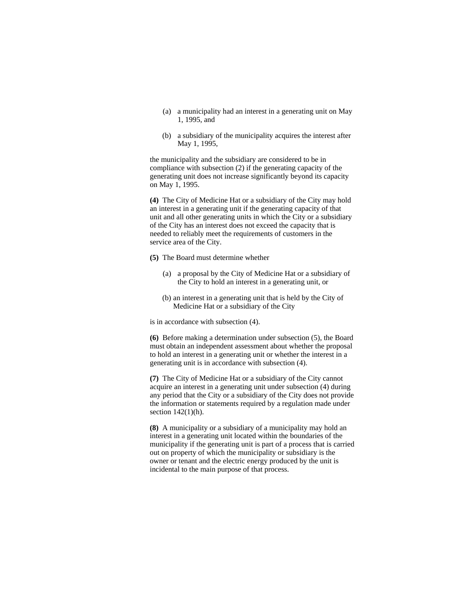- (a) a municipality had an interest in a generating unit on May 1, 1995, and
- (b) a subsidiary of the municipality acquires the interest after May 1, 1995,

the municipality and the subsidiary are considered to be in compliance with subsection (2) if the generating capacity of the generating unit does not increase significantly beyond its capacity on May 1, 1995.

**(4)** The City of Medicine Hat or a subsidiary of the City may hold an interest in a generating unit if the generating capacity of that unit and all other generating units in which the City or a subsidiary of the City has an interest does not exceed the capacity that is needed to reliably meet the requirements of customers in the service area of the City.

- **(5)** The Board must determine whether
	- (a) a proposal by the City of Medicine Hat or a subsidiary of the City to hold an interest in a generating unit, or
	- (b) an interest in a generating unit that is held by the City of Medicine Hat or a subsidiary of the City

is in accordance with subsection (4).

**(6)** Before making a determination under subsection (5), the Board must obtain an independent assessment about whether the proposal to hold an interest in a generating unit or whether the interest in a generating unit is in accordance with subsection (4).

**(7)** The City of Medicine Hat or a subsidiary of the City cannot acquire an interest in a generating unit under subsection (4) during any period that the City or a subsidiary of the City does not provide the information or statements required by a regulation made under section  $142(1)(h)$ .

**(8)** A municipality or a subsidiary of a municipality may hold an interest in a generating unit located within the boundaries of the municipality if the generating unit is part of a process that is carried out on property of which the municipality or subsidiary is the owner or tenant and the electric energy produced by the unit is incidental to the main purpose of that process.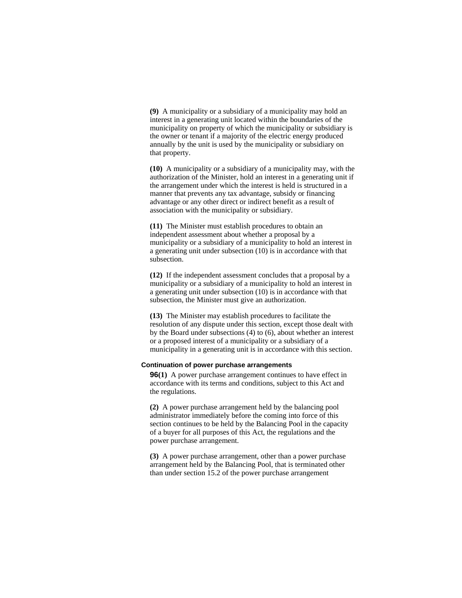**(9)** A municipality or a subsidiary of a municipality may hold an interest in a generating unit located within the boundaries of the municipality on property of which the municipality or subsidiary is the owner or tenant if a majority of the electric energy produced annually by the unit is used by the municipality or subsidiary on that property.

**(10)** A municipality or a subsidiary of a municipality may, with the authorization of the Minister, hold an interest in a generating unit if the arrangement under which the interest is held is structured in a manner that prevents any tax advantage, subsidy or financing advantage or any other direct or indirect benefit as a result of association with the municipality or subsidiary.

**(11)** The Minister must establish procedures to obtain an independent assessment about whether a proposal by a municipality or a subsidiary of a municipality to hold an interest in a generating unit under subsection (10) is in accordance with that subsection.

**(12)** If the independent assessment concludes that a proposal by a municipality or a subsidiary of a municipality to hold an interest in a generating unit under subsection (10) is in accordance with that subsection, the Minister must give an authorization.

**(13)** The Minister may establish procedures to facilitate the resolution of any dispute under this section, except those dealt with by the Board under subsections (4) to (6), about whether an interest or a proposed interest of a municipality or a subsidiary of a municipality in a generating unit is in accordance with this section.

# **Continuation of power purchase arrangements**

**96(1)** A power purchase arrangement continues to have effect in accordance with its terms and conditions, subject to this Act and the regulations.

**(2)** A power purchase arrangement held by the balancing pool administrator immediately before the coming into force of this section continues to be held by the Balancing Pool in the capacity of a buyer for all purposes of this Act, the regulations and the power purchase arrangement.

**(3)** A power purchase arrangement, other than a power purchase arrangement held by the Balancing Pool, that is terminated other than under section 15.2 of the power purchase arrangement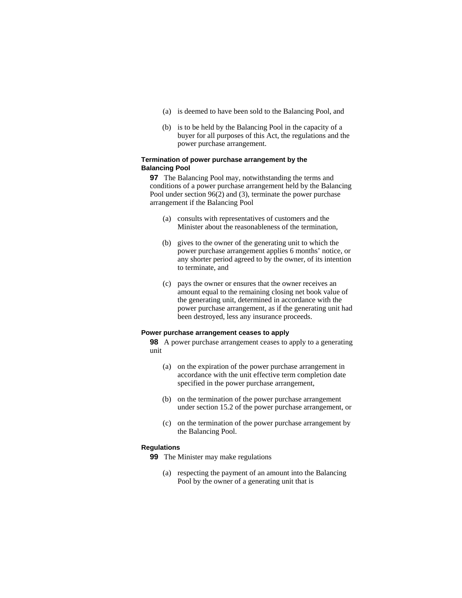- (a) is deemed to have been sold to the Balancing Pool, and
- (b) is to be held by the Balancing Pool in the capacity of a buyer for all purposes of this Act, the regulations and the power purchase arrangement.

# **Termination of power purchase arrangement by the Balancing Pool**

**97** The Balancing Pool may, notwithstanding the terms and conditions of a power purchase arrangement held by the Balancing Pool under section 96(2) and (3), terminate the power purchase arrangement if the Balancing Pool

- (a) consults with representatives of customers and the Minister about the reasonableness of the termination,
- (b) gives to the owner of the generating unit to which the power purchase arrangement applies 6 months' notice, or any shorter period agreed to by the owner, of its intention to terminate, and
- (c) pays the owner or ensures that the owner receives an amount equal to the remaining closing net book value of the generating unit, determined in accordance with the power purchase arrangement, as if the generating unit had been destroyed, less any insurance proceeds.

## **Power purchase arrangement ceases to apply**

**98** A power purchase arrangement ceases to apply to a generating unit

- (a) on the expiration of the power purchase arrangement in accordance with the unit effective term completion date specified in the power purchase arrangement,
- (b) on the termination of the power purchase arrangement under section 15.2 of the power purchase arrangement, or
- (c) on the termination of the power purchase arrangement by the Balancing Pool.

# **Regulations**

**99** The Minister may make regulations

(a) respecting the payment of an amount into the Balancing Pool by the owner of a generating unit that is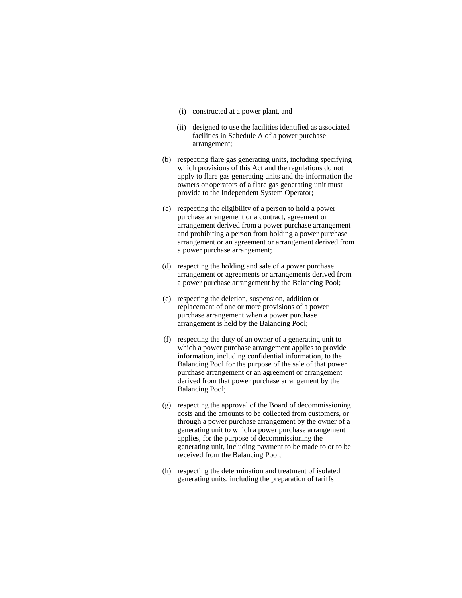- (i) constructed at a power plant, and
- (ii) designed to use the facilities identified as associated facilities in Schedule A of a power purchase arrangement;
- (b) respecting flare gas generating units, including specifying which provisions of this Act and the regulations do not apply to flare gas generating units and the information the owners or operators of a flare gas generating unit must provide to the Independent System Operator;
- (c) respecting the eligibility of a person to hold a power purchase arrangement or a contract, agreement or arrangement derived from a power purchase arrangement and prohibiting a person from holding a power purchase arrangement or an agreement or arrangement derived from a power purchase arrangement;
- (d) respecting the holding and sale of a power purchase arrangement or agreements or arrangements derived from a power purchase arrangement by the Balancing Pool;
- (e) respecting the deletion, suspension, addition or replacement of one or more provisions of a power purchase arrangement when a power purchase arrangement is held by the Balancing Pool;
- (f) respecting the duty of an owner of a generating unit to which a power purchase arrangement applies to provide information, including confidential information, to the Balancing Pool for the purpose of the sale of that power purchase arrangement or an agreement or arrangement derived from that power purchase arrangement by the Balancing Pool;
- (g) respecting the approval of the Board of decommissioning costs and the amounts to be collected from customers, or through a power purchase arrangement by the owner of a generating unit to which a power purchase arrangement applies, for the purpose of decommissioning the generating unit, including payment to be made to or to be received from the Balancing Pool;
- (h) respecting the determination and treatment of isolated generating units, including the preparation of tariffs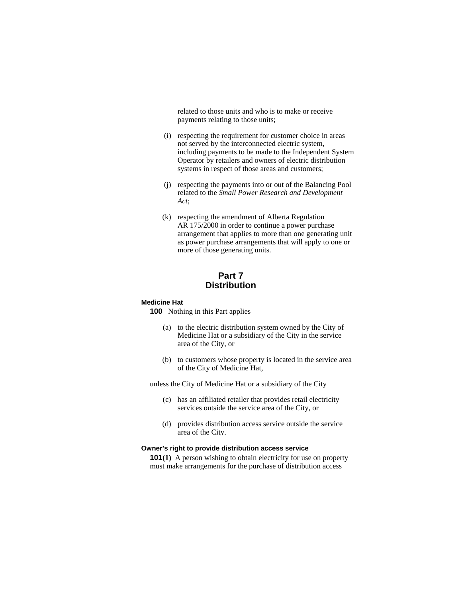related to those units and who is to make or receive payments relating to those units;

- (i) respecting the requirement for customer choice in areas not served by the interconnected electric system, including payments to be made to the Independent System Operator by retailers and owners of electric distribution systems in respect of those areas and customers;
- (j) respecting the payments into or out of the Balancing Pool related to the *Small Power Research and Development Act*;
- (k) respecting the amendment of Alberta Regulation AR 175/2000 in order to continue a power purchase arrangement that applies to more than one generating unit as power purchase arrangements that will apply to one or more of those generating units.

# **Part 7 Distribution**

#### **Medicine Hat**

**100** Nothing in this Part applies

- (a) to the electric distribution system owned by the City of Medicine Hat or a subsidiary of the City in the service area of the City, or
- (b) to customers whose property is located in the service area of the City of Medicine Hat,

unless the City of Medicine Hat or a subsidiary of the City

- (c) has an affiliated retailer that provides retail electricity services outside the service area of the City, or
- (d) provides distribution access service outside the service area of the City.

# **Owner's right to provide distribution access service**

**101(1)** A person wishing to obtain electricity for use on property must make arrangements for the purchase of distribution access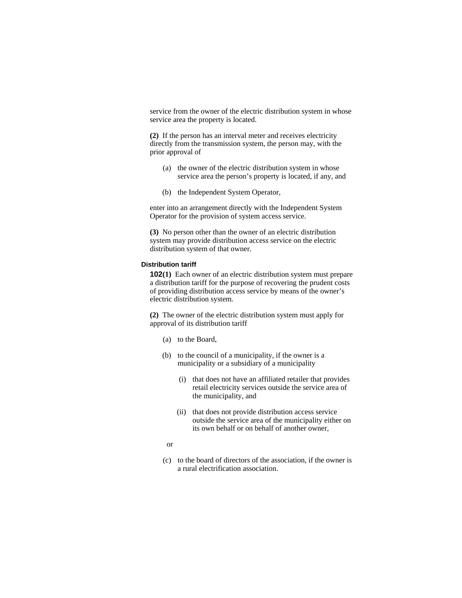service from the owner of the electric distribution system in whose service area the property is located.

**(2)** If the person has an interval meter and receives electricity directly from the transmission system, the person may, with the prior approval of

- (a) the owner of the electric distribution system in whose service area the person's property is located, if any, and
- (b) the Independent System Operator,

enter into an arrangement directly with the Independent System Operator for the provision of system access service.

**(3)** No person other than the owner of an electric distribution system may provide distribution access service on the electric distribution system of that owner.

#### **Distribution tariff**

**102(1)** Each owner of an electric distribution system must prepare a distribution tariff for the purpose of recovering the prudent costs of providing distribution access service by means of the owner's electric distribution system.

**(2)** The owner of the electric distribution system must apply for approval of its distribution tariff

- (a) to the Board,
- (b) to the council of a municipality, if the owner is a municipality or a subsidiary of a municipality
	- (i) that does not have an affiliated retailer that provides retail electricity services outside the service area of the municipality, and
	- (ii) that does not provide distribution access service outside the service area of the municipality either on its own behalf or on behalf of another owner,
	- or
- (c) to the board of directors of the association, if the owner is a rural electrification association.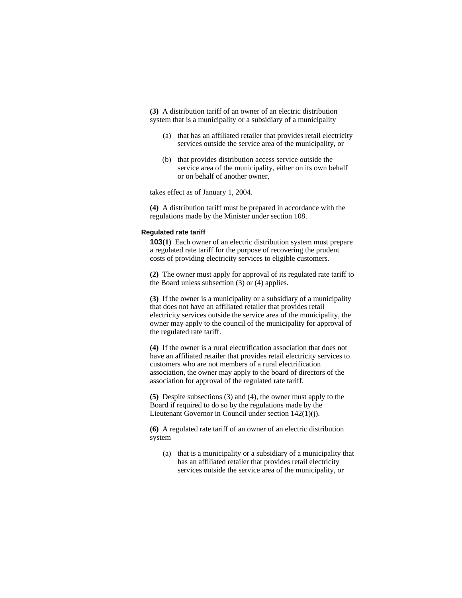**(3)** A distribution tariff of an owner of an electric distribution system that is a municipality or a subsidiary of a municipality

- (a) that has an affiliated retailer that provides retail electricity services outside the service area of the municipality, or
- (b) that provides distribution access service outside the service area of the municipality, either on its own behalf or on behalf of another owner,

takes effect as of January 1, 2004.

**(4)** A distribution tariff must be prepared in accordance with the regulations made by the Minister under section 108.

# **Regulated rate tariff**

**103(1)** Each owner of an electric distribution system must prepare a regulated rate tariff for the purpose of recovering the prudent costs of providing electricity services to eligible customers.

**(2)** The owner must apply for approval of its regulated rate tariff to the Board unless subsection (3) or (4) applies.

**(3)** If the owner is a municipality or a subsidiary of a municipality that does not have an affiliated retailer that provides retail electricity services outside the service area of the municipality, the owner may apply to the council of the municipality for approval of the regulated rate tariff.

**(4)** If the owner is a rural electrification association that does not have an affiliated retailer that provides retail electricity services to customers who are not members of a rural electrification association, the owner may apply to the board of directors of the association for approval of the regulated rate tariff.

**(5)** Despite subsections (3) and (4), the owner must apply to the Board if required to do so by the regulations made by the Lieutenant Governor in Council under section 142(1)(j).

**(6)** A regulated rate tariff of an owner of an electric distribution system

 (a) that is a municipality or a subsidiary of a municipality that has an affiliated retailer that provides retail electricity services outside the service area of the municipality, or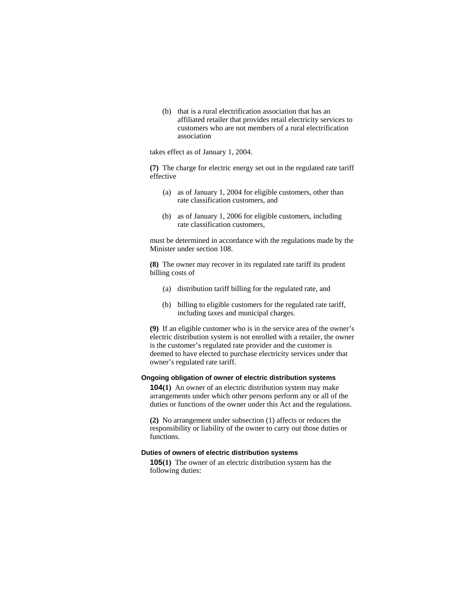(b) that is a rural electrification association that has an affiliated retailer that provides retail electricity services to customers who are not members of a rural electrification association

takes effect as of January 1, 2004.

**(7)** The charge for electric energy set out in the regulated rate tariff effective

- (a) as of January 1, 2004 for eligible customers, other than rate classification customers, and
- (b) as of January 1, 2006 for eligible customers, including rate classification customers,

must be determined in accordance with the regulations made by the Minister under section 108.

**(8)** The owner may recover in its regulated rate tariff its prudent billing costs of

- (a) distribution tariff billing for the regulated rate, and
- (b) billing to eligible customers for the regulated rate tariff, including taxes and municipal charges.

**(9)** If an eligible customer who is in the service area of the owner's electric distribution system is not enrolled with a retailer, the owner is the customer's regulated rate provider and the customer is deemed to have elected to purchase electricity services under that owner's regulated rate tariff.

## **Ongoing obligation of owner of electric distribution systems**

**104(1)** An owner of an electric distribution system may make arrangements under which other persons perform any or all of the duties or functions of the owner under this Act and the regulations.

**(2)** No arrangement under subsection (1) affects or reduces the responsibility or liability of the owner to carry out those duties or functions.

# **Duties of owners of electric distribution systems**

**105(1)** The owner of an electric distribution system has the following duties: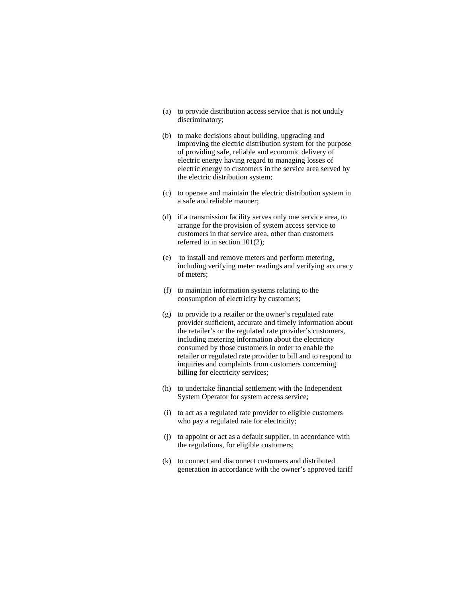- (a) to provide distribution access service that is not unduly discriminatory;
- (b) to make decisions about building, upgrading and improving the electric distribution system for the purpose of providing safe, reliable and economic delivery of electric energy having regard to managing losses of electric energy to customers in the service area served by the electric distribution system;
- (c) to operate and maintain the electric distribution system in a safe and reliable manner;
- (d) if a transmission facility serves only one service area, to arrange for the provision of system access service to customers in that service area, other than customers referred to in section 101(2);
- (e) to install and remove meters and perform metering, including verifying meter readings and verifying accuracy of meters;
- (f) to maintain information systems relating to the consumption of electricity by customers;
- (g) to provide to a retailer or the owner's regulated rate provider sufficient, accurate and timely information about the retailer's or the regulated rate provider's customers, including metering information about the electricity consumed by those customers in order to enable the retailer or regulated rate provider to bill and to respond to inquiries and complaints from customers concerning billing for electricity services;
- (h) to undertake financial settlement with the Independent System Operator for system access service;
- (i) to act as a regulated rate provider to eligible customers who pay a regulated rate for electricity;
- (j) to appoint or act as a default supplier, in accordance with the regulations, for eligible customers;
- (k) to connect and disconnect customers and distributed generation in accordance with the owner's approved tariff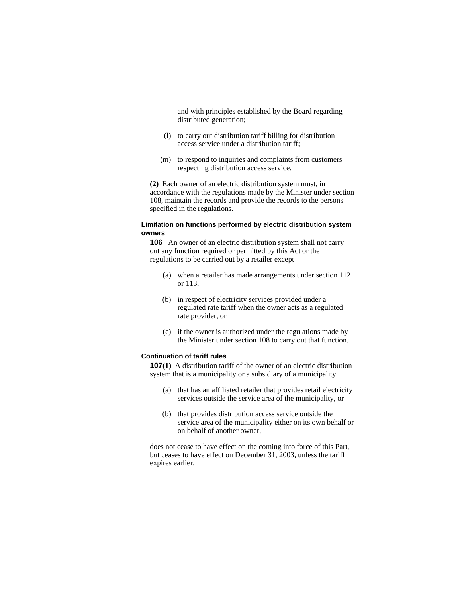and with principles established by the Board regarding distributed generation;

- (l) to carry out distribution tariff billing for distribution access service under a distribution tariff;
- (m) to respond to inquiries and complaints from customers respecting distribution access service.

**(2)** Each owner of an electric distribution system must, in accordance with the regulations made by the Minister under section 108, maintain the records and provide the records to the persons specified in the regulations.

# **Limitation on functions performed by electric distribution system owners**

**106** An owner of an electric distribution system shall not carry out any function required or permitted by this Act or the regulations to be carried out by a retailer except

- (a) when a retailer has made arrangements under section 112 or 113,
- (b) in respect of electricity services provided under a regulated rate tariff when the owner acts as a regulated rate provider, or
- (c) if the owner is authorized under the regulations made by the Minister under section 108 to carry out that function.

### **Continuation of tariff rules**

**107(1)** A distribution tariff of the owner of an electric distribution system that is a municipality or a subsidiary of a municipality

- (a) that has an affiliated retailer that provides retail electricity services outside the service area of the municipality, or
- (b) that provides distribution access service outside the service area of the municipality either on its own behalf or on behalf of another owner,

does not cease to have effect on the coming into force of this Part, but ceases to have effect on December 31, 2003, unless the tariff expires earlier.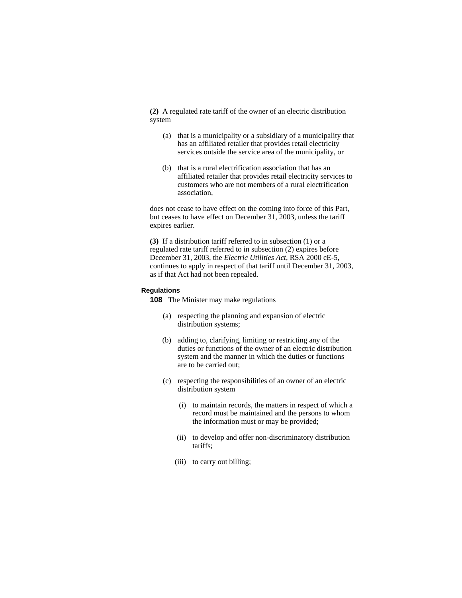**(2)** A regulated rate tariff of the owner of an electric distribution system

- (a) that is a municipality or a subsidiary of a municipality that has an affiliated retailer that provides retail electricity services outside the service area of the municipality, or
- (b) that is a rural electrification association that has an affiliated retailer that provides retail electricity services to customers who are not members of a rural electrification association,

does not cease to have effect on the coming into force of this Part, but ceases to have effect on December 31, 2003, unless the tariff expires earlier.

**(3)** If a distribution tariff referred to in subsection (1) or a regulated rate tariff referred to in subsection (2) expires before December 31, 2003, the *Electric Utilities Act*, RSA 2000 cE-5, continues to apply in respect of that tariff until December 31, 2003, as if that Act had not been repealed.

### **Regulations**

**108** The Minister may make regulations

- (a) respecting the planning and expansion of electric distribution systems;
- (b) adding to, clarifying, limiting or restricting any of the duties or functions of the owner of an electric distribution system and the manner in which the duties or functions are to be carried out;
- (c) respecting the responsibilities of an owner of an electric distribution system
	- (i) to maintain records, the matters in respect of which a record must be maintained and the persons to whom the information must or may be provided;
	- (ii) to develop and offer non-discriminatory distribution tariffs;
	- (iii) to carry out billing;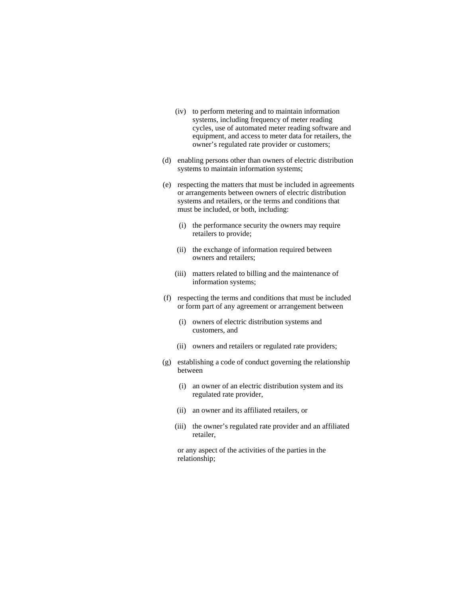- (iv) to perform metering and to maintain information systems, including frequency of meter reading cycles, use of automated meter reading software and equipment, and access to meter data for retailers, the owner's regulated rate provider or customers;
- (d) enabling persons other than owners of electric distribution systems to maintain information systems;
- (e) respecting the matters that must be included in agreements or arrangements between owners of electric distribution systems and retailers, or the terms and conditions that must be included, or both, including:
	- (i) the performance security the owners may require retailers to provide;
	- (ii) the exchange of information required between owners and retailers;
	- (iii) matters related to billing and the maintenance of information systems;
- (f) respecting the terms and conditions that must be included or form part of any agreement or arrangement between
	- (i) owners of electric distribution systems and customers, and
	- (ii) owners and retailers or regulated rate providers;
- (g) establishing a code of conduct governing the relationship between
	- (i) an owner of an electric distribution system and its regulated rate provider,
	- (ii) an owner and its affiliated retailers, or
	- (iii) the owner's regulated rate provider and an affiliated retailer,

 or any aspect of the activities of the parties in the relationship;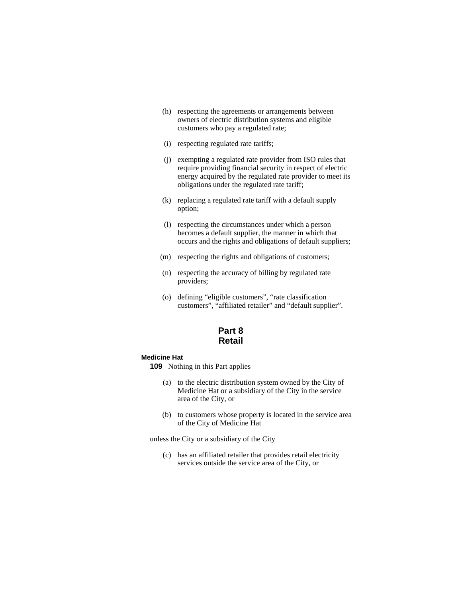- (h) respecting the agreements or arrangements between owners of electric distribution systems and eligible customers who pay a regulated rate;
- (i) respecting regulated rate tariffs;
- (j) exempting a regulated rate provider from ISO rules that require providing financial security in respect of electric energy acquired by the regulated rate provider to meet its obligations under the regulated rate tariff;
- (k) replacing a regulated rate tariff with a default supply option;
- (l) respecting the circumstances under which a person becomes a default supplier, the manner in which that occurs and the rights and obligations of default suppliers;
- (m) respecting the rights and obligations of customers;
- (n) respecting the accuracy of billing by regulated rate providers;
- (o) defining "eligible customers", "rate classification customers", "affiliated retailer" and "default supplier".

# **Part 8 Retail**

# **Medicine Hat**

**109** Nothing in this Part applies

- (a) to the electric distribution system owned by the City of Medicine Hat or a subsidiary of the City in the service area of the City, or
- (b) to customers whose property is located in the service area of the City of Medicine Hat

unless the City or a subsidiary of the City

(c) has an affiliated retailer that provides retail electricity services outside the service area of the City, or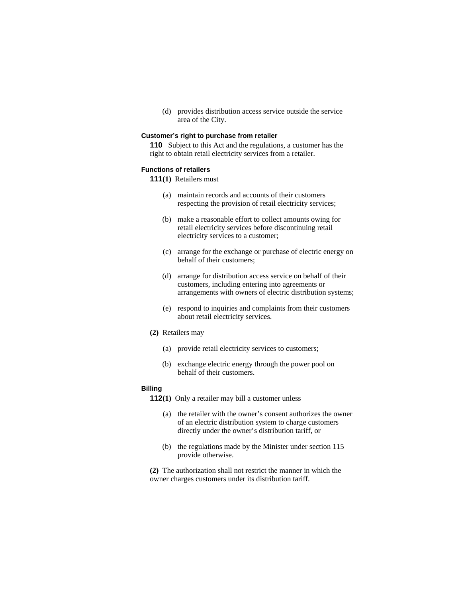(d) provides distribution access service outside the service area of the City.

#### **Customer's right to purchase from retailer**

**110** Subject to this Act and the regulations, a customer has the right to obtain retail electricity services from a retailer.

# **Functions of retailers**

- **111(1)** Retailers must
	- (a) maintain records and accounts of their customers respecting the provision of retail electricity services;
	- (b) make a reasonable effort to collect amounts owing for retail electricity services before discontinuing retail electricity services to a customer;
	- (c) arrange for the exchange or purchase of electric energy on behalf of their customers;
	- (d) arrange for distribution access service on behalf of their customers, including entering into agreements or arrangements with owners of electric distribution systems;
	- (e) respond to inquiries and complaints from their customers about retail electricity services.
- **(2)** Retailers may
	- (a) provide retail electricity services to customers;
	- (b) exchange electric energy through the power pool on behalf of their customers.

## **Billing**

**112(1)** Only a retailer may bill a customer unless

- (a) the retailer with the owner's consent authorizes the owner of an electric distribution system to charge customers directly under the owner's distribution tariff, or
- (b) the regulations made by the Minister under section 115 provide otherwise.

**(2)** The authorization shall not restrict the manner in which the owner charges customers under its distribution tariff.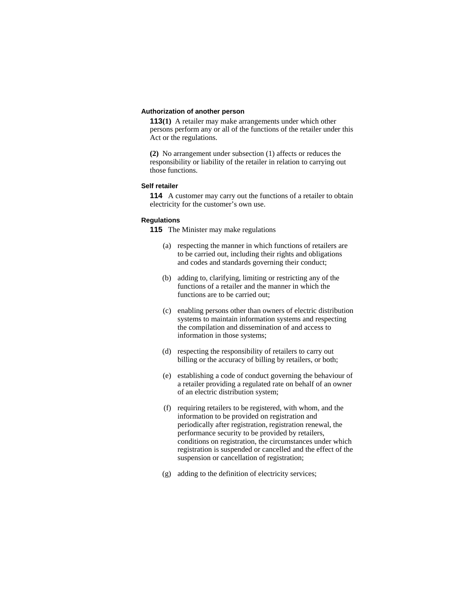# **Authorization of another person**

**113(1)** A retailer may make arrangements under which other persons perform any or all of the functions of the retailer under this Act or the regulations.

**(2)** No arrangement under subsection (1) affects or reduces the responsibility or liability of the retailer in relation to carrying out those functions.

# **Self retailer**

**114** A customer may carry out the functions of a retailer to obtain electricity for the customer's own use.

### **Regulations**

**115** The Minister may make regulations

- (a) respecting the manner in which functions of retailers are to be carried out, including their rights and obligations and codes and standards governing their conduct;
- (b) adding to, clarifying, limiting or restricting any of the functions of a retailer and the manner in which the functions are to be carried out;
- (c) enabling persons other than owners of electric distribution systems to maintain information systems and respecting the compilation and dissemination of and access to information in those systems;
- (d) respecting the responsibility of retailers to carry out billing or the accuracy of billing by retailers, or both;
- (e) establishing a code of conduct governing the behaviour of a retailer providing a regulated rate on behalf of an owner of an electric distribution system;
- (f) requiring retailers to be registered, with whom, and the information to be provided on registration and periodically after registration, registration renewal, the performance security to be provided by retailers, conditions on registration, the circumstances under which registration is suspended or cancelled and the effect of the suspension or cancellation of registration;
- (g) adding to the definition of electricity services;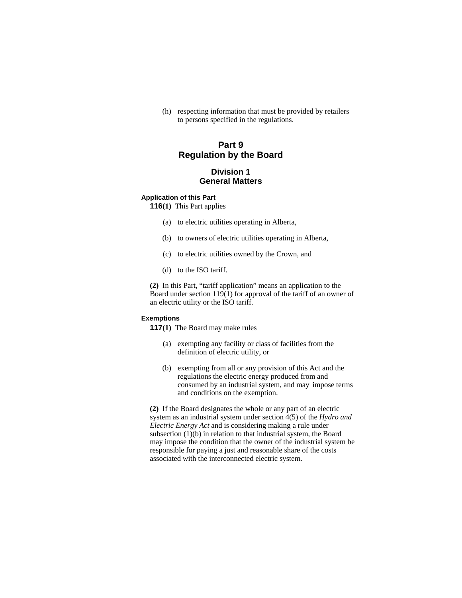(h) respecting information that must be provided by retailers to persons specified in the regulations.

# **Part 9 Regulation by the Board**

# **Division 1 General Matters**

#### **Application of this Part**

**116(1)** This Part applies

- (a) to electric utilities operating in Alberta,
- (b) to owners of electric utilities operating in Alberta,
- (c) to electric utilities owned by the Crown, and
- (d) to the ISO tariff.

**(2)** In this Part, "tariff application" means an application to the Board under section 119(1) for approval of the tariff of an owner of an electric utility or the ISO tariff.

#### **Exemptions**

**117(1)** The Board may make rules

- (a) exempting any facility or class of facilities from the definition of electric utility, or
- (b) exempting from all or any provision of this Act and the regulations the electric energy produced from and consumed by an industrial system, and may impose terms and conditions on the exemption.

**(2)** If the Board designates the whole or any part of an electric system as an industrial system under section 4(5) of the *Hydro and Electric Energy Act* and is considering making a rule under subsection (1)(b) in relation to that industrial system, the Board may impose the condition that the owner of the industrial system be responsible for paying a just and reasonable share of the costs associated with the interconnected electric system.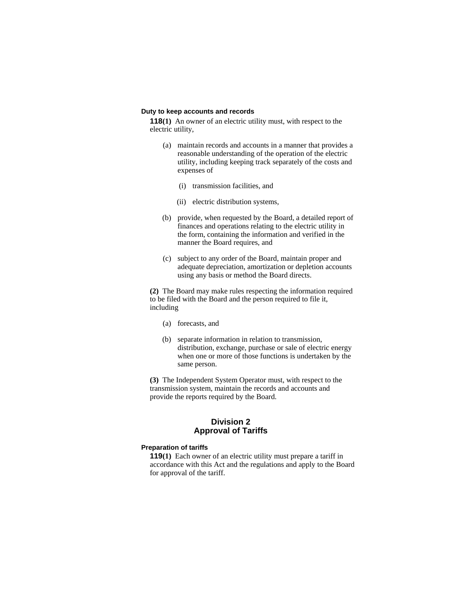#### **Duty to keep accounts and records**

**118(1)** An owner of an electric utility must, with respect to the electric utility,

- (a) maintain records and accounts in a manner that provides a reasonable understanding of the operation of the electric utility, including keeping track separately of the costs and expenses of
	- (i) transmission facilities, and
	- (ii) electric distribution systems,
- (b) provide, when requested by the Board, a detailed report of finances and operations relating to the electric utility in the form, containing the information and verified in the manner the Board requires, and
- (c) subject to any order of the Board, maintain proper and adequate depreciation, amortization or depletion accounts using any basis or method the Board directs.

**(2)** The Board may make rules respecting the information required to be filed with the Board and the person required to file it, including

- (a) forecasts, and
- (b) separate information in relation to transmission, distribution, exchange, purchase or sale of electric energy when one or more of those functions is undertaken by the same person.

**(3)** The Independent System Operator must, with respect to the transmission system, maintain the records and accounts and provide the reports required by the Board.

# **Division 2 Approval of Tariffs**

#### **Preparation of tariffs**

**119(1)** Each owner of an electric utility must prepare a tariff in accordance with this Act and the regulations and apply to the Board for approval of the tariff.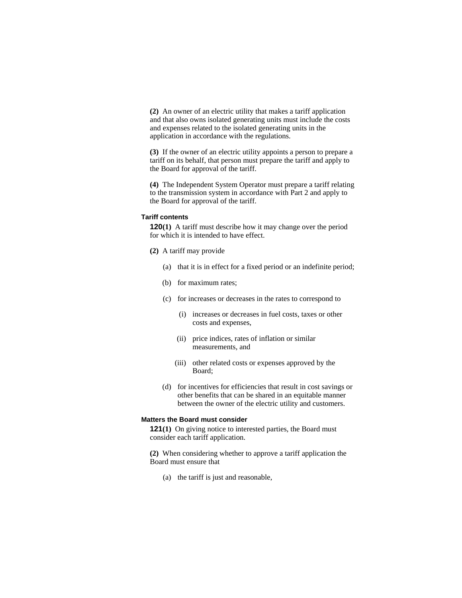**(2)** An owner of an electric utility that makes a tariff application and that also owns isolated generating units must include the costs and expenses related to the isolated generating units in the application in accordance with the regulations.

**(3)** If the owner of an electric utility appoints a person to prepare a tariff on its behalf, that person must prepare the tariff and apply to the Board for approval of the tariff.

**(4)** The Independent System Operator must prepare a tariff relating to the transmission system in accordance with Part 2 and apply to the Board for approval of the tariff.

#### **Tariff contents**

**120(1)** A tariff must describe how it may change over the period for which it is intended to have effect.

- **(2)** A tariff may provide
	- (a) that it is in effect for a fixed period or an indefinite period;
	- (b) for maximum rates;
	- (c) for increases or decreases in the rates to correspond to
		- (i) increases or decreases in fuel costs, taxes or other costs and expenses,
		- (ii) price indices, rates of inflation or similar measurements, and
		- (iii) other related costs or expenses approved by the Board;
	- (d) for incentives for efficiencies that result in cost savings or other benefits that can be shared in an equitable manner between the owner of the electric utility and customers.

# **Matters the Board must consider**

**121(1)** On giving notice to interested parties, the Board must consider each tariff application.

**(2)** When considering whether to approve a tariff application the Board must ensure that

(a) the tariff is just and reasonable,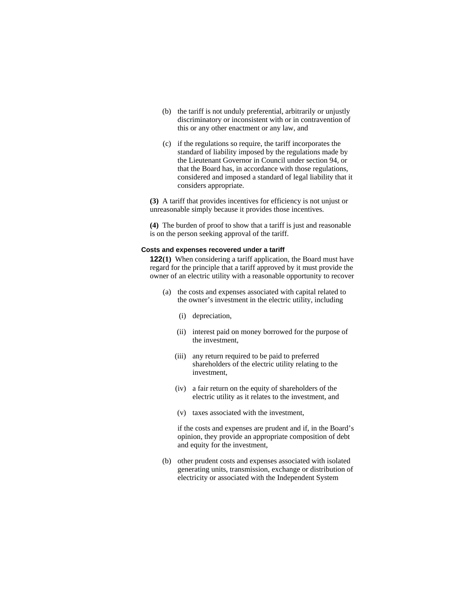- (b) the tariff is not unduly preferential, arbitrarily or unjustly discriminatory or inconsistent with or in contravention of this or any other enactment or any law, and
- (c) if the regulations so require, the tariff incorporates the standard of liability imposed by the regulations made by the Lieutenant Governor in Council under section 94, or that the Board has, in accordance with those regulations, considered and imposed a standard of legal liability that it considers appropriate.

**(3)** A tariff that provides incentives for efficiency is not unjust or unreasonable simply because it provides those incentives.

**(4)** The burden of proof to show that a tariff is just and reasonable is on the person seeking approval of the tariff.

# **Costs and expenses recovered under a tariff**

**122(1)** When considering a tariff application, the Board must have regard for the principle that a tariff approved by it must provide the owner of an electric utility with a reasonable opportunity to recover

- (a) the costs and expenses associated with capital related to the owner's investment in the electric utility, including
	- (i) depreciation,
	- (ii) interest paid on money borrowed for the purpose of the investment,
	- (iii) any return required to be paid to preferred shareholders of the electric utility relating to the investment,
	- (iv) a fair return on the equity of shareholders of the electric utility as it relates to the investment, and
	- (v) taxes associated with the investment,

 if the costs and expenses are prudent and if, in the Board's opinion, they provide an appropriate composition of debt and equity for the investment,

 (b) other prudent costs and expenses associated with isolated generating units, transmission, exchange or distribution of electricity or associated with the Independent System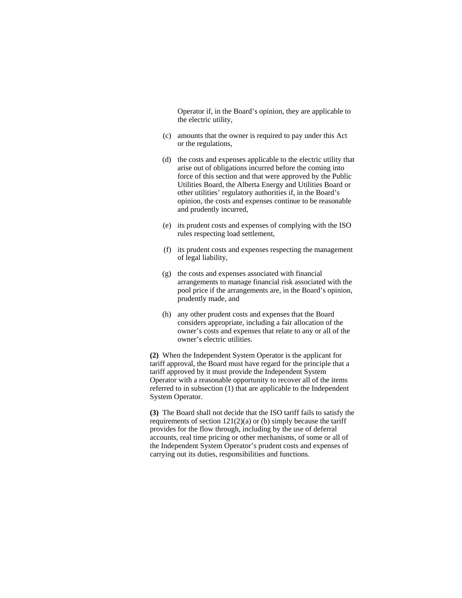Operator if, in the Board's opinion, they are applicable to the electric utility,

- (c) amounts that the owner is required to pay under this Act or the regulations,
- (d) the costs and expenses applicable to the electric utility that arise out of obligations incurred before the coming into force of this section and that were approved by the Public Utilities Board, the Alberta Energy and Utilities Board or other utilities' regulatory authorities if, in the Board's opinion, the costs and expenses continue to be reasonable and prudently incurred,
- (e) its prudent costs and expenses of complying with the ISO rules respecting load settlement,
- (f) its prudent costs and expenses respecting the management of legal liability,
- (g) the costs and expenses associated with financial arrangements to manage financial risk associated with the pool price if the arrangements are, in the Board's opinion, prudently made, and
- (h) any other prudent costs and expenses that the Board considers appropriate, including a fair allocation of the owner's costs and expenses that relate to any or all of the owner's electric utilities.

**(2)** When the Independent System Operator is the applicant for tariff approval, the Board must have regard for the principle that a tariff approved by it must provide the Independent System Operator with a reasonable opportunity to recover all of the items referred to in subsection (1) that are applicable to the Independent System Operator.

**(3)** The Board shall not decide that the ISO tariff fails to satisfy the requirements of section  $121(2)(a)$  or (b) simply because the tariff provides for the flow through, including by the use of deferral accounts, real time pricing or other mechanisms, of some or all of the Independent System Operator's prudent costs and expenses of carrying out its duties, responsibilities and functions.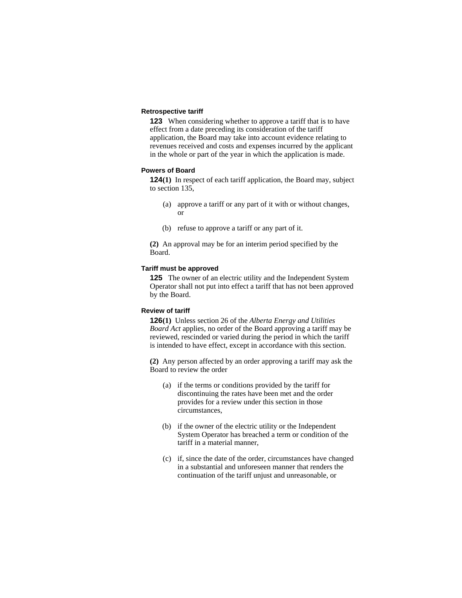# **Retrospective tariff**

**123** When considering whether to approve a tariff that is to have effect from a date preceding its consideration of the tariff application, the Board may take into account evidence relating to revenues received and costs and expenses incurred by the applicant in the whole or part of the year in which the application is made.

# **Powers of Board**

**124(1)** In respect of each tariff application, the Board may, subject to section 135,

- (a) approve a tariff or any part of it with or without changes, or
- (b) refuse to approve a tariff or any part of it.

**(2)** An approval may be for an interim period specified by the Board.

#### **Tariff must be approved**

**125** The owner of an electric utility and the Independent System Operator shall not put into effect a tariff that has not been approved by the Board.

# **Review of tariff**

**126(1)** Unless section 26 of the *Alberta Energy and Utilities Board Act* applies, no order of the Board approving a tariff may be reviewed, rescinded or varied during the period in which the tariff is intended to have effect, except in accordance with this section.

**(2)** Any person affected by an order approving a tariff may ask the Board to review the order

- (a) if the terms or conditions provided by the tariff for discontinuing the rates have been met and the order provides for a review under this section in those circumstances,
- (b) if the owner of the electric utility or the Independent System Operator has breached a term or condition of the tariff in a material manner,
- (c) if, since the date of the order, circumstances have changed in a substantial and unforeseen manner that renders the continuation of the tariff unjust and unreasonable, or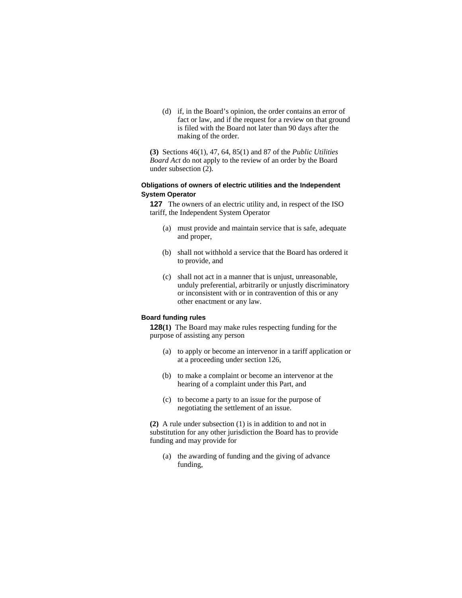(d) if, in the Board's opinion, the order contains an error of fact or law, and if the request for a review on that ground is filed with the Board not later than 90 days after the making of the order.

**(3)** Sections 46(1), 47, 64, 85(1) and 87 of the *Public Utilities Board Act* do not apply to the review of an order by the Board under subsection (2).

# **Obligations of owners of electric utilities and the Independent System Operator**

**127** The owners of an electric utility and, in respect of the ISO tariff, the Independent System Operator

- (a) must provide and maintain service that is safe, adequate and proper,
- (b) shall not withhold a service that the Board has ordered it to provide, and
- (c) shall not act in a manner that is unjust, unreasonable, unduly preferential, arbitrarily or unjustly discriminatory or inconsistent with or in contravention of this or any other enactment or any law.

# **Board funding rules**

**128(1)** The Board may make rules respecting funding for the purpose of assisting any person

- (a) to apply or become an intervenor in a tariff application or at a proceeding under section 126,
- (b) to make a complaint or become an intervenor at the hearing of a complaint under this Part, and
- (c) to become a party to an issue for the purpose of negotiating the settlement of an issue.

**(2)** A rule under subsection (1) is in addition to and not in substitution for any other jurisdiction the Board has to provide funding and may provide for

 (a) the awarding of funding and the giving of advance funding,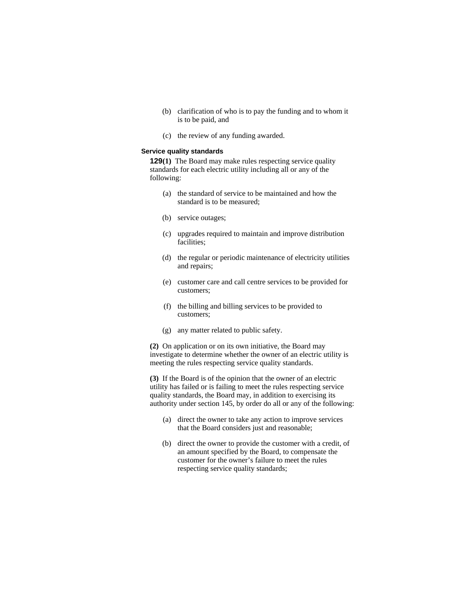- (b) clarification of who is to pay the funding and to whom it is to be paid, and
- (c) the review of any funding awarded.

### **Service quality standards**

**129(1)** The Board may make rules respecting service quality standards for each electric utility including all or any of the following:

- (a) the standard of service to be maintained and how the standard is to be measured;
- (b) service outages;
- (c) upgrades required to maintain and improve distribution facilities;
- (d) the regular or periodic maintenance of electricity utilities and repairs;
- (e) customer care and call centre services to be provided for customers;
- (f) the billing and billing services to be provided to customers;
- (g) any matter related to public safety.

**(2)** On application or on its own initiative, the Board may investigate to determine whether the owner of an electric utility is meeting the rules respecting service quality standards.

**(3)** If the Board is of the opinion that the owner of an electric utility has failed or is failing to meet the rules respecting service quality standards, the Board may, in addition to exercising its authority under section 145, by order do all or any of the following:

- (a) direct the owner to take any action to improve services that the Board considers just and reasonable;
- (b) direct the owner to provide the customer with a credit, of an amount specified by the Board, to compensate the customer for the owner's failure to meet the rules respecting service quality standards;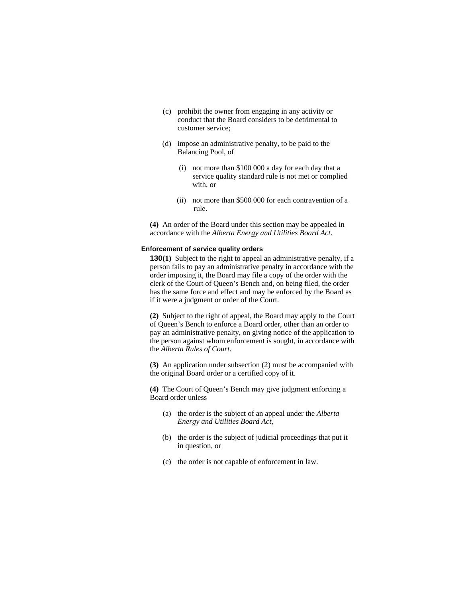- (c) prohibit the owner from engaging in any activity or conduct that the Board considers to be detrimental to customer service;
- (d) impose an administrative penalty, to be paid to the Balancing Pool, of
	- (i) not more than \$100 000 a day for each day that a service quality standard rule is not met or complied with, or
	- (ii) not more than \$500 000 for each contravention of a rule.

**(4)** An order of the Board under this section may be appealed in accordance with the *Alberta Energy and Utilities Board Act*.

## **Enforcement of service quality orders**

**130(1)** Subject to the right to appeal an administrative penalty, if a person fails to pay an administrative penalty in accordance with the order imposing it, the Board may file a copy of the order with the clerk of the Court of Queen's Bench and, on being filed, the order has the same force and effect and may be enforced by the Board as if it were a judgment or order of the Court.

**(2)** Subject to the right of appeal, the Board may apply to the Court of Queen's Bench to enforce a Board order, other than an order to pay an administrative penalty, on giving notice of the application to the person against whom enforcement is sought, in accordance with the *Alberta Rules of Court*.

**(3)** An application under subsection (2) must be accompanied with the original Board order or a certified copy of it.

**(4)** The Court of Queen's Bench may give judgment enforcing a Board order unless

- (a) the order is the subject of an appeal under the *Alberta Energy and Utilities Board Act*,
- (b) the order is the subject of judicial proceedings that put it in question, or
- (c) the order is not capable of enforcement in law.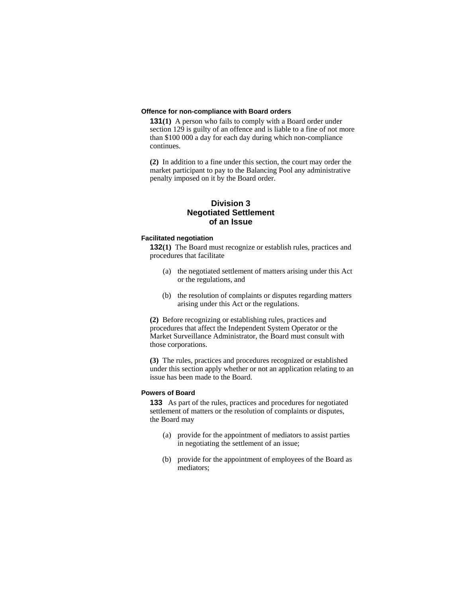### **Offence for non-compliance with Board orders**

**131(1)** A person who fails to comply with a Board order under section 129 is guilty of an offence and is liable to a fine of not more than \$100 000 a day for each day during which non-compliance continues.

**(2)** In addition to a fine under this section, the court may order the market participant to pay to the Balancing Pool any administrative penalty imposed on it by the Board order.

# **Division 3 Negotiated Settlement of an Issue**

### **Facilitated negotiation**

**132(1)** The Board must recognize or establish rules, practices and procedures that facilitate

- (a) the negotiated settlement of matters arising under this Act or the regulations, and
- (b) the resolution of complaints or disputes regarding matters arising under this Act or the regulations.

**(2)** Before recognizing or establishing rules, practices and procedures that affect the Independent System Operator or the Market Surveillance Administrator, the Board must consult with those corporations.

**(3)** The rules, practices and procedures recognized or established under this section apply whether or not an application relating to an issue has been made to the Board.

# **Powers of Board**

**133** As part of the rules, practices and procedures for negotiated settlement of matters or the resolution of complaints or disputes, the Board may

- (a) provide for the appointment of mediators to assist parties in negotiating the settlement of an issue;
- (b) provide for the appointment of employees of the Board as mediators;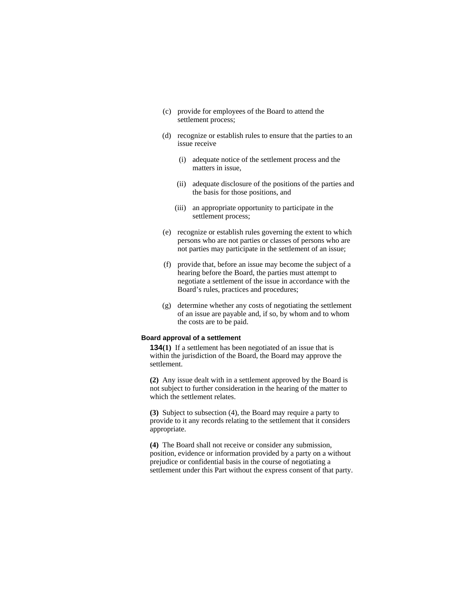- (c) provide for employees of the Board to attend the settlement process;
- (d) recognize or establish rules to ensure that the parties to an issue receive
	- (i) adequate notice of the settlement process and the matters in issue,
	- (ii) adequate disclosure of the positions of the parties and the basis for those positions, and
	- (iii) an appropriate opportunity to participate in the settlement process;
- (e) recognize or establish rules governing the extent to which persons who are not parties or classes of persons who are not parties may participate in the settlement of an issue;
- (f) provide that, before an issue may become the subject of a hearing before the Board, the parties must attempt to negotiate a settlement of the issue in accordance with the Board's rules, practices and procedures;
- (g) determine whether any costs of negotiating the settlement of an issue are payable and, if so, by whom and to whom the costs are to be paid.

# **Board approval of a settlement**

**134(1)** If a settlement has been negotiated of an issue that is within the jurisdiction of the Board, the Board may approve the settlement.

**(2)** Any issue dealt with in a settlement approved by the Board is not subject to further consideration in the hearing of the matter to which the settlement relates.

**(3)** Subject to subsection (4), the Board may require a party to provide to it any records relating to the settlement that it considers appropriate.

**(4)** The Board shall not receive or consider any submission, position, evidence or information provided by a party on a without prejudice or confidential basis in the course of negotiating a settlement under this Part without the express consent of that party.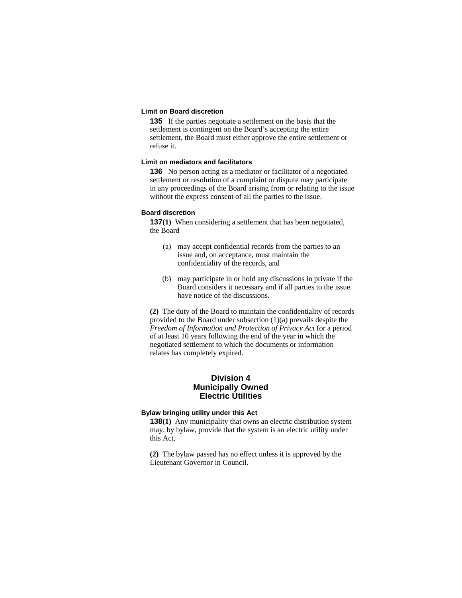# **Limit on Board discretion**

**135** If the parties negotiate a settlement on the basis that the settlement is contingent on the Board's accepting the entire settlement, the Board must either approve the entire settlement or refuse it.

# **Limit on mediators and facilitators**

**136** No person acting as a mediator or facilitator of a negotiated settlement or resolution of a complaint or dispute may participate in any proceedings of the Board arising from or relating to the issue without the express consent of all the parties to the issue.

### **Board discretion**

**137(1)** When considering a settlement that has been negotiated, the Board

- (a) may accept confidential records from the parties to an issue and, on acceptance, must maintain the confidentiality of the records, and
- (b) may participate in or hold any discussions in private if the Board considers it necessary and if all parties to the issue have notice of the discussions.

**(2)** The duty of the Board to maintain the confidentiality of records provided to the Board under subsection (1)(a) prevails despite the *Freedom of Information and Protection of Privacy Act* for a period of at least 10 years following the end of the year in which the negotiated settlement to which the documents or information relates has completely expired.

# **Division 4 Municipally Owned Electric Utilities**

### **Bylaw bringing utility under this Act**

**138(1)** Any municipality that owns an electric distribution system may, by bylaw, provide that the system is an electric utility under this Act.

**(2)** The bylaw passed has no effect unless it is approved by the Lieutenant Governor in Council.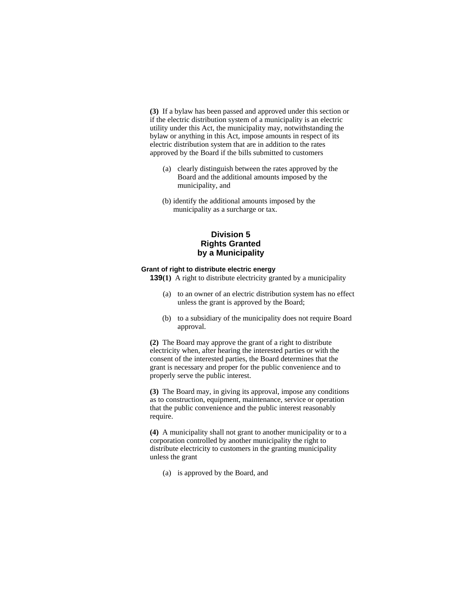**(3)** If a bylaw has been passed and approved under this section or if the electric distribution system of a municipality is an electric utility under this Act, the municipality may, notwithstanding the bylaw or anything in this Act, impose amounts in respect of its electric distribution system that are in addition to the rates approved by the Board if the bills submitted to customers

- (a) clearly distinguish between the rates approved by the Board and the additional amounts imposed by the municipality, and
- (b) identify the additional amounts imposed by the municipality as a surcharge or tax.

# **Division 5 Rights Granted by a Municipality**

# **Grant of right to distribute electric energy**

**139(1)** A right to distribute electricity granted by a municipality

- (a) to an owner of an electric distribution system has no effect unless the grant is approved by the Board;
- (b) to a subsidiary of the municipality does not require Board approval.

**(2)** The Board may approve the grant of a right to distribute electricity when, after hearing the interested parties or with the consent of the interested parties, the Board determines that the grant is necessary and proper for the public convenience and to properly serve the public interest.

**(3)** The Board may, in giving its approval, impose any conditions as to construction, equipment, maintenance, service or operation that the public convenience and the public interest reasonably require.

**(4)** A municipality shall not grant to another municipality or to a corporation controlled by another municipality the right to distribute electricity to customers in the granting municipality unless the grant

(a) is approved by the Board, and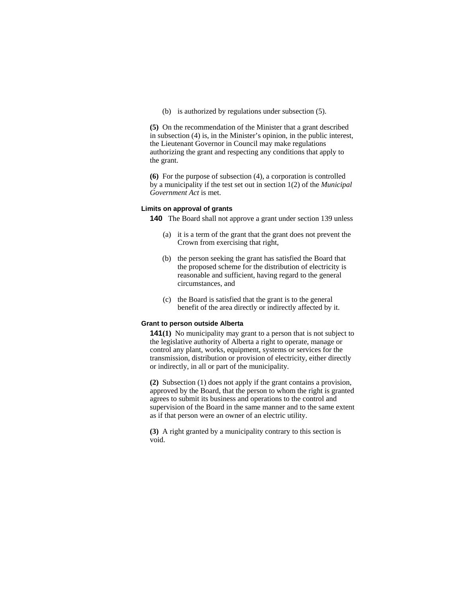(b) is authorized by regulations under subsection (5).

**(5)** On the recommendation of the Minister that a grant described in subsection (4) is, in the Minister's opinion, in the public interest, the Lieutenant Governor in Council may make regulations authorizing the grant and respecting any conditions that apply to the grant.

**(6)** For the purpose of subsection (4), a corporation is controlled by a municipality if the test set out in section 1(2) of the *Municipal Government Act* is met.

### **Limits on approval of grants**

**140** The Board shall not approve a grant under section 139 unless

- (a) it is a term of the grant that the grant does not prevent the Crown from exercising that right,
- (b) the person seeking the grant has satisfied the Board that the proposed scheme for the distribution of electricity is reasonable and sufficient, having regard to the general circumstances, and
- (c) the Board is satisfied that the grant is to the general benefit of the area directly or indirectly affected by it.

# **Grant to person outside Alberta**

**141(1)** No municipality may grant to a person that is not subject to the legislative authority of Alberta a right to operate, manage or control any plant, works, equipment, systems or services for the transmission, distribution or provision of electricity, either directly or indirectly, in all or part of the municipality.

**(2)** Subsection (1) does not apply if the grant contains a provision, approved by the Board, that the person to whom the right is granted agrees to submit its business and operations to the control and supervision of the Board in the same manner and to the same extent as if that person were an owner of an electric utility.

**(3)** A right granted by a municipality contrary to this section is void.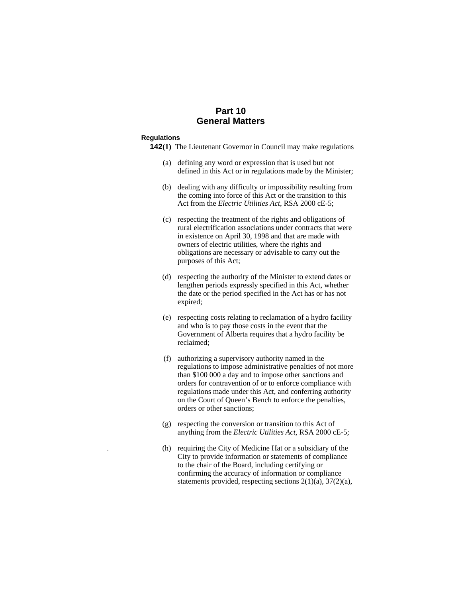# **Part 10 General Matters**

#### **Regulations**

- **142(1)** The Lieutenant Governor in Council may make regulations
	- (a) defining any word or expression that is used but not defined in this Act or in regulations made by the Minister;
	- (b) dealing with any difficulty or impossibility resulting from the coming into force of this Act or the transition to this Act from the *Electric Utilities Act*, RSA 2000 cE-5;
	- (c) respecting the treatment of the rights and obligations of rural electrification associations under contracts that were in existence on April 30, 1998 and that are made with owners of electric utilities, where the rights and obligations are necessary or advisable to carry out the purposes of this Act;
	- (d) respecting the authority of the Minister to extend dates or lengthen periods expressly specified in this Act, whether the date or the period specified in the Act has or has not expired;
	- (e) respecting costs relating to reclamation of a hydro facility and who is to pay those costs in the event that the Government of Alberta requires that a hydro facility be reclaimed;
	- (f) authorizing a supervisory authority named in the regulations to impose administrative penalties of not more than \$100 000 a day and to impose other sanctions and orders for contravention of or to enforce compliance with regulations made under this Act, and conferring authority on the Court of Queen's Bench to enforce the penalties, orders or other sanctions;
	- (g) respecting the conversion or transition to this Act of anything from the *Electric Utilities Act*, RSA 2000 cE-5;
	- . (h) requiring the City of Medicine Hat or a subsidiary of the City to provide information or statements of compliance to the chair of the Board, including certifying or confirming the accuracy of information or compliance statements provided, respecting sections 2(1)(a), 37(2)(a),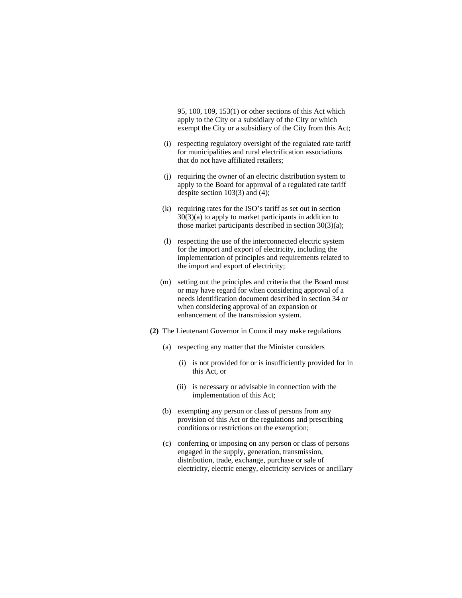95, 100, 109, 153(1) or other sections of this Act which apply to the City or a subsidiary of the City or which exempt the City or a subsidiary of the City from this Act;

- (i) respecting regulatory oversight of the regulated rate tariff for municipalities and rural electrification associations that do not have affiliated retailers;
- (j) requiring the owner of an electric distribution system to apply to the Board for approval of a regulated rate tariff despite section 103(3) and (4);
- (k) requiring rates for the ISO's tariff as set out in section 30(3)(a) to apply to market participants in addition to those market participants described in section 30(3)(a);
- (l) respecting the use of the interconnected electric system for the import and export of electricity, including the implementation of principles and requirements related to the import and export of electricity;
- (m) setting out the principles and criteria that the Board must or may have regard for when considering approval of a needs identification document described in section 34 or when considering approval of an expansion or enhancement of the transmission system.
- **(2)** The Lieutenant Governor in Council may make regulations
	- (a) respecting any matter that the Minister considers
		- (i) is not provided for or is insufficiently provided for in this Act, or
		- (ii) is necessary or advisable in connection with the implementation of this Act;
	- (b) exempting any person or class of persons from any provision of this Act or the regulations and prescribing conditions or restrictions on the exemption;
	- (c) conferring or imposing on any person or class of persons engaged in the supply, generation, transmission, distribution, trade, exchange, purchase or sale of electricity, electric energy, electricity services or ancillary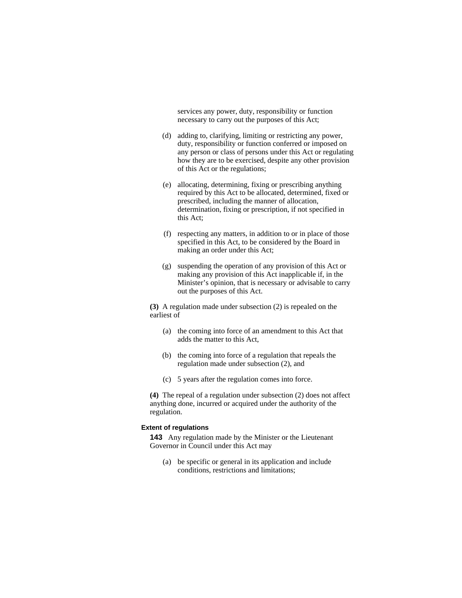services any power, duty, responsibility or function necessary to carry out the purposes of this Act;

- (d) adding to, clarifying, limiting or restricting any power, duty, responsibility or function conferred or imposed on any person or class of persons under this Act or regulating how they are to be exercised, despite any other provision of this Act or the regulations;
- (e) allocating, determining, fixing or prescribing anything required by this Act to be allocated, determined, fixed or prescribed, including the manner of allocation, determination, fixing or prescription, if not specified in this Act;
- (f) respecting any matters, in addition to or in place of those specified in this Act, to be considered by the Board in making an order under this Act;
- (g) suspending the operation of any provision of this Act or making any provision of this Act inapplicable if, in the Minister's opinion, that is necessary or advisable to carry out the purposes of this Act.

**(3)** A regulation made under subsection (2) is repealed on the earliest of

- (a) the coming into force of an amendment to this Act that adds the matter to this Act,
- (b) the coming into force of a regulation that repeals the regulation made under subsection (2), and
- (c) 5 years after the regulation comes into force.

**(4)** The repeal of a regulation under subsection (2) does not affect anything done, incurred or acquired under the authority of the regulation.

# **Extent of regulations**

**143** Any regulation made by the Minister or the Lieutenant Governor in Council under this Act may

 (a) be specific or general in its application and include conditions, restrictions and limitations;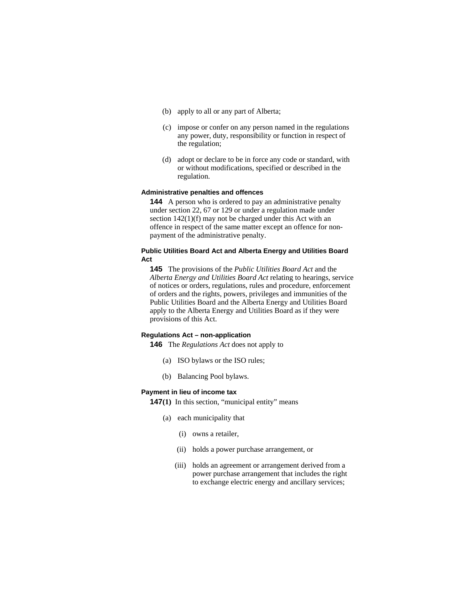- (b) apply to all or any part of Alberta;
- (c) impose or confer on any person named in the regulations any power, duty, responsibility or function in respect of the regulation;
- (d) adopt or declare to be in force any code or standard, with or without modifications, specified or described in the regulation.

# **Administrative penalties and offences**

**144** A person who is ordered to pay an administrative penalty under section 22, 67 or 129 or under a regulation made under section 142(1)(f) may not be charged under this Act with an offence in respect of the same matter except an offence for nonpayment of the administrative penalty.

# **Public Utilities Board Act and Alberta Energy and Utilities Board Act**

**145** The provisions of the *Public Utilities Board Act* and the *Alberta Energy and Utilities Board Act* relating to hearings, service of notices or orders, regulations, rules and procedure, enforcement of orders and the rights, powers, privileges and immunities of the Public Utilities Board and the Alberta Energy and Utilities Board apply to the Alberta Energy and Utilities Board as if they were provisions of this Act.

# **Regulations Act – non-application**

**146** The *Regulations Act* does not apply to

- (a) ISO bylaws or the ISO rules;
- (b) Balancing Pool bylaws.

#### **Payment in lieu of income tax**

**147(1)** In this section, "municipal entity" means

- (a) each municipality that
	- (i) owns a retailer,
	- (ii) holds a power purchase arrangement, or
	- (iii) holds an agreement or arrangement derived from a power purchase arrangement that includes the right to exchange electric energy and ancillary services;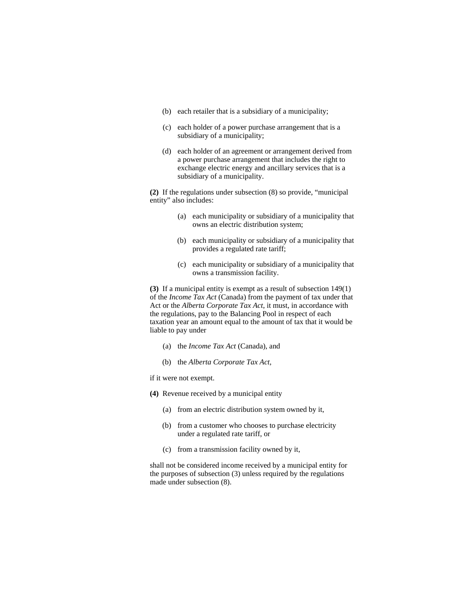- (b) each retailer that is a subsidiary of a municipality;
- (c) each holder of a power purchase arrangement that is a subsidiary of a municipality;
- (d) each holder of an agreement or arrangement derived from a power purchase arrangement that includes the right to exchange electric energy and ancillary services that is a subsidiary of a municipality.

**(2)** If the regulations under subsection (8) so provide, "municipal entity" also includes:

- (a) each municipality or subsidiary of a municipality that owns an electric distribution system;
- (b) each municipality or subsidiary of a municipality that provides a regulated rate tariff;
- (c) each municipality or subsidiary of a municipality that owns a transmission facility.

**(3)** If a municipal entity is exempt as a result of subsection 149(1) of the *Income Tax Act* (Canada) from the payment of tax under that Act or the *Alberta Corporate Tax Act*, it must, in accordance with the regulations, pay to the Balancing Pool in respect of each taxation year an amount equal to the amount of tax that it would be liable to pay under

- (a) the *Income Tax Act* (Canada), and
- (b) the *Alberta Corporate Tax Act*,
- if it were not exempt.
- **(4)** Revenue received by a municipal entity
	- (a) from an electric distribution system owned by it,
	- (b) from a customer who chooses to purchase electricity under a regulated rate tariff, or
	- (c) from a transmission facility owned by it,

shall not be considered income received by a municipal entity for the purposes of subsection (3) unless required by the regulations made under subsection (8).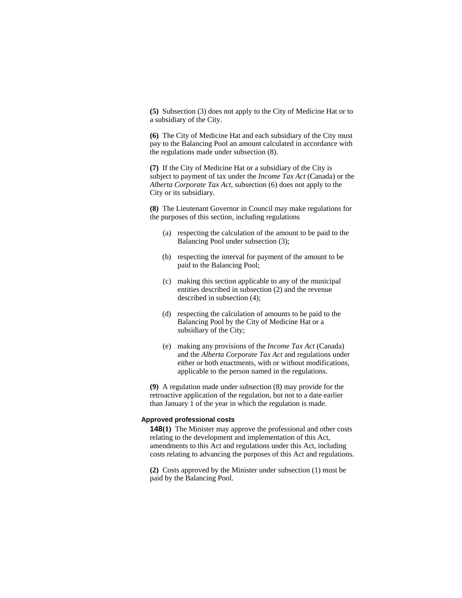**(5)** Subsection (3) does not apply to the City of Medicine Hat or to a subsidiary of the City.

**(6)** The City of Medicine Hat and each subsidiary of the City must pay to the Balancing Pool an amount calculated in accordance with the regulations made under subsection (8).

**(7)** If the City of Medicine Hat or a subsidiary of the City is subject to payment of tax under the *Income Tax Act* (Canada) or the *Alberta Corporate Tax Act*, subsection (6) does not apply to the City or its subsidiary.

**(8)** The Lieutenant Governor in Council may make regulations for the purposes of this section, including regulations

- (a) respecting the calculation of the amount to be paid to the Balancing Pool under subsection (3);
- (b) respecting the interval for payment of the amount to be paid to the Balancing Pool;
- (c) making this section applicable to any of the municipal entities described in subsection (2) and the revenue described in subsection (4);
- (d) respecting the calculation of amounts to be paid to the Balancing Pool by the City of Medicine Hat or a subsidiary of the City;
- (e) making any provisions of the *Income Tax Act* (Canada) and the *Alberta Corporate Tax Act* and regulations under either or both enactments, with or without modifications, applicable to the person named in the regulations.

**(9)** A regulation made under subsection (8) may provide for the retroactive application of the regulation, but not to a date earlier than January 1 of the year in which the regulation is made.

# **Approved professional costs**

**148(1)** The Minister may approve the professional and other costs relating to the development and implementation of this Act, amendments to this Act and regulations under this Act, including costs relating to advancing the purposes of this Act and regulations.

**(2)** Costs approved by the Minister under subsection (1) must be paid by the Balancing Pool.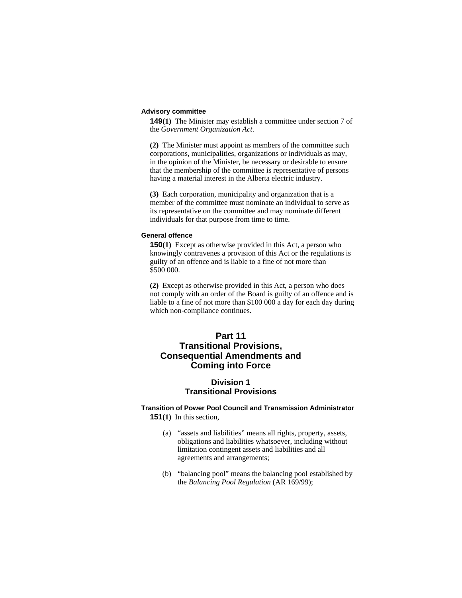# **Advisory committee**

**149(1)** The Minister may establish a committee under section 7 of the *Government Organization Act*.

**(2)** The Minister must appoint as members of the committee such corporations, municipalities, organizations or individuals as may, in the opinion of the Minister, be necessary or desirable to ensure that the membership of the committee is representative of persons having a material interest in the Alberta electric industry.

**(3)** Each corporation, municipality and organization that is a member of the committee must nominate an individual to serve as its representative on the committee and may nominate different individuals for that purpose from time to time.

# **General offence**

**150(1)** Except as otherwise provided in this Act, a person who knowingly contravenes a provision of this Act or the regulations is guilty of an offence and is liable to a fine of not more than \$500 000.

**(2)** Except as otherwise provided in this Act, a person who does not comply with an order of the Board is guilty of an offence and is liable to a fine of not more than \$100 000 a day for each day during which non-compliance continues.

# **Part 11 Transitional Provisions, Consequential Amendments and Coming into Force**

# **Division 1 Transitional Provisions**

# **Transition of Power Pool Council and Transmission Administrator 151(1)** In this section,

- (a) "assets and liabilities" means all rights, property, assets, obligations and liabilities whatsoever, including without limitation contingent assets and liabilities and all agreements and arrangements;
- (b) "balancing pool" means the balancing pool established by the *Balancing Pool Regulation* (AR 169/99);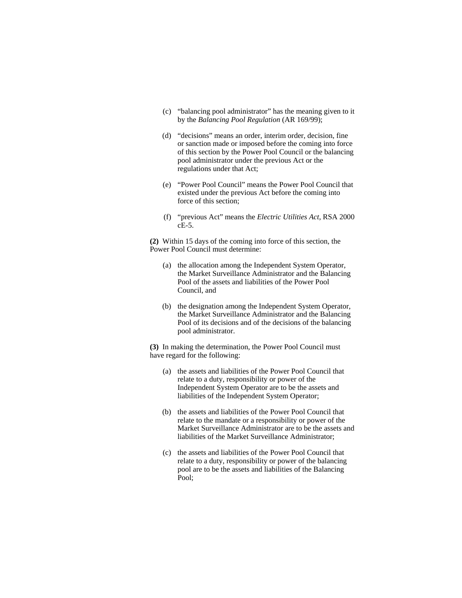- (c) "balancing pool administrator" has the meaning given to it by the *Balancing Pool Regulation* (AR 169/99);
- (d) "decisions" means an order, interim order, decision, fine or sanction made or imposed before the coming into force of this section by the Power Pool Council or the balancing pool administrator under the previous Act or the regulations under that Act;
- (e) "Power Pool Council" means the Power Pool Council that existed under the previous Act before the coming into force of this section;
- (f) "previous Act" means the *Electric Utilities Act*, RSA 2000 cE-5.

**(2)** Within 15 days of the coming into force of this section, the Power Pool Council must determine:

- (a) the allocation among the Independent System Operator, the Market Surveillance Administrator and the Balancing Pool of the assets and liabilities of the Power Pool Council, and
- (b) the designation among the Independent System Operator, the Market Surveillance Administrator and the Balancing Pool of its decisions and of the decisions of the balancing pool administrator.

**(3)** In making the determination, the Power Pool Council must have regard for the following:

- (a) the assets and liabilities of the Power Pool Council that relate to a duty, responsibility or power of the Independent System Operator are to be the assets and liabilities of the Independent System Operator;
- (b) the assets and liabilities of the Power Pool Council that relate to the mandate or a responsibility or power of the Market Surveillance Administrator are to be the assets and liabilities of the Market Surveillance Administrator;
- (c) the assets and liabilities of the Power Pool Council that relate to a duty, responsibility or power of the balancing pool are to be the assets and liabilities of the Balancing Pool;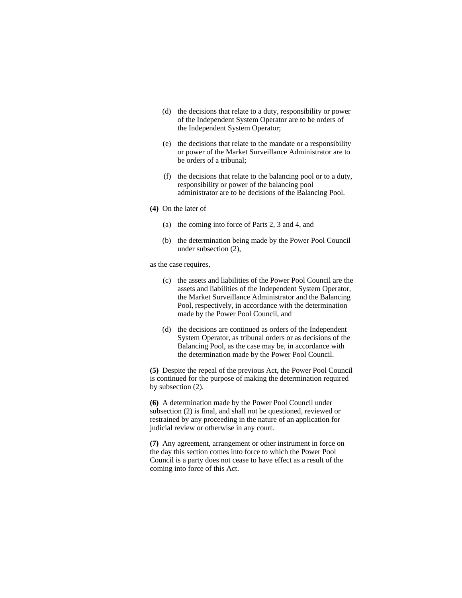- (d) the decisions that relate to a duty, responsibility or power of the Independent System Operator are to be orders of the Independent System Operator;
- (e) the decisions that relate to the mandate or a responsibility or power of the Market Surveillance Administrator are to be orders of a tribunal;
- (f) the decisions that relate to the balancing pool or to a duty, responsibility or power of the balancing pool administrator are to be decisions of the Balancing Pool.
- **(4)** On the later of
	- (a) the coming into force of Parts 2, 3 and 4, and
	- (b) the determination being made by the Power Pool Council under subsection (2),
- as the case requires,
	- (c) the assets and liabilities of the Power Pool Council are the assets and liabilities of the Independent System Operator, the Market Surveillance Administrator and the Balancing Pool, respectively, in accordance with the determination made by the Power Pool Council, and
	- (d) the decisions are continued as orders of the Independent System Operator, as tribunal orders or as decisions of the Balancing Pool, as the case may be, in accordance with the determination made by the Power Pool Council.

**(5)** Despite the repeal of the previous Act, the Power Pool Council is continued for the purpose of making the determination required by subsection (2).

**(6)** A determination made by the Power Pool Council under subsection (2) is final, and shall not be questioned, reviewed or restrained by any proceeding in the nature of an application for judicial review or otherwise in any court.

**(7)** Any agreement, arrangement or other instrument in force on the day this section comes into force to which the Power Pool Council is a party does not cease to have effect as a result of the coming into force of this Act.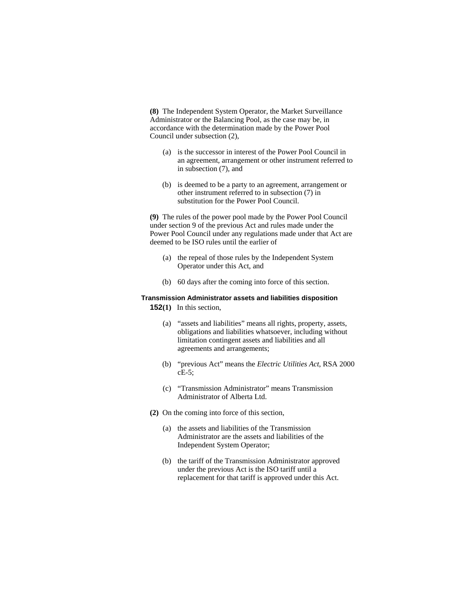**(8)** The Independent System Operator, the Market Surveillance Administrator or the Balancing Pool, as the case may be, in accordance with the determination made by the Power Pool Council under subsection (2),

- (a) is the successor in interest of the Power Pool Council in an agreement, arrangement or other instrument referred to in subsection (7), and
- (b) is deemed to be a party to an agreement, arrangement or other instrument referred to in subsection (7) in substitution for the Power Pool Council.

**(9)** The rules of the power pool made by the Power Pool Council under section 9 of the previous Act and rules made under the Power Pool Council under any regulations made under that Act are deemed to be ISO rules until the earlier of

- (a) the repeal of those rules by the Independent System Operator under this Act, and
- (b) 60 days after the coming into force of this section.

# **Transmission Administrator assets and liabilities disposition**

**152(1)** In this section,

- (a) "assets and liabilities" means all rights, property, assets, obligations and liabilities whatsoever, including without limitation contingent assets and liabilities and all agreements and arrangements;
- (b) "previous Act" means the *Electric Utilities Act*, RSA 2000 cE-5;
- (c) "Transmission Administrator" means Transmission Administrator of Alberta Ltd.
- **(2)** On the coming into force of this section,
	- (a) the assets and liabilities of the Transmission Administrator are the assets and liabilities of the Independent System Operator;
	- (b) the tariff of the Transmission Administrator approved under the previous Act is the ISO tariff until a replacement for that tariff is approved under this Act.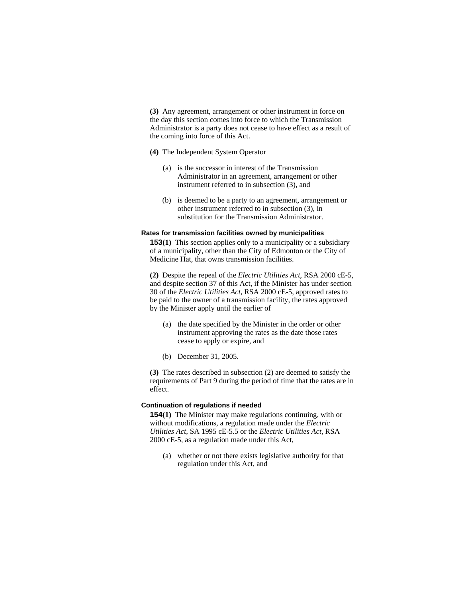**(3)** Any agreement, arrangement or other instrument in force on the day this section comes into force to which the Transmission Administrator is a party does not cease to have effect as a result of the coming into force of this Act.

### **(4)** The Independent System Operator

- (a) is the successor in interest of the Transmission Administrator in an agreement, arrangement or other instrument referred to in subsection  $(3)$ , and
- (b) is deemed to be a party to an agreement, arrangement or other instrument referred to in subsection (3), in substitution for the Transmission Administrator.

#### **Rates for transmission facilities owned by municipalities**

**153**(1) This section applies only to a municipality or a subsidiary of a municipality, other than the City of Edmonton or the City of Medicine Hat, that owns transmission facilities.

**(2)** Despite the repeal of the *Electric Utilities Act*, RSA 2000 cE-5, and despite section 37 of this Act, if the Minister has under section 30 of the *Electric Utilities Act*, RSA 2000 cE-5, approved rates to be paid to the owner of a transmission facility, the rates approved by the Minister apply until the earlier of

- (a) the date specified by the Minister in the order or other instrument approving the rates as the date those rates cease to apply or expire, and
- (b) December 31, 2005.

**(3)** The rates described in subsection (2) are deemed to satisfy the requirements of Part 9 during the period of time that the rates are in effect.

#### **Continuation of regulations if needed**

**154(1)** The Minister may make regulations continuing, with or without modifications, a regulation made under the *Electric Utilities Act*, SA 1995 cE-5.5 or the *Electric Utilities Act*, RSA 2000 cE-5, as a regulation made under this Act,

 (a) whether or not there exists legislative authority for that regulation under this Act, and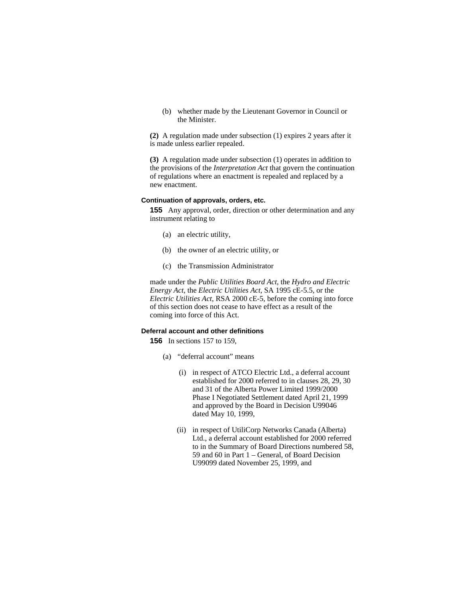(b) whether made by the Lieutenant Governor in Council or the Minister.

**(2)** A regulation made under subsection (1) expires 2 years after it is made unless earlier repealed.

**(3)** A regulation made under subsection (1) operates in addition to the provisions of the *Interpretation Act* that govern the continuation of regulations where an enactment is repealed and replaced by a new enactment.

# **Continuation of approvals, orders, etc.**

**155** Any approval, order, direction or other determination and any instrument relating to

- (a) an electric utility,
- (b) the owner of an electric utility, or
- (c) the Transmission Administrator

made under the *Public Utilities Board Act*, the *Hydro and Electric Energy Act*, the *Electric Utilities Act*, SA 1995 cE-5.5, or the *Electric Utilities Act*, RSA 2000 cE-5, before the coming into force of this section does not cease to have effect as a result of the coming into force of this Act.

# **Deferral account and other definitions**

**156** In sections 157 to 159,

- (a) "deferral account" means
	- (i) in respect of ATCO Electric Ltd., a deferral account established for 2000 referred to in clauses 28, 29, 30 and 31 of the Alberta Power Limited 1999/2000 Phase I Negotiated Settlement dated April 21, 1999 and approved by the Board in Decision U99046 dated May 10, 1999,
	- (ii) in respect of UtiliCorp Networks Canada (Alberta) Ltd., a deferral account established for 2000 referred to in the Summary of Board Directions numbered 58, 59 and 60 in Part 1 – General, of Board Decision U99099 dated November 25, 1999, and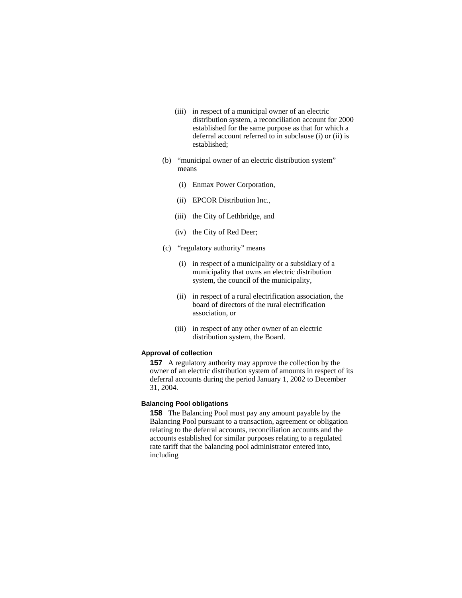- (iii) in respect of a municipal owner of an electric distribution system, a reconciliation account for 2000 established for the same purpose as that for which a deferral account referred to in subclause (i) or (ii) is established;
- (b) "municipal owner of an electric distribution system" means
	- (i) Enmax Power Corporation,
	- (ii) EPCOR Distribution Inc.,
	- (iii) the City of Lethbridge, and
	- (iv) the City of Red Deer;
- (c) "regulatory authority" means
	- (i) in respect of a municipality or a subsidiary of a municipality that owns an electric distribution system, the council of the municipality,
	- (ii) in respect of a rural electrification association, the board of directors of the rural electrification association, or
	- (iii) in respect of any other owner of an electric distribution system, the Board.

# **Approval of collection**

**157** A regulatory authority may approve the collection by the owner of an electric distribution system of amounts in respect of its deferral accounts during the period January 1, 2002 to December 31, 2004.

# **Balancing Pool obligations**

**158** The Balancing Pool must pay any amount payable by the Balancing Pool pursuant to a transaction, agreement or obligation relating to the deferral accounts, reconciliation accounts and the accounts established for similar purposes relating to a regulated rate tariff that the balancing pool administrator entered into, including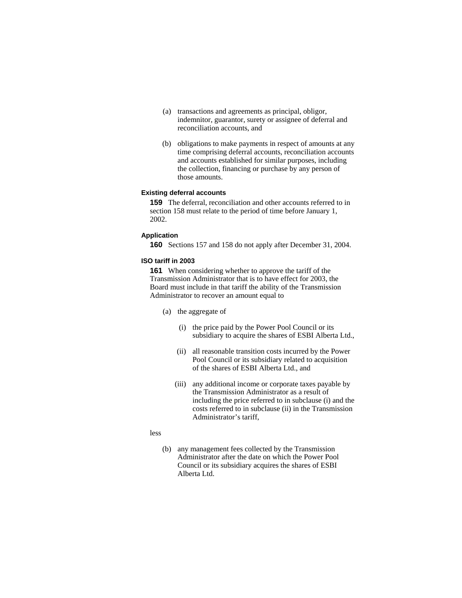- (a) transactions and agreements as principal, obligor, indemnitor, guarantor, surety or assignee of deferral and reconciliation accounts, and
- (b) obligations to make payments in respect of amounts at any time comprising deferral accounts, reconciliation accounts and accounts established for similar purposes, including the collection, financing or purchase by any person of those amounts.

# **Existing deferral accounts**

**159** The deferral, reconciliation and other accounts referred to in section 158 must relate to the period of time before January 1, 2002.

# **Application**

**160** Sections 157 and 158 do not apply after December 31, 2004.

#### **ISO tariff in 2003**

**161** When considering whether to approve the tariff of the Transmission Administrator that is to have effect for 2003, the Board must include in that tariff the ability of the Transmission Administrator to recover an amount equal to

- (a) the aggregate of
	- (i) the price paid by the Power Pool Council or its subsidiary to acquire the shares of ESBI Alberta Ltd.,
	- (ii) all reasonable transition costs incurred by the Power Pool Council or its subsidiary related to acquisition of the shares of ESBI Alberta Ltd., and
	- (iii) any additional income or corporate taxes payable by the Transmission Administrator as a result of including the price referred to in subclause (i) and the costs referred to in subclause (ii) in the Transmission Administrator's tariff,

#### less

 (b) any management fees collected by the Transmission Administrator after the date on which the Power Pool Council or its subsidiary acquires the shares of ESBI Alberta Ltd.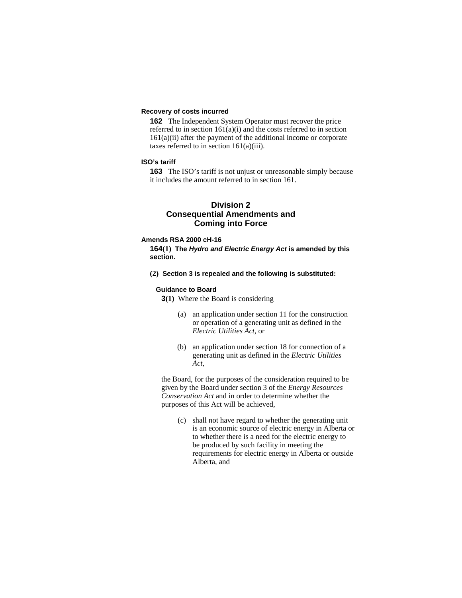# **Recovery of costs incurred**

**162** The Independent System Operator must recover the price referred to in section  $161(a)(i)$  and the costs referred to in section  $161(a)(ii)$  after the payment of the additional income or corporate taxes referred to in section  $161(a)(iii)$ .

# **ISO's tariff**

**163** The ISO's tariff is not unjust or unreasonable simply because it includes the amount referred to in section 161.

# **Division 2 Consequential Amendments and Coming into Force**

#### **Amends RSA 2000 cH-16**

**164(1) The** *Hydro and Electric Energy Act* **is amended by this section.** 

**(2) Section 3 is repealed and the following is substituted:** 

#### **Guidance to Board**

**3(1)** Where the Board is considering

- (a) an application under section 11 for the construction or operation of a generating unit as defined in the *Electric Utilities Act,* or
- (b) an application under section 18 for connection of a generating unit as defined in the *Electric Utilities Act*,

the Board, for the purposes of the consideration required to be given by the Board under section 3 of the *Energy Resources Conservation Act* and in order to determine whether the purposes of this Act will be achieved,

 (c) shall not have regard to whether the generating unit is an economic source of electric energy in Alberta or to whether there is a need for the electric energy to be produced by such facility in meeting the requirements for electric energy in Alberta or outside Alberta, and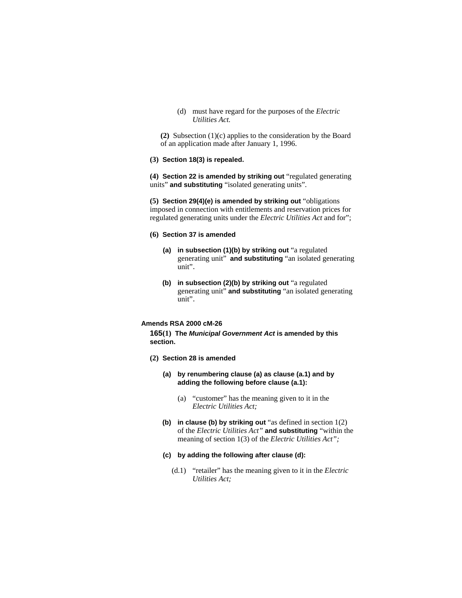(d) must have regard for the purposes of the *Electric Utilities Act.* 

**(2)** Subsection (1)(c) applies to the consideration by the Board of an application made after January 1, 1996.

#### **(3) Section 18(3) is repealed.**

**(4) Section 22 is amended by striking out** "regulated generating units" **and substituting** "isolated generating units".

**(5) Section 29(4)(e) is amended by striking out** "obligations imposed in connection with entitlements and reservation prices for regulated generating units under the *Electric Utilities Act* and for";

#### **(6) Section 37 is amended**

- **(a) in subsection (1)(b) by striking out** "a regulated generating unit" **and substituting** "an isolated generating unit".
- **(b) in subsection (2)(b) by striking out** "a regulated generating unit" **and substituting** "an isolated generating unit".

# **Amends RSA 2000 cM-26**

**165(1) The** *Municipal Government Act* **is amended by this section.** 

- **(2) Section 28 is amended** 
	- **(a) by renumbering clause (a) as clause (a.1) and by adding the following before clause (a.1):** 
		- (a) "customer" has the meaning given to it in the *Electric Utilities Act;*
	- **(b) in clause (b) by striking out** "as defined in section 1(2) of the *Electric Utilities Act"* **and substituting** "within the meaning of section 1(3) of the *Electric Utilities Act";*

# **(c) by adding the following after clause (d):**

(d.1) "retailer" has the meaning given to it in the *Electric Utilities Act;*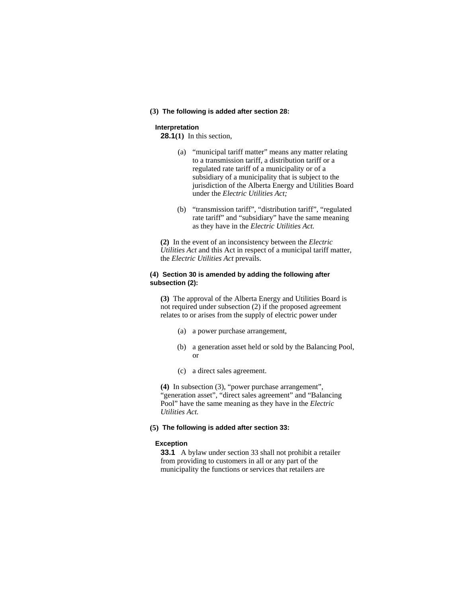#### **(3) The following is added after section 28:**

#### **Interpretation**

**28.1(1)** In this section,

- (a) "municipal tariff matter" means any matter relating to a transmission tariff, a distribution tariff or a regulated rate tariff of a municipality or of a subsidiary of a municipality that is subject to the jurisdiction of the Alberta Energy and Utilities Board under the *Electric Utilities Act;*
- (b) "transmission tariff", "distribution tariff", "regulated rate tariff" and "subsidiary" have the same meaning as they have in the *Electric Utilities Act.*

**(2)** In the event of an inconsistency between the *Electric Utilities Act* and this Act in respect of a municipal tariff matter, the *Electric Utilities Act* prevails.

# **(4) Section 30 is amended by adding the following after subsection (2):**

**(3)** The approval of the Alberta Energy and Utilities Board is not required under subsection (2) if the proposed agreement relates to or arises from the supply of electric power under

- (a) a power purchase arrangement,
- (b) a generation asset held or sold by the Balancing Pool, or
- (c) a direct sales agreement.

**(4)** In subsection (3), "power purchase arrangement", "generation asset", "direct sales agreement" and "Balancing Pool" have the same meaning as they have in the *Electric Utilities Act.*

# **(5) The following is added after section 33:**

#### **Exception**

**33.1** A bylaw under section 33 shall not prohibit a retailer from providing to customers in all or any part of the municipality the functions or services that retailers are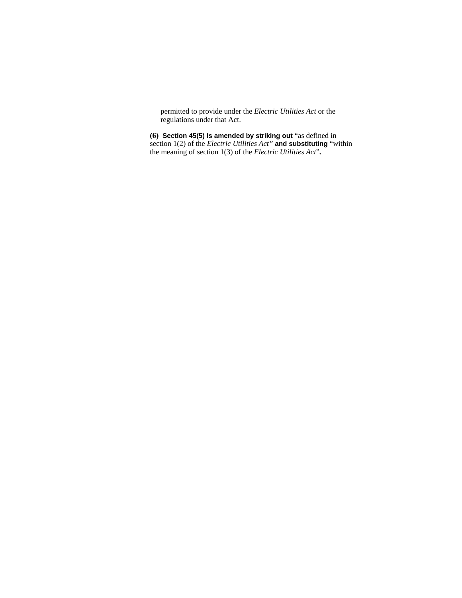permitted to provide under the *Electric Utilities Act* or the regulations under that Act.

**(6) Section 45(5) is amended by striking out** "as defined in section 1(2) of the *Electric Utilities Act"* **and substituting** "within the meaning of section 1(3) of the *Electric Utilities Act*"**.**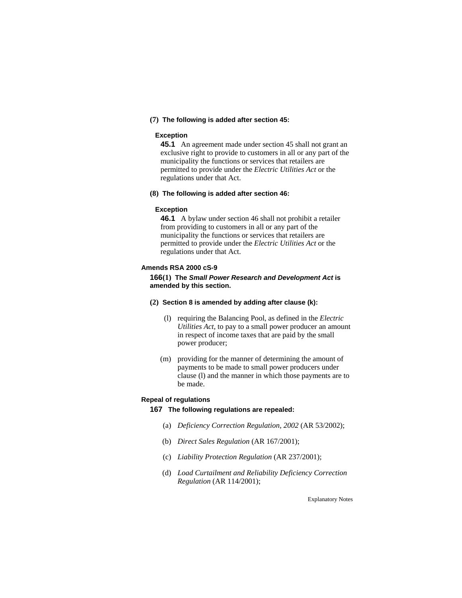# **(7) The following is added after section 45:**

# **Exception**

**45.1** An agreement made under section 45 shall not grant an exclusive right to provide to customers in all or any part of the municipality the functions or services that retailers are permitted to provide under the *Electric Utilities Act* or the regulations under that Act.

#### **(8) The following is added after section 46:**

#### **Exception**

**46.1** A bylaw under section 46 shall not prohibit a retailer from providing to customers in all or any part of the municipality the functions or services that retailers are permitted to provide under the *Electric Utilities Act* or the regulations under that Act.

#### **Amends RSA 2000 cS-9**

**166(1) The** *Small Power Research and Development Act* **is amended by this section.** 

#### **(2) Section 8 is amended by adding after clause (k):**

- (l) requiring the Balancing Pool, as defined in the *Electric Utilities Act,* to pay to a small power producer an amount in respect of income taxes that are paid by the small power producer;
- (m) providing for the manner of determining the amount of payments to be made to small power producers under clause (l) and the manner in which those payments are to be made.

# **Repeal of regulations**

#### **167 The following regulations are repealed:**

- (a) *Deficiency Correction Regulation, 2002* (AR 53/2002);
- (b) *Direct Sales Regulation* (AR 167/2001);
- (c) *Liability Protection Regulation* (AR 237/2001);
- (d) *Load Curtailment and Reliability Deficiency Correction Regulation* (AR 114/2001);

Explanatory Notes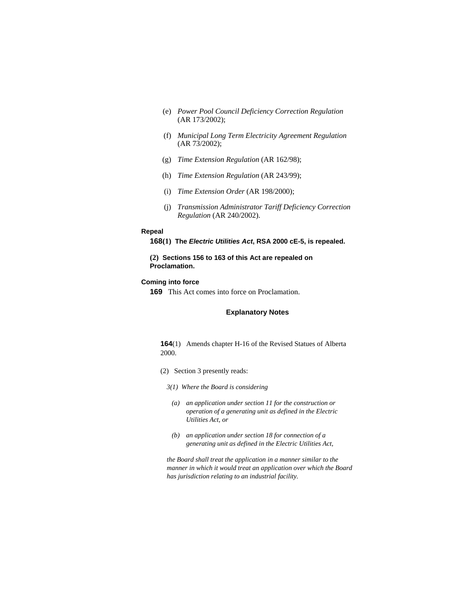- (e) *Power Pool Council Deficiency Correction Regulation* (AR 173/2002);
- (f) *Municipal Long Term Electricity Agreement Regulation* (AR 73/2002);
- (g) *Time Extension Regulation* (AR 162/98);
- (h) *Time Extension Regulation* (AR 243/99);
- (i) *Time Extension Order* (AR 198/2000);
- (j) *Transmission Administrator Tariff Deficiency Correction Regulation* (AR 240/2002).

#### **Repeal**

```
168(1) The Electric Utilities Act, RSA 2000 cE-5, is repealed.
```
# **(2) Sections 156 to 163 of this Act are repealed on Proclamation.**

# **Coming into force**

**169** This Act comes into force on Proclamation.

# **Explanatory Notes**

# **164**(1) Amends chapter H-16 of the Revised Statues of Alberta 2000.

- (2) Section 3 presently reads:
	- *3(1) Where the Board is considering* 
		- *(a) an application under section 11 for the construction or operation of a generating unit as defined in the Electric Utilities Act, or*
		- *(b) an application under section 18 for connection of a generating unit as defined in the Electric Utilities Act,*

*the Board shall treat the application in a manner similar to the manner in which it would treat an application over which the Board has jurisdiction relating to an industrial facility.*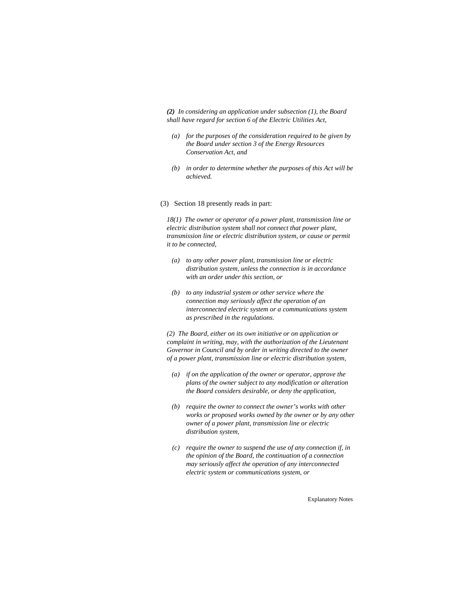*(2) In considering an application under subsection (1), the Board shall have regard for section 6 of the Electric Utilities Act,* 

- *(a) for the purposes of the consideration required to be given by the Board under section 3 of the Energy Resources Conservation Act, and*
- *(b) in order to determine whether the purposes of this Act will be achieved.*
- (3) Section 18 presently reads in part:

*18(1) The owner or operator of a power plant, transmission line or electric distribution system shall not connect that power plant, transmission line or electric distribution system, or cause or permit it to be connected,* 

- *(a) to any other power plant, transmission line or electric distribution system, unless the connection is in accordance with an order under this section, or*
- *(b) to any industrial system or other service where the connection may seriously affect the operation of an interconnected electric system or a communications system as prescribed in the regulations.*

*(2) The Board, either on its own initiative or on application or complaint in writing, may, with the authorization of the Lieutenant Governor in Council and by order in writing directed to the owner of a power plant, transmission line or electric distribution system,* 

- *(a) if on the application of the owner or operator, approve the plans of the owner subject to any modification or alteration the Board considers desirable, or deny the application,*
- *(b) require the owner to connect the owner's works with other works or proposed works owned by the owner or by any other owner of a power plant, transmission line or electric distribution system,*
- *(c) require the owner to suspend the use of any connection if, in the opinion of the Board, the continuation of a connection may seriously affect the operation of any interconnected electric system or communications system, or*

Explanatory Notes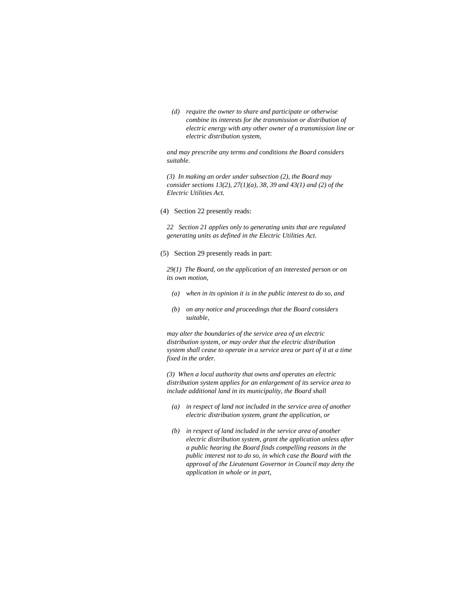*(d) require the owner to share and participate or otherwise combine its interests for the transmission or distribution of electric energy with any other owner of a transmission line or electric distribution system,* 

*and may prescribe any terms and conditions the Board considers suitable.* 

*(3) In making an order under subsection (2), the Board may consider sections 13(2), 27(1)(a), 38, 39 and 43(1) and (2) of the Electric Utilities Act.* 

(4) Section 22 presently reads:

*22 Section 21 applies only to generating units that are regulated generating units as defined in the Electric Utilities Act.* 

(5) Section 29 presently reads in part:

*29(1) The Board, on the application of an interested person or on its own motion,* 

- *(a) when in its opinion it is in the public interest to do so, and*
- *(b) on any notice and proceedings that the Board considers suitable,*

*may alter the boundaries of the service area of an electric distribution system, or may order that the electric distribution system shall cease to operate in a service area or part of it at a time fixed in the order.* 

*(3) When a local authority that owns and operates an electric distribution system applies for an enlargement of its service area to include additional land in its municipality, the Board shall* 

- *(a) in respect of land not included in the service area of another electric distribution system, grant the application, or*
- *(b) in respect of land included in the service area of another electric distribution system, grant the application unless after a public hearing the Board finds compelling reasons in the public interest not to do so, in which case the Board with the approval of the Lieutenant Governor in Council may deny the application in whole or in part,*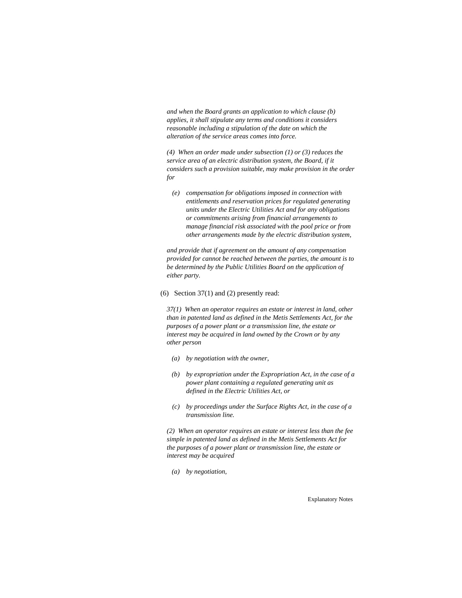*and when the Board grants an application to which clause (b) applies, it shall stipulate any terms and conditions it considers reasonable including a stipulation of the date on which the alteration of the service areas comes into force.* 

*(4) When an order made under subsection (1) or (3) reduces the service area of an electric distribution system, the Board, if it considers such a provision suitable, may make provision in the order for* 

 *(e) compensation for obligations imposed in connection with entitlements and reservation prices for regulated generating units under the Electric Utilities Act and for any obligations or commitments arising from financial arrangements to manage financial risk associated with the pool price or from other arrangements made by the electric distribution system,* 

*and provide that if agreement on the amount of any compensation provided for cannot be reached between the parties, the amount is to be determined by the Public Utilities Board on the application of either party.* 

#### (6) Section 37(1) and (2) presently read:

*37(1) When an operator requires an estate or interest in land, other than in patented land as defined in the Metis Settlements Act, for the purposes of a power plant or a transmission line, the estate or interest may be acquired in land owned by the Crown or by any other person* 

- *(a) by negotiation with the owner,*
- *(b) by expropriation under the Expropriation Act, in the case of a power plant containing a regulated generating unit as defined in the Electric Utilities Act, or*
- *(c) by proceedings under the Surface Rights Act, in the case of a transmission line.*

*(2) When an operator requires an estate or interest less than the fee simple in patented land as defined in the Metis Settlements Act for the purposes of a power plant or transmission line, the estate or interest may be acquired* 

 *(a) by negotiation,* 

Explanatory Notes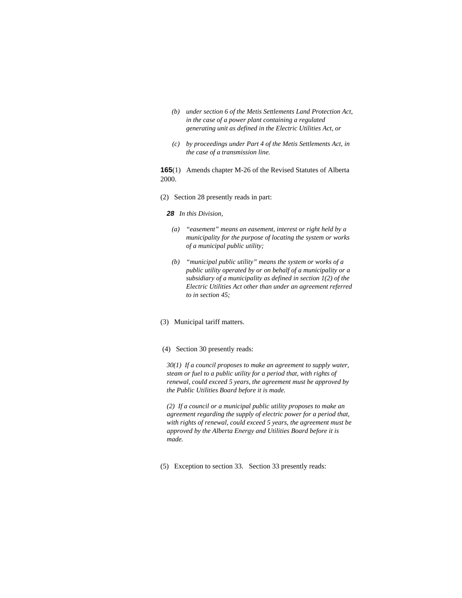- *(b) under section 6 of the Metis Settlements Land Protection Act, in the case of a power plant containing a regulated generating unit as defined in the Electric Utilities Act, or*
- *(c) by proceedings under Part 4 of the Metis Settlements Act, in the case of a transmission line.*

**165**(1) Amends chapter M-26 of the Revised Statutes of Alberta 2000.

(2) Section 28 presently reads in part:

#### *28 In this Division,*

- *(a) "easement" means an easement, interest or right held by a municipality for the purpose of locating the system or works of a municipal public utility;*
- *(b) "municipal public utility" means the system or works of a public utility operated by or on behalf of a municipality or a subsidiary of a municipality as defined in section 1(2) of the Electric Utilities Act other than under an agreement referred to in section 45;*
- (3) Municipal tariff matters.
- (4) Section 30 presently reads:

*30(1) If a council proposes to make an agreement to supply water, steam or fuel to a public utility for a period that, with rights of renewal, could exceed 5 years, the agreement must be approved by the Public Utilities Board before it is made.* 

*(2) If a council or a municipal public utility proposes to make an agreement regarding the supply of electric power for a period that, with rights of renewal, could exceed 5 years, the agreement must be approved by the Alberta Energy and Utilities Board before it is made.* 

(5) Exception to section 33. Section 33 presently reads: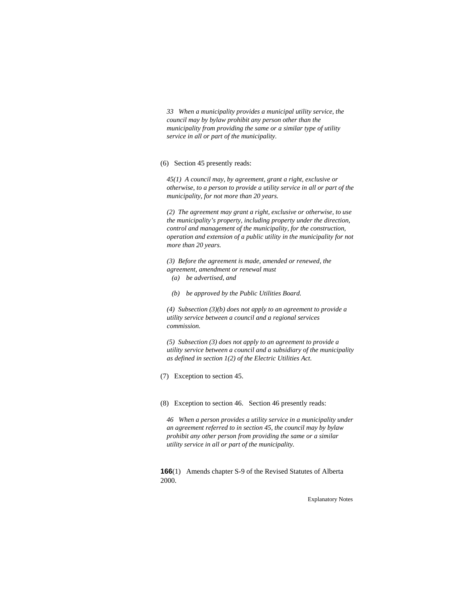*33 When a municipality provides a municipal utility service, the council may by bylaw prohibit any person other than the municipality from providing the same or a similar type of utility service in all or part of the municipality.* 

(6) Section 45 presently reads:

*45(1) A council may, by agreement, grant a right, exclusive or otherwise, to a person to provide a utility service in all or part of the municipality, for not more than 20 years.* 

*(2) The agreement may grant a right, exclusive or otherwise, to use the municipality's property, including property under the direction, control and management of the municipality, for the construction, operation and extension of a public utility in the municipality for not more than 20 years.* 

*(3) Before the agreement is made, amended or renewed, the agreement, amendment or renewal must* 

- *(a) be advertised, and*
- *(b) be approved by the Public Utilities Board.*

*(4) Subsection (3)(b) does not apply to an agreement to provide a utility service between a council and a regional services commission.* 

*(5) Subsection (3) does not apply to an agreement to provide a utility service between a council and a subsidiary of the municipality as defined in section 1(2) of the Electric Utilities Act.* 

(7) Exception to section 45.

(8) Exception to section 46. Section 46 presently reads:

*46 When a person provides a utility service in a municipality under an agreement referred to in section 45, the council may by bylaw prohibit any other person from providing the same or a similar utility service in all or part of the municipality.* 

**166**(1) Amends chapter S-9 of the Revised Statutes of Alberta 2000.

Explanatory Notes